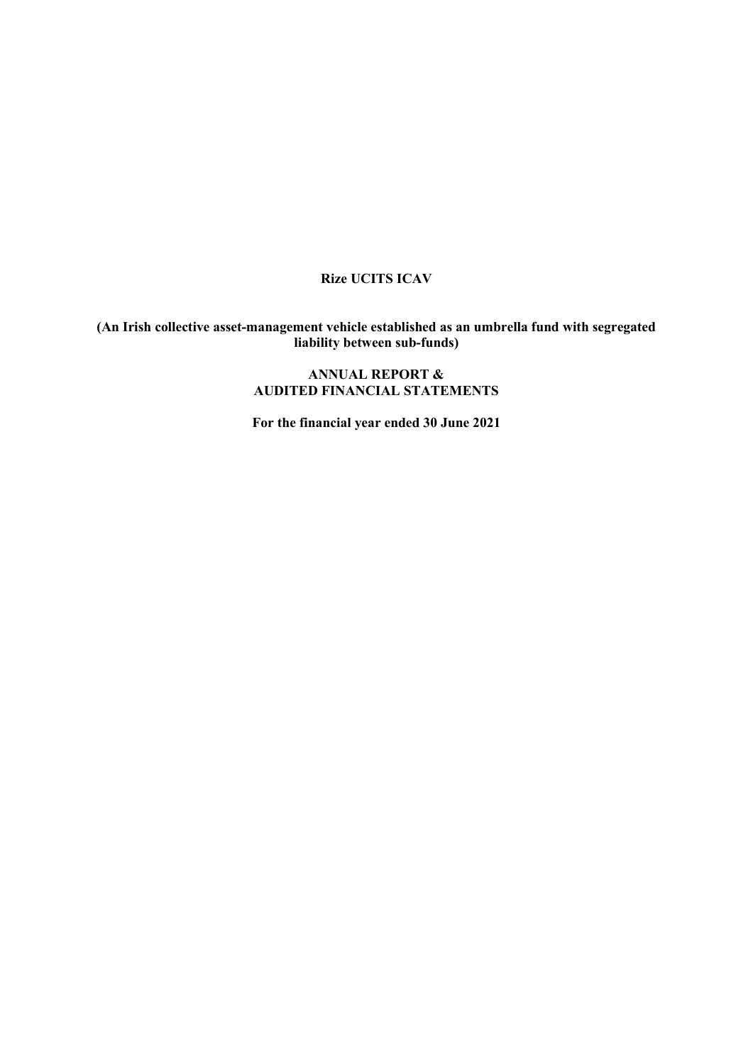# **Rize UCITS ICAV**

#### **(An Irish collective asset-management vehicle established as an umbrella fund with segregated liability between sub-funds)**

## **ANNUAL REPORT & AUDITED FINANCIAL STATEMENTS**

**For the financial year ended 30 June 2021**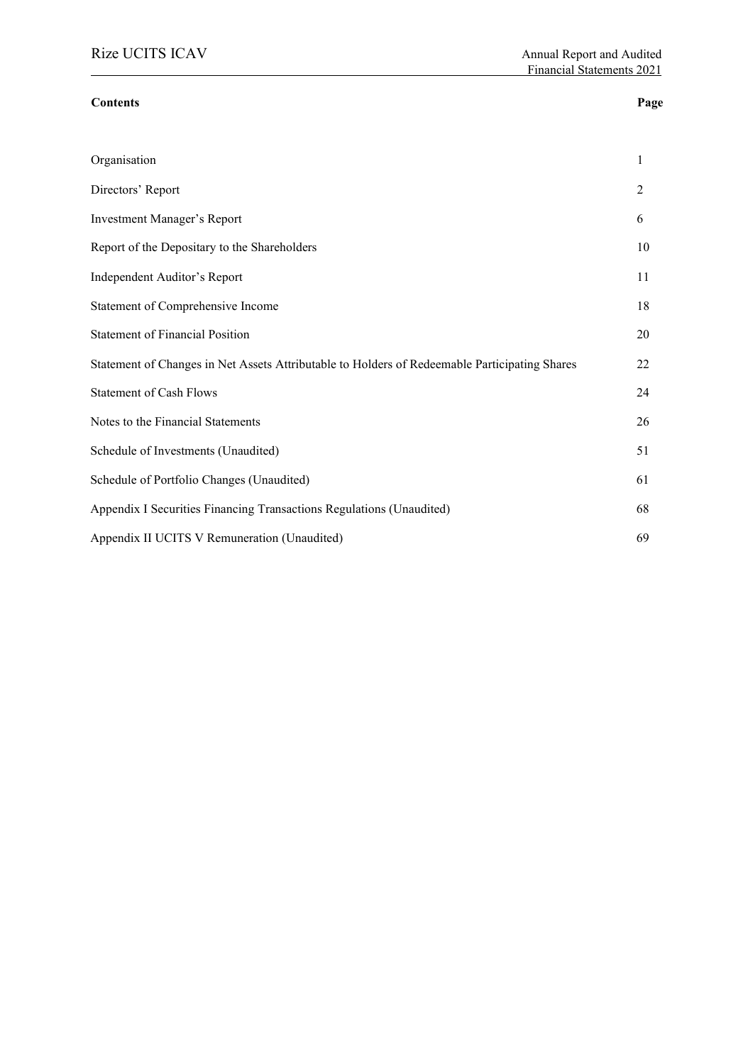#### **Contents Page**

| Organisation                                                                                  | $\mathbf{1}$ |
|-----------------------------------------------------------------------------------------------|--------------|
| Directors' Report                                                                             | 2            |
| <b>Investment Manager's Report</b>                                                            | 6            |
| Report of the Depositary to the Shareholders                                                  | 10           |
| Independent Auditor's Report                                                                  | 11           |
| Statement of Comprehensive Income                                                             | 18           |
| <b>Statement of Financial Position</b>                                                        | 20           |
| Statement of Changes in Net Assets Attributable to Holders of Redeemable Participating Shares | 22           |
| <b>Statement of Cash Flows</b>                                                                | 24           |
| Notes to the Financial Statements                                                             | 26           |
| Schedule of Investments (Unaudited)                                                           | 51           |
| Schedule of Portfolio Changes (Unaudited)                                                     | 61           |
| Appendix I Securities Financing Transactions Regulations (Unaudited)                          | 68           |
| Appendix II UCITS V Remuneration (Unaudited)                                                  | 69           |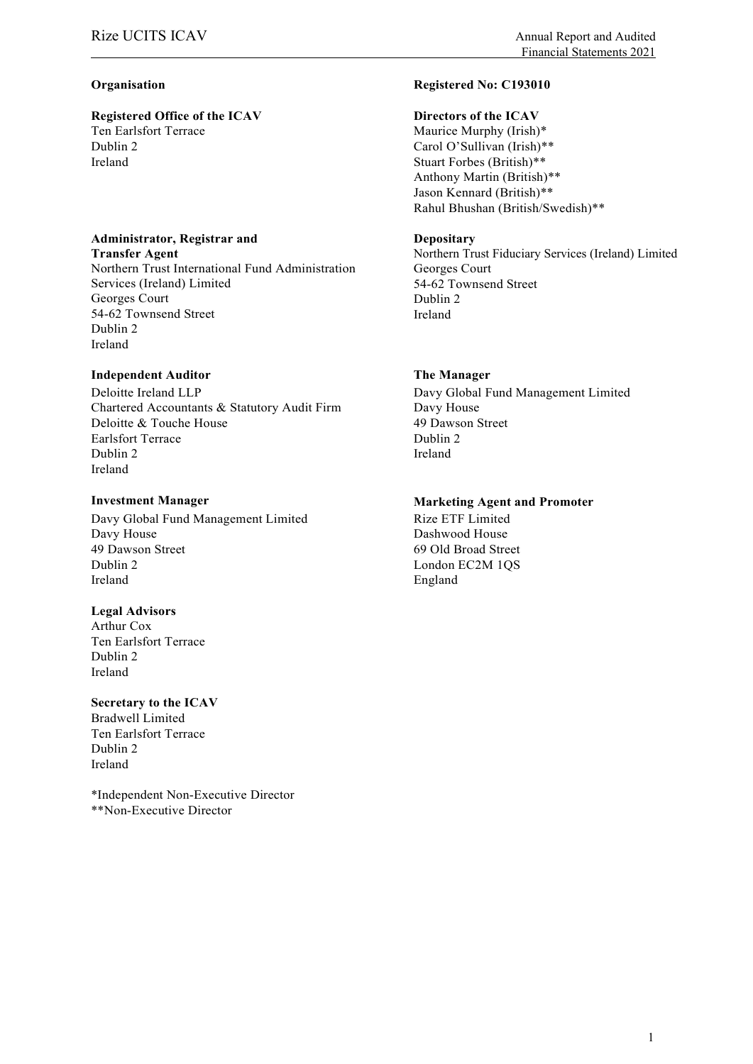# **Registered Office of the ICAV Directors of the ICAV** Ten Earlsfort Terrace Dublin 2<br>Ireland

#### **Administrator, Registrar and**

**Transfer Agent** Northern Trust International Fund Administration Services (Ireland) Limited Georges Court 54-62 Townsend Street Dublin 2 Ireland

### **Independent Auditor The Manager**

Deloitte Ireland LLP Chartered Accountants & Statutory Audit Firm Deloitte & Touche House Earlsfort Terrace Dublin 2 Ireland

Davy Global Fund Management Limited Davy House 49 Dawson Street Dublin 2 Ireland

#### **Legal Advisors**

Arthur Cox Ten Earlsfort Terrace Dublin 2 Ireland

#### **Secretary to the ICAV**

Bradwell Limited Ten Earlsfort Terrace Dublin 2 Ireland

\*Independent Non-Executive Director \*\*Non-Executive Director

#### **Organisation Registered No: C193010**

Maurice Murphy (Irish)\* Carol O'Sullivan (Irish)\*\* Stuart Forbes (British)\*\* Anthony Martin (British)\*\* Jason Kennard (British)\*\* Rahul Bhushan (British/Swedish)\*\*

#### **Depositary**

Northern Trust Fiduciary Services (Ireland) Limited Georges Court 54-62 Townsend Street Dublin 2 Ireland

Davy Global Fund Management Limited Davy House 49 Dawson Street Dublin 2 Ireland

#### **Investment Manager Marketing Agent and Promoter**

Rize ETF Limited Dashwood House 69 Old Broad Street London EC2M 1QS England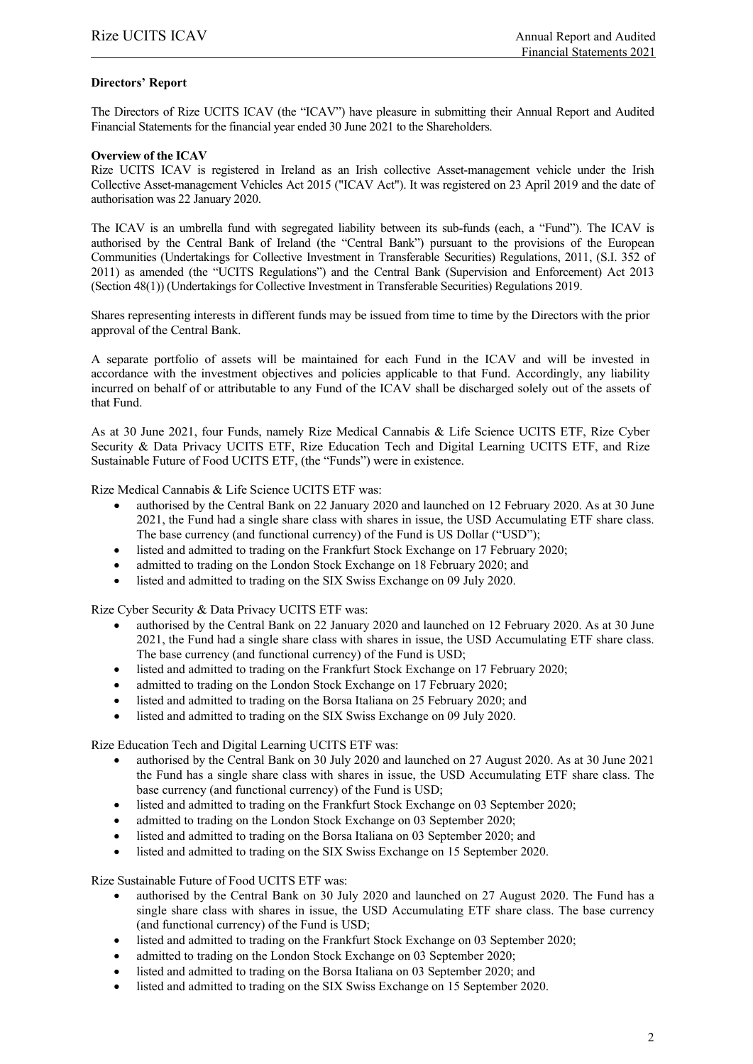#### **Directors' Report**

The Directors of Rize UCITS ICAV (the "ICAV") have pleasure in submitting their Annual Report and Audited Financial Statements for the financial year ended 30 June 2021 to the Shareholders.

#### **Overview of the ICAV**

Rize UCITS ICAV is registered in Ireland as an Irish collective Asset-management vehicle under the Irish Collective Asset-management Vehicles Act 2015 ("ICAV Act"). It was registered on 23 April 2019 and the date of authorisation was 22 January 2020.

The ICAV is an umbrella fund with segregated liability between its sub-funds (each, a "Fund"). The ICAV is authorised by the Central Bank of Ireland (the "Central Bank") pursuant to the provisions of the European Communities (Undertakings for Collective Investment in Transferable Securities) Regulations, 2011, (S.I. 352 of 2011) as amended (the "UCITS Regulations") and the Central Bank (Supervision and Enforcement) Act 2013 (Section 48(1)) (Undertakings for Collective Investment in Transferable Securities) Regulations 2019.

Shares representing interests in different funds may be issued from time to time by the Directors with the prior approval of the Central Bank.

A separate portfolio of assets will be maintained for each Fund in the ICAV and will be invested in accordance with the investment objectives and policies applicable to that Fund. Accordingly, any liability incurred on behalf of or attributable to any Fund of the ICAV shall be discharged solely out of the assets of that Fund.

As at 30 June 2021, four Funds, namely Rize Medical Cannabis & Life Science UCITS ETF, Rize Cyber Security & Data Privacy UCITS ETF, Rize Education Tech and Digital Learning UCITS ETF, and Rize Sustainable Future of Food UCITS ETF, (the "Funds") were in existence.

Rize Medical Cannabis & Life Science UCITS ETF was:

- authorised by the Central Bank on 22 January 2020 and launched on 12 February 2020. As at 30 June 2021, the Fund had a single share class with shares in issue, the USD Accumulating ETF share class. The base currency (and functional currency) of the Fund is US Dollar ("USD");
- listed and admitted to trading on the Frankfurt Stock Exchange on 17 February 2020;
- admitted to trading on the London Stock Exchange on 18 February 2020; and
- listed and admitted to trading on the SIX Swiss Exchange on 09 July 2020.

Rize Cyber Security & Data Privacy UCITS ETF was:

- authorised by the Central Bank on 22 January 2020 and launched on 12 February 2020. As at 30 June 2021, the Fund had a single share class with shares in issue, the USD Accumulating ETF share class. The base currency (and functional currency) of the Fund is USD;
- listed and admitted to trading on the Frankfurt Stock Exchange on 17 February 2020;
- admitted to trading on the London Stock Exchange on 17 February 2020;
- listed and admitted to trading on the Borsa Italiana on 25 February 2020; and
- listed and admitted to trading on the SIX Swiss Exchange on 09 July 2020.

Rize Education Tech and Digital Learning UCITS ETF was:

- authorised by the Central Bank on 30 July 2020 and launched on 27 August 2020. As at 30 June 2021 the Fund has a single share class with shares in issue, the USD Accumulating ETF share class. The base currency (and functional currency) of the Fund is USD;
- listed and admitted to trading on the Frankfurt Stock Exchange on 03 September 2020;
- admitted to trading on the London Stock Exchange on 03 September 2020;
- listed and admitted to trading on the Borsa Italiana on 03 September 2020; and
- listed and admitted to trading on the SIX Swiss Exchange on 15 September 2020.

Rize Sustainable Future of Food UCITS ETF was:

- authorised by the Central Bank on 30 July 2020 and launched on 27 August 2020. The Fund has a single share class with shares in issue, the USD Accumulating ETF share class. The base currency (and functional currency) of the Fund is USD;
- listed and admitted to trading on the Frankfurt Stock Exchange on 03 September 2020;
- admitted to trading on the London Stock Exchange on 03 September 2020;
- listed and admitted to trading on the Borsa Italiana on 03 September 2020; and
- listed and admitted to trading on the SIX Swiss Exchange on 15 September 2020.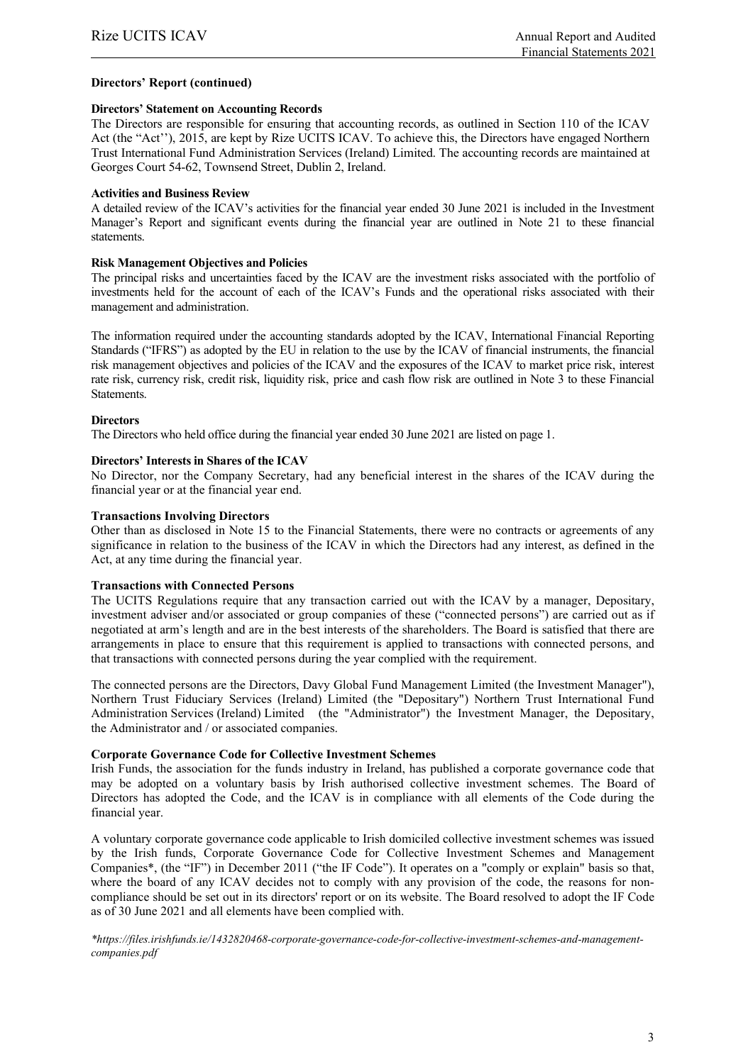#### **Directors' Report (continued)**

#### **Directors' Statement on Accounting Records**

The Directors are responsible for ensuring that accounting records, as outlined in Section 110 of the ICAV Act (the "Act''), 2015, are kept by Rize UCITS ICAV. To achieve this, the Directors have engaged Northern Trust International Fund Administration Services (Ireland) Limited. The accounting records are maintained at Georges Court 54-62, Townsend Street, Dublin 2, Ireland.

#### **Activities and Business Review**

A detailed review of the ICAV's activities for the financial year ended 30 June 2021 is included in the Investment Manager's Report and significant events during the financial year are outlined in Note 21 to these financial statements.

#### **Risk Management Objectives and Policies**

The principal risks and uncertainties faced by the ICAV are the investment risks associated with the portfolio of investments held for the account of each of the ICAV's Funds and the operational risks associated with their management and administration.

The information required under the accounting standards adopted by the ICAV, International Financial Reporting Standards ("IFRS") as adopted by the EU in relation to the use by the ICAV of financial instruments, the financial risk management objectives and policies of the ICAV and the exposures of the ICAV to market price risk, interest rate risk, currency risk, credit risk, liquidity risk, price and cash flow risk are outlined in Note 3 to these Financial Statements.

#### **Directors**

The Directors who held office during the financial year ended 30 June 2021 are listed on page 1.

#### **Directors' Interests in Shares of the ICAV**

No Director, nor the Company Secretary, had any beneficial interest in the shares of the ICAV during the financial year or at the financial year end.

#### **Transactions Involving Directors**

Other than as disclosed in Note 15 to the Financial Statements, there were no contracts or agreements of any significance in relation to the business of the ICAV in which the Directors had any interest, as defined in the Act, at any time during the financial year.

#### **Transactions with Connected Persons**

The UCITS Regulations require that any transaction carried out with the ICAV by a manager, Depositary, investment adviser and/or associated or group companies of these ("connected persons") are carried out as if negotiated at arm's length and are in the best interests of the shareholders. The Board is satisfied that there are arrangements in place to ensure that this requirement is applied to transactions with connected persons, and that transactions with connected persons during the year complied with the requirement.

The connected persons are the Directors, Davy Global Fund Management Limited (the Investment Manager"), Northern Trust Fiduciary Services (Ireland) Limited (the "Depositary") Northern Trust International Fund Administration Services (Ireland) Limited (the "Administrator") the Investment Manager, the Depositary, the Administrator and / or associated companies.

#### **Corporate Governance Code for Collective Investment Schemes**

Irish Funds, the association for the funds industry in Ireland, has published a corporate governance code that may be adopted on a voluntary basis by Irish authorised collective investment schemes. The Board of Directors has adopted the Code, and the ICAV is in compliance with all elements of the Code during the financial year.

A voluntary corporate governance code applicable to Irish domiciled collective investment schemes was issued by the Irish funds, Corporate Governance Code for Collective Investment Schemes and Management Companies\*, (the "IF") in December 2011 ("the IF Code"). It operates on a "comply or explain" basis so that, where the board of any ICAV decides not to comply with any provision of the code, the reasons for noncompliance should be set out in its directors' report or on its website. The Board resolved to adopt the IF Code as of 30 June 2021 and all elements have been complied with.

*\*https://files.irishfunds.ie/1432820468-corporate-governance-code-for-collective-investment-schemes-and-managementcompanies.pdf*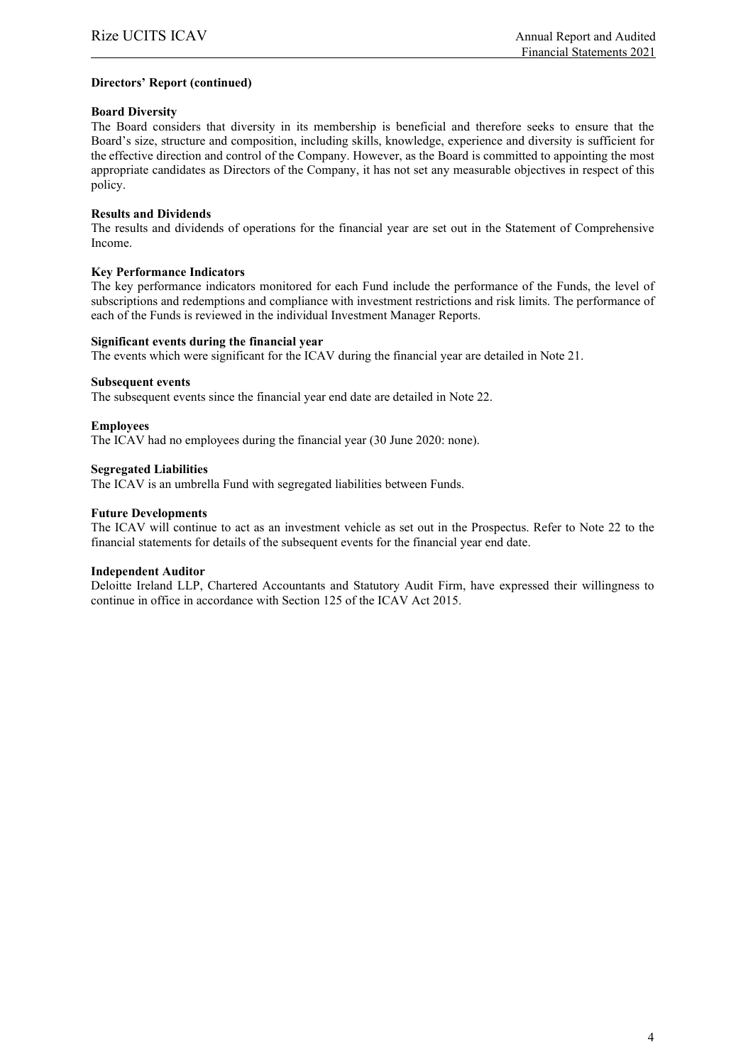#### **Directors' Report (continued)**

#### **Board Diversity**

The Board considers that diversity in its membership is beneficial and therefore seeks to ensure that the Board's size, structure and composition, including skills, knowledge, experience and diversity is sufficient for the effective direction and control of the Company. However, as the Board is committed to appointing the most appropriate candidates as Directors of the Company, it has not set any measurable objectives in respect of this policy.

#### **Results and Dividends**

The results and dividends of operations for the financial year are set out in the Statement of Comprehensive Income.

#### **Key Performance Indicators**

The key performance indicators monitored for each Fund include the performance of the Funds, the level of subscriptions and redemptions and compliance with investment restrictions and risk limits. The performance of each of the Funds is reviewed in the individual Investment Manager Reports.

#### **Significant events during the financial year**

The events which were significant for the ICAV during the financial year are detailed in Note 21.

#### **Subsequent events**

The subsequent events since the financial year end date are detailed in Note 22.

#### **Employees**

The ICAV had no employees during the financial year (30 June 2020: none).

#### **Segregated Liabilities**

The ICAV is an umbrella Fund with segregated liabilities between Funds.

#### **Future Developments**

The ICAV will continue to act as an investment vehicle as set out in the Prospectus. Refer to Note 22 to the financial statements for details of the subsequent events for the financial year end date.

#### **Independent Auditor**

Deloitte Ireland LLP, Chartered Accountants and Statutory Audit Firm, have expressed their willingness to continue in office in accordance with Section 125 of the ICAV Act 2015.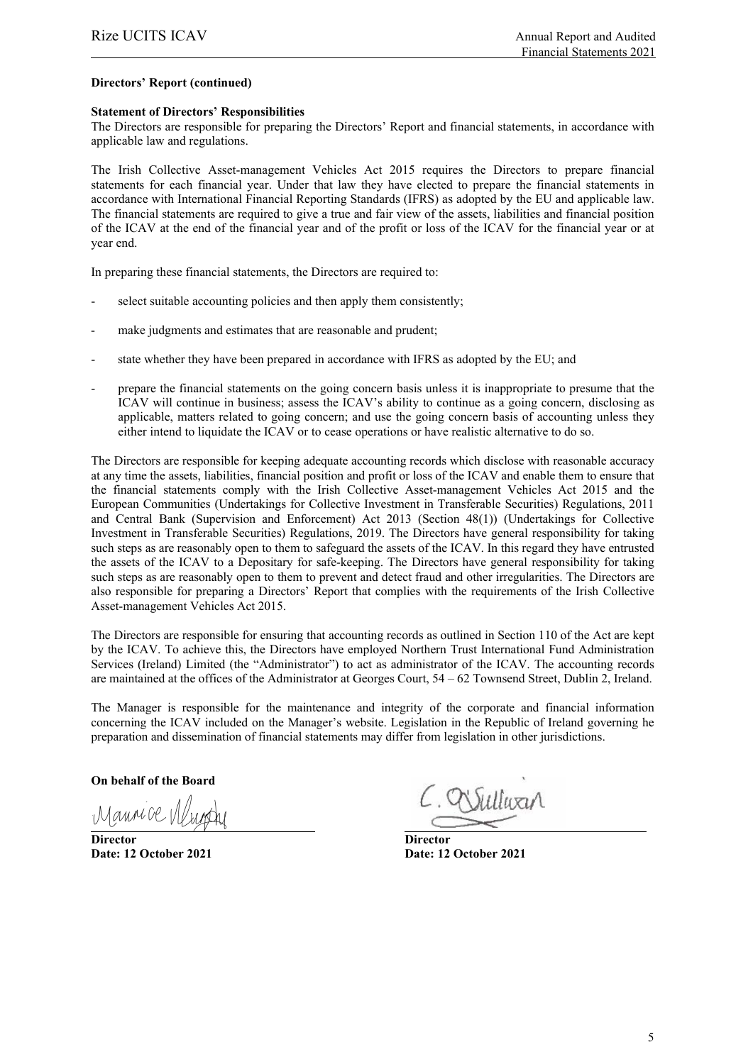#### **Directors' Report (continued)**

#### **Statement of Directors' Responsibilities**

The Directors are responsible for preparing the Directors' Report and financial statements, in accordance with applicable law and regulations.

The Irish Collective Asset-management Vehicles Act 2015 requires the Directors to prepare financial statements for each financial year. Under that law they have elected to prepare the financial statements in accordance with International Financial Reporting Standards (IFRS) as adopted by the EU and applicable law. The financial statements are required to give a true and fair view of the assets, liabilities and financial position of the ICAV at the end of the financial year and of the profit or loss of the ICAV for the financial year or at year end.

In preparing these financial statements, the Directors are required to:

- select suitable accounting policies and then apply them consistently;
- make judgments and estimates that are reasonable and prudent;
- state whether they have been prepared in accordance with IFRS as adopted by the EU; and
- prepare the financial statements on the going concern basis unless it is inappropriate to presume that the ICAV will continue in business; assess the ICAV's ability to continue as a going concern, disclosing as applicable, matters related to going concern; and use the going concern basis of accounting unless they either intend to liquidate the ICAV or to cease operations or have realistic alternative to do so.

The Directors are responsible for keeping adequate accounting records which disclose with reasonable accuracy at any time the assets, liabilities, financial position and profit or loss of the ICAV and enable them to ensure that the financial statements comply with the Irish Collective Asset-management Vehicles Act 2015 and the European Communities (Undertakings for Collective Investment in Transferable Securities) Regulations, 2011 and Central Bank (Supervision and Enforcement) Act 2013 (Section 48(1)) (Undertakings for Collective Investment in Transferable Securities) Regulations, 2019. The Directors have general responsibility for taking such steps as are reasonably open to them to safeguard the assets of the ICAV. In this regard they have entrusted the assets of the ICAV to a Depositary for safe-keeping. The Directors have general responsibility for taking such steps as are reasonably open to them to prevent and detect fraud and other irregularities. The Directors are also responsible for preparing a Directors' Report that complies with the requirements of the Irish Collective Asset-management Vehicles Act 2015.

The Directors are responsible for ensuring that accounting records as outlined in Section 110 of the Act are kept by the ICAV. To achieve this, the Directors have employed Northern Trust International Fund Administration Services (Ireland) Limited (the "Administrator") to act as administrator of the ICAV. The accounting records are maintained at the offices of the Administrator at Georges Court, 54 – 62 Townsend Street, Dublin 2, Ireland.

The Manager is responsible for the maintenance and integrity of the corporate and financial information concerning the ICAV included on the Manager's website. Legislation in the Republic of Ireland governing he preparation and dissemination of financial statements may differ from legislation in other jurisdictions.

**On behalf of the Board**

Manne De VII

**Director Director**

Sulluxa

**Date: 12 October 2021 Date: 12 October 2021**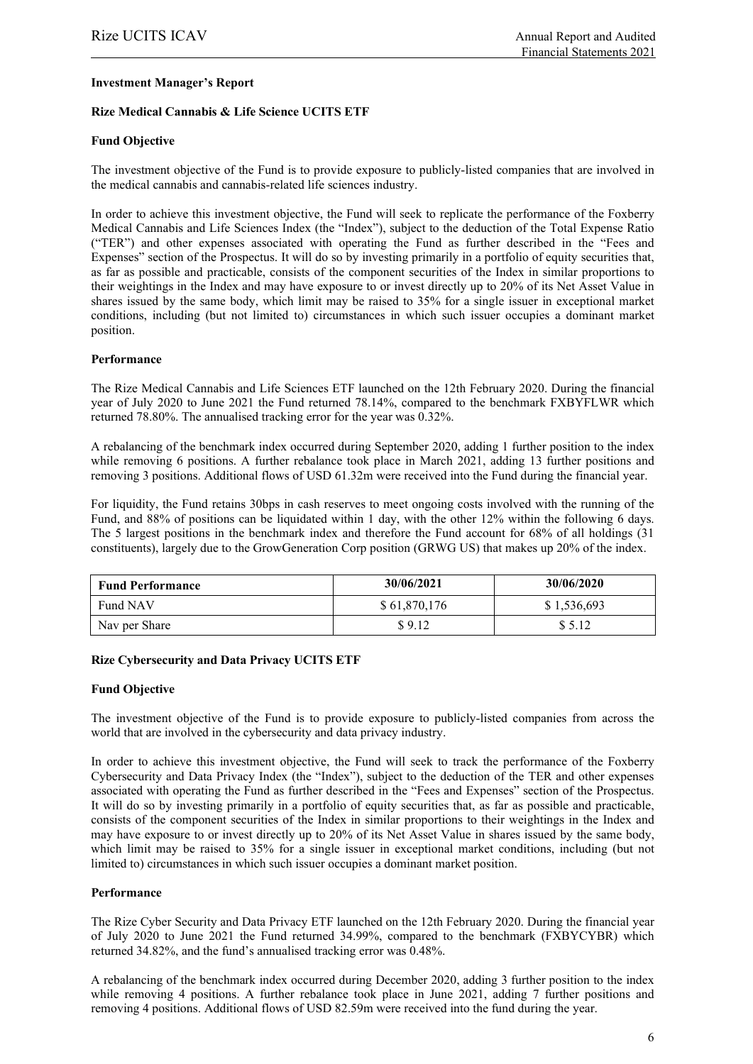#### **Investment Manager's Report**

#### **Rize Medical Cannabis & Life Science UCITS ETF**

#### **Fund Objective**

The investment objective of the Fund is to provide exposure to publicly-listed companies that are involved in the medical cannabis and cannabis-related life sciences industry.

In order to achieve this investment objective, the Fund will seek to replicate the performance of the Foxberry Medical Cannabis and Life Sciences Index (the "Index"), subject to the deduction of the Total Expense Ratio ("TER") and other expenses associated with operating the Fund as further described in the "Fees and Expenses" section of the Prospectus. It will do so by investing primarily in a portfolio of equity securities that, as far as possible and practicable, consists of the component securities of the Index in similar proportions to their weightings in the Index and may have exposure to or invest directly up to 20% of its Net Asset Value in shares issued by the same body, which limit may be raised to 35% for a single issuer in exceptional market conditions, including (but not limited to) circumstances in which such issuer occupies a dominant market position.

#### **Performance**

The Rize Medical Cannabis and Life Sciences ETF launched on the 12th February 2020. During the financial year of July 2020 to June 2021 the Fund returned 78.14%, compared to the benchmark FXBYFLWR which returned 78.80%. The annualised tracking error for the year was 0.32%.

A rebalancing of the benchmark index occurred during September 2020, adding 1 further position to the index while removing 6 positions. A further rebalance took place in March 2021, adding 13 further positions and removing 3 positions. Additional flows of USD 61.32m were received into the Fund during the financial year.

For liquidity, the Fund retains 30bps in cash reserves to meet ongoing costs involved with the running of the Fund, and 88% of positions can be liquidated within 1 day, with the other 12% within the following 6 days. The 5 largest positions in the benchmark index and therefore the Fund account for 68% of all holdings (31 constituents), largely due to the GrowGeneration Corp position (GRWG US) that makes up 20% of the index.

| <b>Fund Performance</b> | 30/06/2021   | 30/06/2020  |
|-------------------------|--------------|-------------|
| Fund NAV                | \$61,870,176 | \$1,536,693 |
| Nav per Share           | \$9.12       | \$5.12      |

#### **Rize Cybersecurity and Data Privacy UCITS ETF**

#### **Fund Objective**

The investment objective of the Fund is to provide exposure to publicly-listed companies from across the world that are involved in the cybersecurity and data privacy industry.

In order to achieve this investment objective, the Fund will seek to track the performance of the Foxberry Cybersecurity and Data Privacy Index (the "Index"), subject to the deduction of the TER and other expenses associated with operating the Fund as further described in the "Fees and Expenses" section of the Prospectus. It will do so by investing primarily in a portfolio of equity securities that, as far as possible and practicable, consists of the component securities of the Index in similar proportions to their weightings in the Index and may have exposure to or invest directly up to 20% of its Net Asset Value in shares issued by the same body, which limit may be raised to 35% for a single issuer in exceptional market conditions, including (but not limited to) circumstances in which such issuer occupies a dominant market position.

#### **Performance**

The Rize Cyber Security and Data Privacy ETF launched on the 12th February 2020. During the financial year of July 2020 to June 2021 the Fund returned 34.99%, compared to the benchmark (FXBYCYBR) which returned 34.82%, and the fund's annualised tracking error was 0.48%.

A rebalancing of the benchmark index occurred during December 2020, adding 3 further position to the index while removing 4 positions. A further rebalance took place in June 2021, adding 7 further positions and removing 4 positions. Additional flows of USD 82.59m were received into the fund during the year.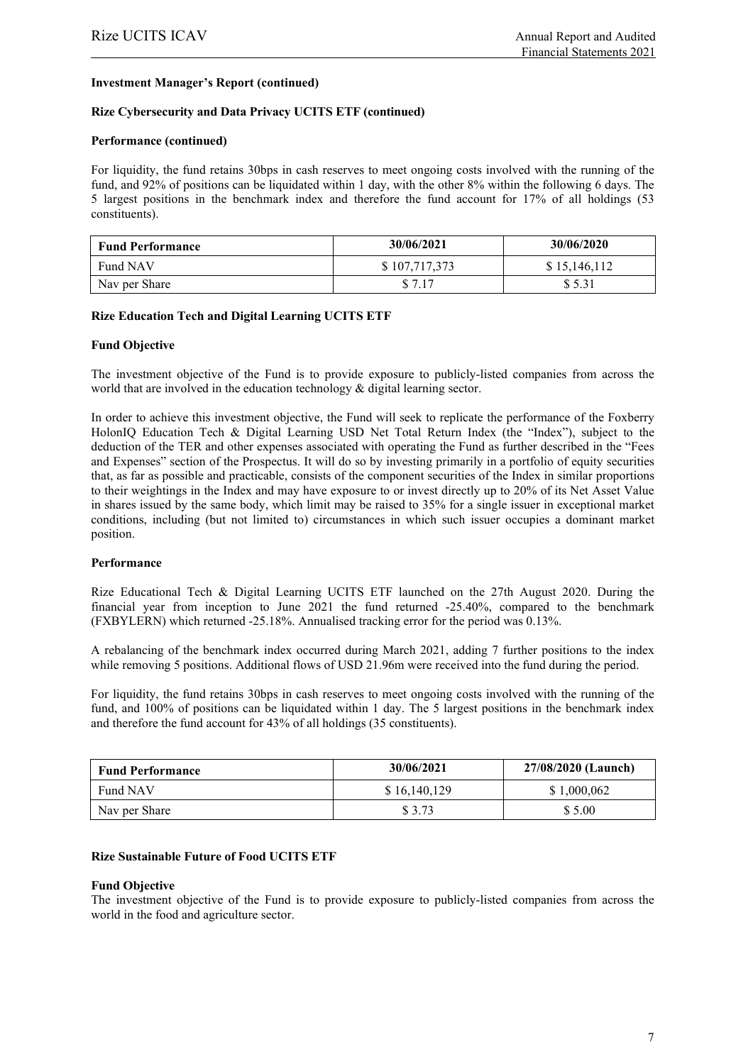#### **Investment Manager's Report (continued)**

#### **Rize Cybersecurity and Data Privacy UCITS ETF (continued)**

#### **Performance (continued)**

For liquidity, the fund retains 30bps in cash reserves to meet ongoing costs involved with the running of the fund, and 92% of positions can be liquidated within 1 day, with the other 8% within the following 6 days. The 5 largest positions in the benchmark index and therefore the fund account for 17% of all holdings (53 constituents).

| <b>Fund Performance</b> | 30/06/2021    | 30/06/2020   |
|-------------------------|---------------|--------------|
| Fund NAV                | \$107,717,373 | \$15,146,112 |
| Nav per Share           | \$7.17        | \$5.31       |

#### **Rize Education Tech and Digital Learning UCITS ETF**

#### **Fund Objective**

The investment objective of the Fund is to provide exposure to publicly-listed companies from across the world that are involved in the education technology & digital learning sector.

In order to achieve this investment objective, the Fund will seek to replicate the performance of the Foxberry HolonIQ Education Tech & Digital Learning USD Net Total Return Index (the "Index"), subject to the deduction of the TER and other expenses associated with operating the Fund as further described in the "Fees and Expenses" section of the Prospectus. It will do so by investing primarily in a portfolio of equity securities that, as far as possible and practicable, consists of the component securities of the Index in similar proportions to their weightings in the Index and may have exposure to or invest directly up to 20% of its Net Asset Value in shares issued by the same body, which limit may be raised to 35% for a single issuer in exceptional market conditions, including (but not limited to) circumstances in which such issuer occupies a dominant market position.

#### **Performance**

Rize Educational Tech & Digital Learning UCITS ETF launched on the 27th August 2020. During the financial year from inception to June 2021 the fund returned -25.40%, compared to the benchmark (FXBYLERN) which returned -25.18%. Annualised tracking error for the period was 0.13%.

A rebalancing of the benchmark index occurred during March 2021, adding 7 further positions to the index while removing 5 positions. Additional flows of USD 21.96m were received into the fund during the period.

For liquidity, the fund retains 30bps in cash reserves to meet ongoing costs involved with the running of the fund, and 100% of positions can be liquidated within 1 day. The 5 largest positions in the benchmark index and therefore the fund account for 43% of all holdings (35 constituents).

| <b>Fund Performance</b> | 30/06/2021   | 27/08/2020 (Launch) |
|-------------------------|--------------|---------------------|
| Fund NAV                | \$16,140,129 | \$1,000,062         |
| Nav per Share           | \$ 3.73      | \$ 5.00             |

#### **Rize Sustainable Future of Food UCITS ETF**

#### **Fund Objective**

The investment objective of the Fund is to provide exposure to publicly-listed companies from across the world in the food and agriculture sector.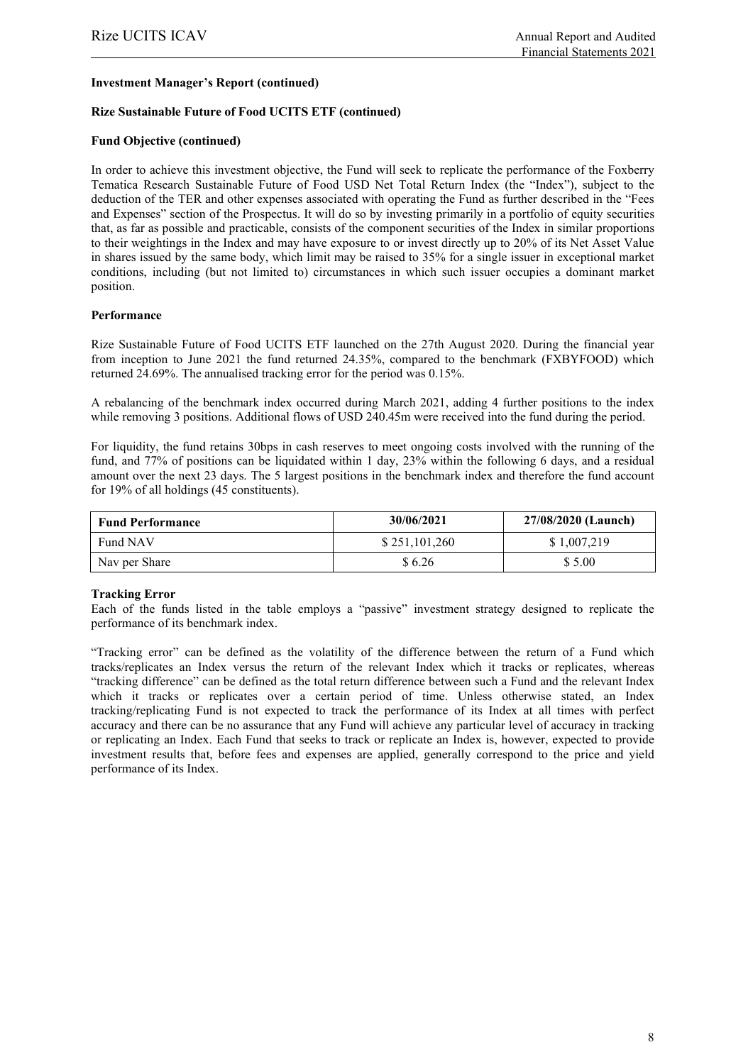#### **Investment Manager's Report (continued)**

#### **Rize Sustainable Future of Food UCITS ETF (continued)**

#### **Fund Objective (continued)**

In order to achieve this investment objective, the Fund will seek to replicate the performance of the Foxberry Tematica Research Sustainable Future of Food USD Net Total Return Index (the "Index"), subject to the deduction of the TER and other expenses associated with operating the Fund as further described in the "Fees and Expenses" section of the Prospectus. It will do so by investing primarily in a portfolio of equity securities that, as far as possible and practicable, consists of the component securities of the Index in similar proportions to their weightings in the Index and may have exposure to or invest directly up to 20% of its Net Asset Value in shares issued by the same body, which limit may be raised to 35% for a single issuer in exceptional market conditions, including (but not limited to) circumstances in which such issuer occupies a dominant market position.

#### **Performance**

Rize Sustainable Future of Food UCITS ETF launched on the 27th August 2020. During the financial year from inception to June 2021 the fund returned 24.35%, compared to the benchmark (FXBYFOOD) which returned 24.69%. The annualised tracking error for the period was 0.15%.

A rebalancing of the benchmark index occurred during March 2021, adding 4 further positions to the index while removing 3 positions. Additional flows of USD 240.45m were received into the fund during the period.

For liquidity, the fund retains 30bps in cash reserves to meet ongoing costs involved with the running of the fund, and 77% of positions can be liquidated within 1 day, 23% within the following 6 days, and a residual amount over the next 23 days. The 5 largest positions in the benchmark index and therefore the fund account for 19% of all holdings (45 constituents).

| <b>Fund Performance</b> | 30/06/2021    | 27/08/2020 (Launch) |
|-------------------------|---------------|---------------------|
| Fund NAV                | \$251,101,260 | \$1,007,219         |
| Nav per Share           | \$6.26        | \$ 5.00             |

### **Tracking Error**

Each of the funds listed in the table employs a "passive" investment strategy designed to replicate the performance of its benchmark index.

"Tracking error" can be defined as the volatility of the difference between the return of a Fund which tracks/replicates an Index versus the return of the relevant Index which it tracks or replicates, whereas "tracking difference" can be defined as the total return difference between such a Fund and the relevant Index which it tracks or replicates over a certain period of time. Unless otherwise stated, an Index tracking/replicating Fund is not expected to track the performance of its Index at all times with perfect accuracy and there can be no assurance that any Fund will achieve any particular level of accuracy in tracking or replicating an Index. Each Fund that seeks to track or replicate an Index is, however, expected to provide investment results that, before fees and expenses are applied, generally correspond to the price and yield performance of its Index.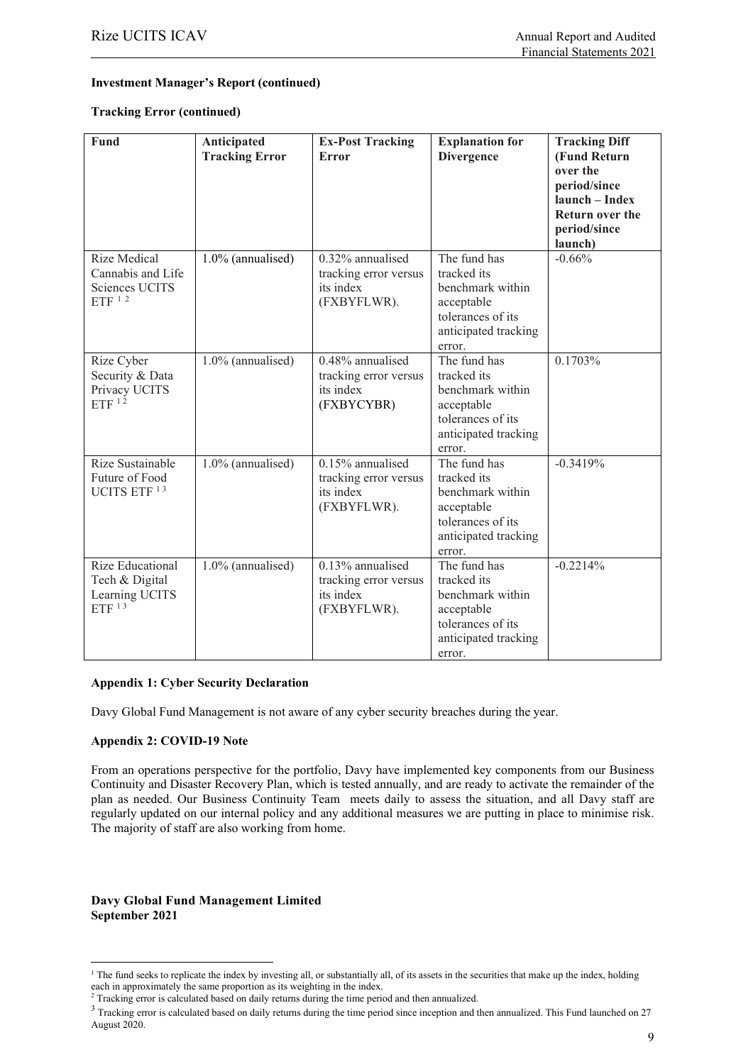#### **Investment Manager's Report (continued)**

#### **Tracking Error (continued)**

| <b>Fund</b>                                                                   | Anticipated<br><b>Tracking Error</b> | <b>Ex-Post Tracking</b><br><b>Error</b>                                  | <b>Explanation for</b><br><b>Divergence</b>                                                                          | <b>Tracking Diff</b><br>(Fund Return<br>over the<br>period/since<br>launch - Index<br><b>Return over the</b><br>period/since<br>launch) |
|-------------------------------------------------------------------------------|--------------------------------------|--------------------------------------------------------------------------|----------------------------------------------------------------------------------------------------------------------|-----------------------------------------------------------------------------------------------------------------------------------------|
| <b>Rize Medical</b><br>Cannabis and Life<br><b>Sciences UCITS</b><br>ETF $12$ | 1.0% (annualised)                    | 0.32% annualised<br>tracking error versus<br>its index<br>(FXBYFLWR).    | The fund has<br>tracked its<br>benchmark within<br>acceptable<br>tolerances of its<br>anticipated tracking<br>error. | $-0.66%$                                                                                                                                |
| Rize Cyber<br>Security & Data<br>Privacy UCITS<br>$ETF$ <sup>12</sup>         | 1.0% (annualised)                    | 0.48% annualised<br>tracking error versus<br>its index<br>(FXBYCYBR)     | The fund has<br>tracked its<br>benchmark within<br>acceptable<br>tolerances of its<br>anticipated tracking<br>error. | 0.1703%                                                                                                                                 |
| Rize Sustainable<br>Future of Food<br>UCITS ETF <sup>13</sup>                 | 1.0% (annualised)                    | $0.15\%$ annualised<br>tracking error versus<br>its index<br>(FXBYFLWR). | The fund has<br>tracked its<br>benchmark within<br>acceptable<br>tolerances of its<br>anticipated tracking<br>error. | $-0.3419%$                                                                                                                              |
| Rize Educational<br>Tech & Digital<br>Learning UCITS<br>$ETF$ <sup>13</sup>   | 1.0% (annualised)                    | $0.13\%$ annualised<br>tracking error versus<br>its index<br>(FXBYFLWR). | The fund has<br>tracked its<br>benchmark within<br>acceptable<br>tolerances of its<br>anticipated tracking<br>error. | $-0.2214%$                                                                                                                              |

#### **Appendix 1: Cyber Security Declaration**

Davy Global Fund Management is not aware of any cyber security breaches during the year.

#### **Appendix 2: COVID-19 Note**

From an operations perspective for the portfolio, Davy have implemented key components from our Business Continuity and Disaster Recovery Plan, which is tested annually, and are ready to activate the remainder of the plan as needed. Our Business Continuity Team meets daily to assess the situation, and all Davy staff are regularly updated on our internal policy and any additional measures we are putting in place to minimise risk. The majority of staff are also working from home.

#### **Davy Global Fund Management Limited September 2021**

<span id="page-10-0"></span><sup>&</sup>lt;sup>1</sup> The fund seeks to replicate the index by investing all, or substantially all, of its assets in the securities that make up the index, holding each in approximately the same proportion as its weighting in the index.

 $2$  Tracking error is calculated based on daily returns during the time period and then annualized.

<span id="page-10-1"></span><sup>&</sup>lt;sup>3</sup> Tracking error is calculated based on daily returns during the time period since inception and then annualized. This Fund launched on 27 August 2020.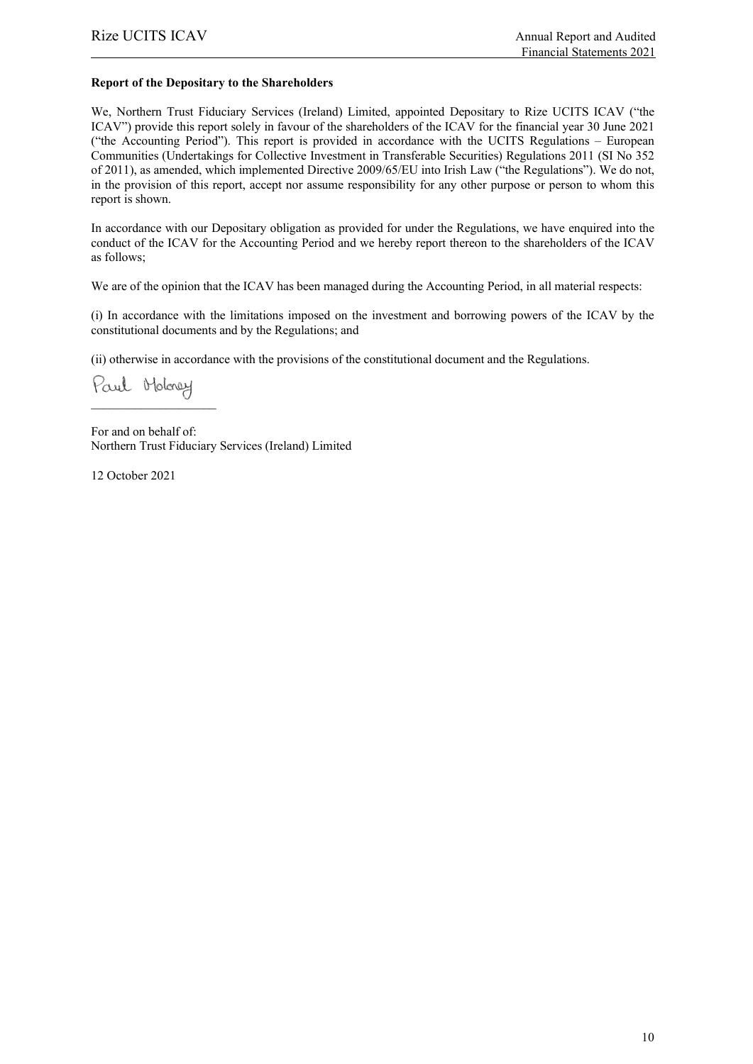#### **Report of the Depositary to the Shareholders**

We, Northern Trust Fiduciary Services (Ireland) Limited, appointed Depositary to Rize UCITS ICAV ("the ICAV") provide this report solely in favour of the shareholders of the ICAV for the financial year 30 June 2021 ("the Accounting Period"). This report is provided in accordance with the UCITS Regulations – European Communities (Undertakings for Collective Investment in Transferable Securities) Regulations 2011 (SI No 352 of 2011), as amended, which implemented Directive 2009/65/EU into Irish Law ("the Regulations"). We do not, in the provision of this report, accept nor assume responsibility for any other purpose or person to whom this report is shown.

In accordance with our Depositary obligation as provided for under the Regulations, we have enquired into the conduct of the ICAV for the Accounting Period and we hereby report thereon to the shareholders of the ICAV as follows;

We are of the opinion that the ICAV has been managed during the Accounting Period, in all material respects:

(i) In accordance with the limitations imposed on the investment and borrowing powers of the ICAV by the constitutional documents and by the Regulations; and

(ii) otherwise in accordance with the provisions of the constitutional document and the Regulations.

Paul Holoney  $\overline{\phantom{a}}$  , and the set of the set of the set of the set of the set of the set of the set of the set of the set of the set of the set of the set of the set of the set of the set of the set of the set of the set of the s

For and on behalf of: Northern Trust Fiduciary Services (Ireland) Limited

12 October 2021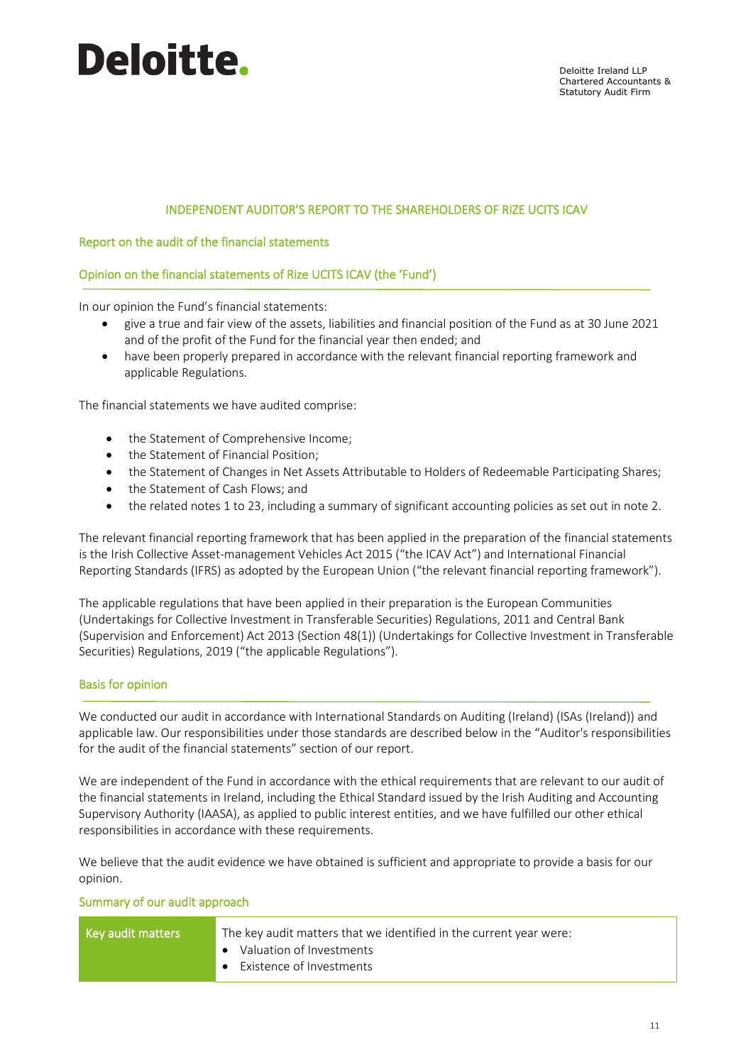# INDEPENDENT AUDITOR'S REPORT TO THE SHAREHOLDERS OF RIZE UCITS ICAV

# Report on the audit of the financial statements

# Opinion on the financial statements of Rize UCITS ICAV (the 'Fund')

In our opinion the Fund's financial statements:

- give a true and fair view of the assets, liabilities and financial position of the Fund as at 30 June 2021 and of the profit of the Fund for the financial year then ended; and
- have been properly prepared in accordance with the relevant financial reporting framework and applicable Regulations.

The financial statements we have audited comprise:

- the Statement of Comprehensive Income;
- the Statement of Financial Position;
- the Statement of Changes in Net Assets Attributable to Holders of Redeemable Participating Shares;
- the Statement of Cash Flows; and
- the related notes 1 to 23, including a summary of significant accounting policies as set out in note 2.

The relevant financial reporting framework that has been applied in the preparation of the financial statements is the Irish Collective Asset-management Vehicles Act 2015 ("the ICAV Act") and International Financial Reporting Standards (IFRS) as adopted by the European Union ("the relevant financial reporting framework").

The applicable regulations that have been applied in their preparation is the European Communities (Undertakings for Collective Investment in Transferable Securities) Regulations, 2011 and Central Bank (Supervision and Enforcement) Act 2013 (Section 48(1)) (Undertakings for Collective Investment in Transferable Securities) Regulations, 2019 ("the applicable Regulations").

### Basis for opinion

We conducted our audit in accordance with International Standards on Auditing (Ireland) (ISAs (Ireland)) and applicable law. Our responsibilities under those standards are described below in the "Auditor's responsibilities for the audit of the financial statements" section of our report.

We are independent of the Fund in accordance with the ethical requirements that are relevant to our audit of the financial statements in Ireland, including the Ethical Standard issued by the Irish Auditing and Accounting Supervisory Authority (IAASA), as applied to public interest entities, and we have fulfilled our other ethical responsibilities in accordance with these requirements.

We believe that the audit evidence we have obtained is sufficient and appropriate to provide a basis for our opinion.

#### Summary of our audit approach

| Key audit matters | The key audit matters that we identified in the current year were: |
|-------------------|--------------------------------------------------------------------|
|                   | • Valuation of Investments                                         |
|                   | Existence of Investments<br>$\bullet$                              |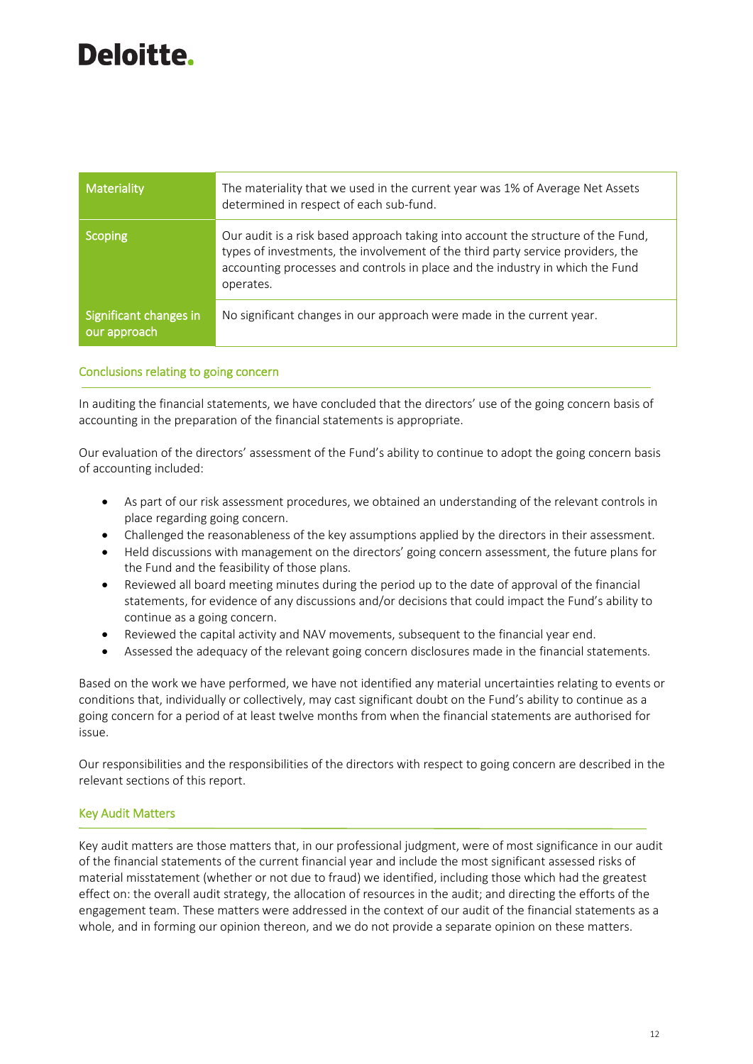| Materiality                            | The materiality that we used in the current year was 1% of Average Net Assets<br>determined in respect of each sub-fund.                                                                                                                                           |
|----------------------------------------|--------------------------------------------------------------------------------------------------------------------------------------------------------------------------------------------------------------------------------------------------------------------|
| <b>Scoping</b>                         | Our audit is a risk based approach taking into account the structure of the Fund,<br>types of investments, the involvement of the third party service providers, the<br>accounting processes and controls in place and the industry in which the Fund<br>operates. |
| Significant changes in<br>our approach | No significant changes in our approach were made in the current year.                                                                                                                                                                                              |

### Conclusions relating to going concern

In auditing the financial statements, we have concluded that the directors' use of the going concern basis of accounting in the preparation of the financial statements is appropriate.

Our evaluation of the directors' assessment of the Fund's ability to continue to adopt the going concern basis of accounting included:

- As part of our risk assessment procedures, we obtained an understanding of the relevant controls in place regarding going concern.
- Challenged the reasonableness of the key assumptions applied by the directors in their assessment.
- Held discussions with management on the directors' going concern assessment, the future plans for the Fund and the feasibility of those plans.
- Reviewed all board meeting minutes during the period up to the date of approval of the financial statements, for evidence of any discussions and/or decisions that could impact the Fund's ability to continue as a going concern.
- Reviewed the capital activity and NAV movements, subsequent to the financial year end.
- Assessed the adequacy of the relevant going concern disclosures made in the financial statements.

Based on the work we have performed, we have not identified any material uncertainties relating to events or conditions that, individually or collectively, may cast significant doubt on the Fund's ability to continue as a going concern for a period of at least twelve months from when the financial statements are authorised for issue.

Our responsibilities and the responsibilities of the directors with respect to going concern are described in the relevant sections of this report.

#### Key Audit Matters

Key audit matters are those matters that, in our professional judgment, were of most significance in our audit of the financial statements of the current financial year and include the most significant assessed risks of material misstatement (whether or not due to fraud) we identified, including those which had the greatest effect on: the overall audit strategy, the allocation of resources in the audit; and directing the efforts of the engagement team. These matters were addressed in the context of our audit of the financial statements as a whole, and in forming our opinion thereon, and we do not provide a separate opinion on these matters.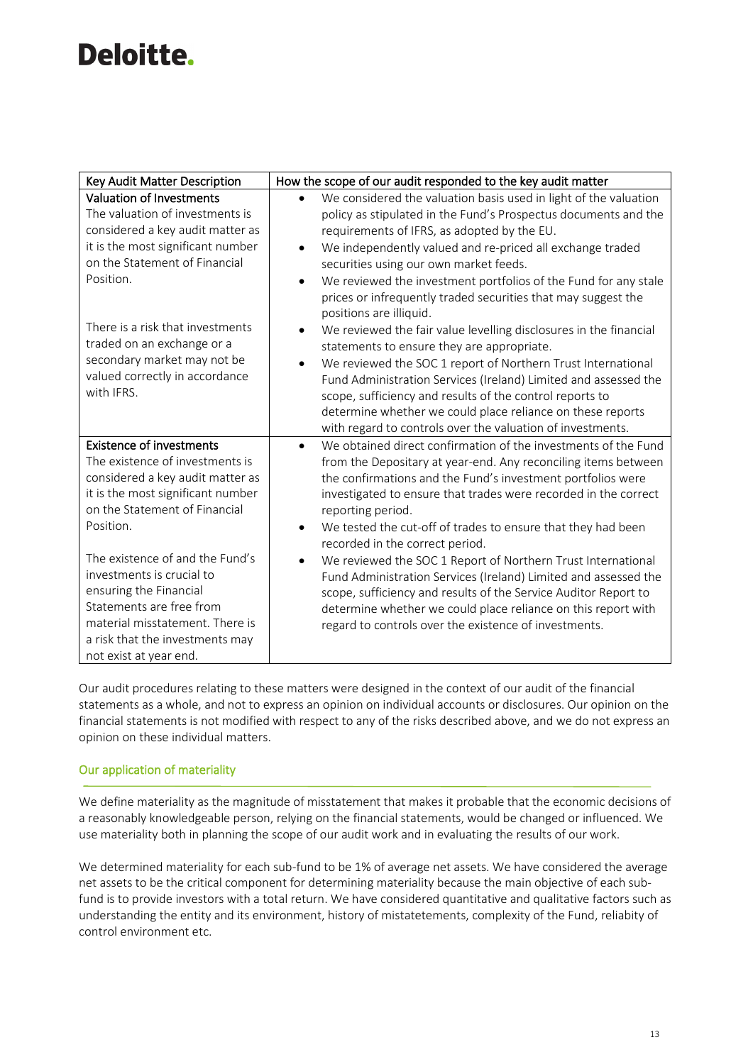| Key Audit Matter Description                              | How the scope of our audit responded to the key audit matter                             |
|-----------------------------------------------------------|------------------------------------------------------------------------------------------|
| Valuation of Investments                                  | We considered the valuation basis used in light of the valuation                         |
| The valuation of investments is                           | policy as stipulated in the Fund's Prospectus documents and the                          |
| considered a key audit matter as                          | requirements of IFRS, as adopted by the EU.                                              |
| it is the most significant number                         | We independently valued and re-priced all exchange traded<br>$\bullet$                   |
| on the Statement of Financial                             | securities using our own market feeds.                                                   |
| Position.                                                 | We reviewed the investment portfolios of the Fund for any stale<br>$\bullet$             |
|                                                           | prices or infrequently traded securities that may suggest the<br>positions are illiquid. |
| There is a risk that investments                          | We reviewed the fair value levelling disclosures in the financial<br>$\bullet$           |
| traded on an exchange or a                                | statements to ensure they are appropriate.                                               |
| secondary market may not be                               | We reviewed the SOC 1 report of Northern Trust International                             |
| valued correctly in accordance                            | Fund Administration Services (Ireland) Limited and assessed the                          |
| with IFRS.                                                | scope, sufficiency and results of the control reports to                                 |
|                                                           | determine whether we could place reliance on these reports                               |
|                                                           | with regard to controls over the valuation of investments.                               |
| <b>Existence of investments</b>                           | We obtained direct confirmation of the investments of the Fund<br>$\bullet$              |
| The existence of investments is                           | from the Depositary at year-end. Any reconciling items between                           |
| considered a key audit matter as                          | the confirmations and the Fund's investment portfolios were                              |
| it is the most significant number                         | investigated to ensure that trades were recorded in the correct                          |
| on the Statement of Financial                             | reporting period.                                                                        |
| Position.                                                 | We tested the cut-off of trades to ensure that they had been<br>٠                        |
| The existence of and the Fund's                           | recorded in the correct period.                                                          |
| investments is crucial to                                 | We reviewed the SOC 1 Report of Northern Trust International<br>$\bullet$                |
| ensuring the Financial                                    | Fund Administration Services (Ireland) Limited and assessed the                          |
| Statements are free from                                  | scope, sufficiency and results of the Service Auditor Report to                          |
| material misstatement. There is                           | determine whether we could place reliance on this report with                            |
|                                                           | regard to controls over the existence of investments.                                    |
|                                                           |                                                                                          |
| a risk that the investments may<br>not exist at year end. |                                                                                          |

Our audit procedures relating to these matters were designed in the context of our audit of the financial statements as a whole, and not to express an opinion on individual accounts or disclosures. Our opinion on the financial statements is not modified with respect to any of the risks described above, and we do not express an opinion on these individual matters.

# Our application of materiality

We define materiality as the magnitude of misstatement that makes it probable that the economic decisions of a reasonably knowledgeable person, relying on the financial statements, would be changed or influenced. We use materiality both in planning the scope of our audit work and in evaluating the results of our work.

We determined materiality for each sub-fund to be 1% of average net assets. We have considered the average net assets to be the critical component for determining materiality because the main objective of each subfund is to provide investors with a total return. We have considered quantitative and qualitative factors such as understanding the entity and its environment, history of mistatetements, complexity of the Fund, reliabity of control environment etc.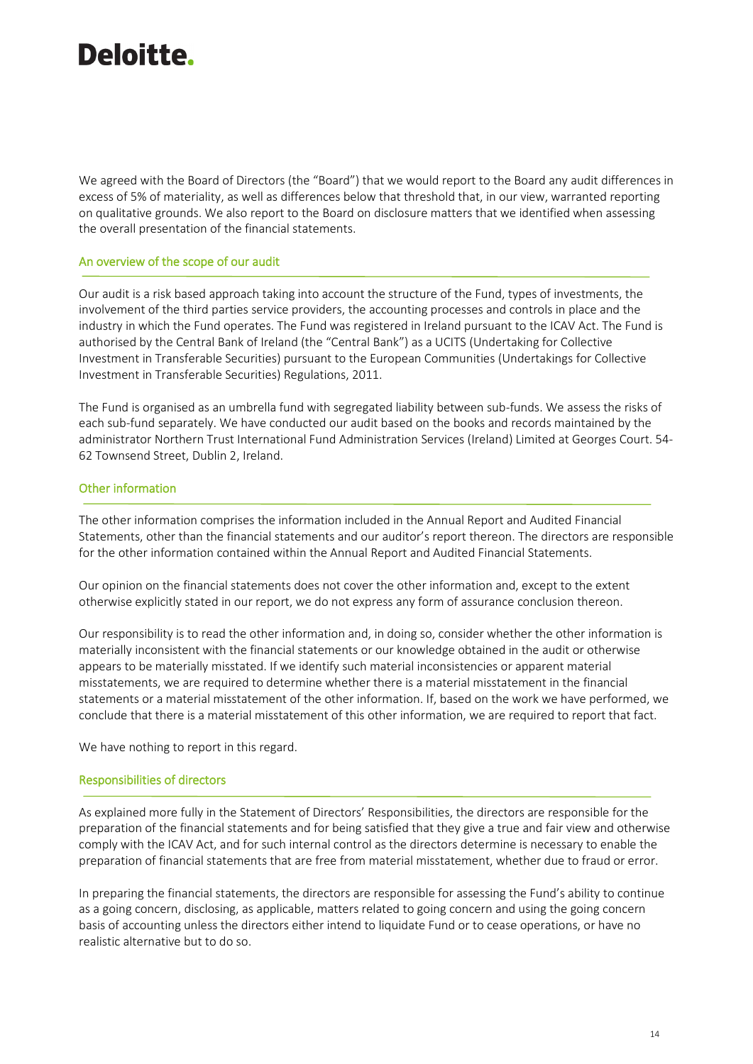We agreed with the Board of Directors (the "Board") that we would report to the Board any audit differences in excess of 5% of materiality, as well as differences below that threshold that, in our view, warranted reporting on qualitative grounds. We also report to the Board on disclosure matters that we identified when assessing the overall presentation of the financial statements.

#### An overview of the scope of our audit

Our audit is a risk based approach taking into account the structure of the Fund, types of investments, the involvement of the third parties service providers, the accounting processes and controls in place and the industry in which the Fund operates. The Fund was registered in Ireland pursuant to the ICAV Act. The Fund is authorised by the Central Bank of Ireland (the "Central Bank") as a UCITS (Undertaking for Collective Investment in Transferable Securities) pursuant to the European Communities (Undertakings for Collective Investment in Transferable Securities) Regulations, 2011.

The Fund is organised as an umbrella fund with segregated liability between sub-funds. We assess the risks of each sub-fund separately. We have conducted our audit based on the books and records maintained by the administrator Northern Trust International Fund Administration Services (Ireland) Limited at Georges Court. 54- 62 Townsend Street, Dublin 2, Ireland.

### Other information

The other information comprises the information included in the Annual Report and Audited Financial Statements, other than the financial statements and our auditor's report thereon. The directors are responsible for the other information contained within the Annual Report and Audited Financial Statements.

Our opinion on the financial statements does not cover the other information and, except to the extent otherwise explicitly stated in our report, we do not express any form of assurance conclusion thereon.

Our responsibility is to read the other information and, in doing so, consider whether the other information is materially inconsistent with the financial statements or our knowledge obtained in the audit or otherwise appears to be materially misstated. If we identify such material inconsistencies or apparent material misstatements, we are required to determine whether there is a material misstatement in the financial statements or a material misstatement of the other information. If, based on the work we have performed, we conclude that there is a material misstatement of this other information, we are required to report that fact.

We have nothing to report in this regard.

### Responsibilities of directors

As explained more fully in the Statement of Directors' Responsibilities, the directors are responsible for the preparation of the financial statements and for being satisfied that they give a true and fair view and otherwise comply with the ICAV Act, and for such internal control as the directors determine is necessary to enable the preparation of financial statements that are free from material misstatement, whether due to fraud or error.

In preparing the financial statements, the directors are responsible for assessing the Fund's ability to continue as a going concern, disclosing, as applicable, matters related to going concern and using the going concern basis of accounting unless the directors either intend to liquidate Fund or to cease operations, or have no realistic alternative but to do so.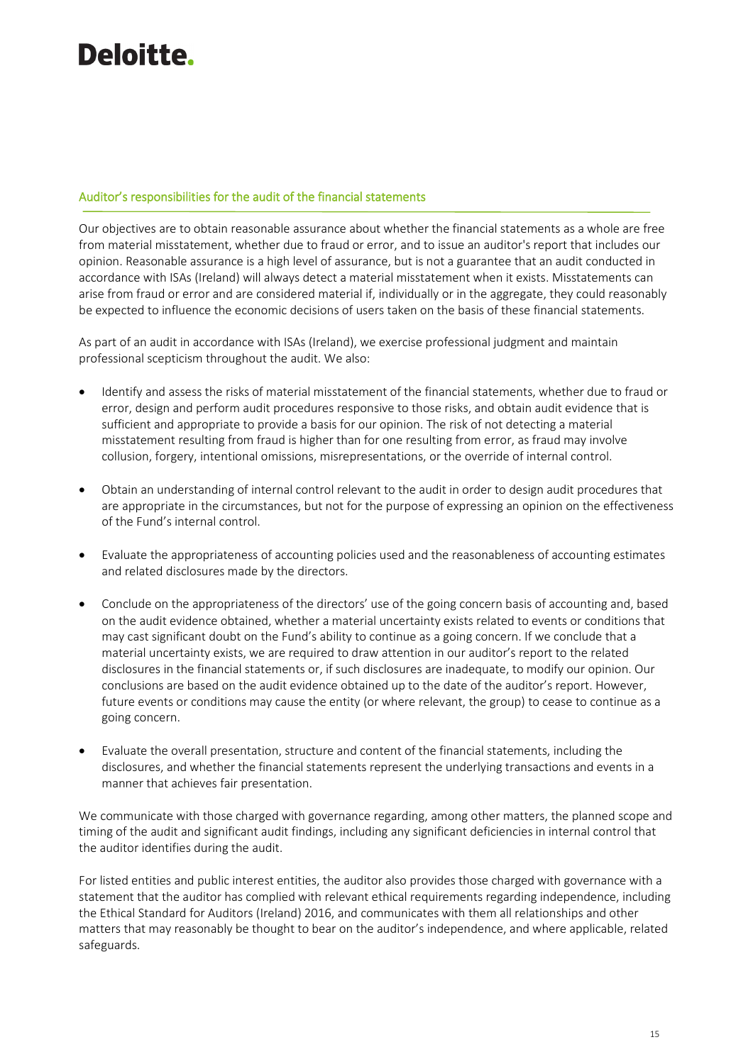# Auditor's responsibilities for the audit of the financial statements

Our objectives are to obtain reasonable assurance about whether the financial statements as a whole are free from material misstatement, whether due to fraud or error, and to issue an auditor's report that includes our opinion. Reasonable assurance is a high level of assurance, but is not a guarantee that an audit conducted in accordance with ISAs (Ireland) will always detect a material misstatement when it exists. Misstatements can arise from fraud or error and are considered material if, individually or in the aggregate, they could reasonably be expected to influence the economic decisions of users taken on the basis of these financial statements.

As part of an audit in accordance with ISAs (Ireland), we exercise professional judgment and maintain professional scepticism throughout the audit. We also:

- Identify and assess the risks of material misstatement of the financial statements, whether due to fraud or error, design and perform audit procedures responsive to those risks, and obtain audit evidence that is sufficient and appropriate to provide a basis for our opinion. The risk of not detecting a material misstatement resulting from fraud is higher than for one resulting from error, as fraud may involve collusion, forgery, intentional omissions, misrepresentations, or the override of internal control.
- Obtain an understanding of internal control relevant to the audit in order to design audit procedures that are appropriate in the circumstances, but not for the purpose of expressing an opinion on the effectiveness of the Fund's internal control.
- Evaluate the appropriateness of accounting policies used and the reasonableness of accounting estimates and related disclosures made by the directors.
- Conclude on the appropriateness of the directors' use of the going concern basis of accounting and, based on the audit evidence obtained, whether a material uncertainty exists related to events or conditions that may cast significant doubt on the Fund's ability to continue as a going concern. If we conclude that a material uncertainty exists, we are required to draw attention in our auditor's report to the related disclosures in the financial statements or, if such disclosures are inadequate, to modify our opinion. Our conclusions are based on the audit evidence obtained up to the date of the auditor's report. However, future events or conditions may cause the entity (or where relevant, the group) to cease to continue as a going concern.
- Evaluate the overall presentation, structure and content of the financial statements, including the disclosures, and whether the financial statements represent the underlying transactions and events in a manner that achieves fair presentation.

We communicate with those charged with governance regarding, among other matters, the planned scope and timing of the audit and significant audit findings, including any significant deficiencies in internal control that the auditor identifies during the audit.

For listed entities and public interest entities, the auditor also provides those charged with governance with a statement that the auditor has complied with relevant ethical requirements regarding independence, including the Ethical Standard for Auditors (Ireland) 2016, and communicates with them all relationships and other matters that may reasonably be thought to bear on the auditor's independence, and where applicable, related safeguards.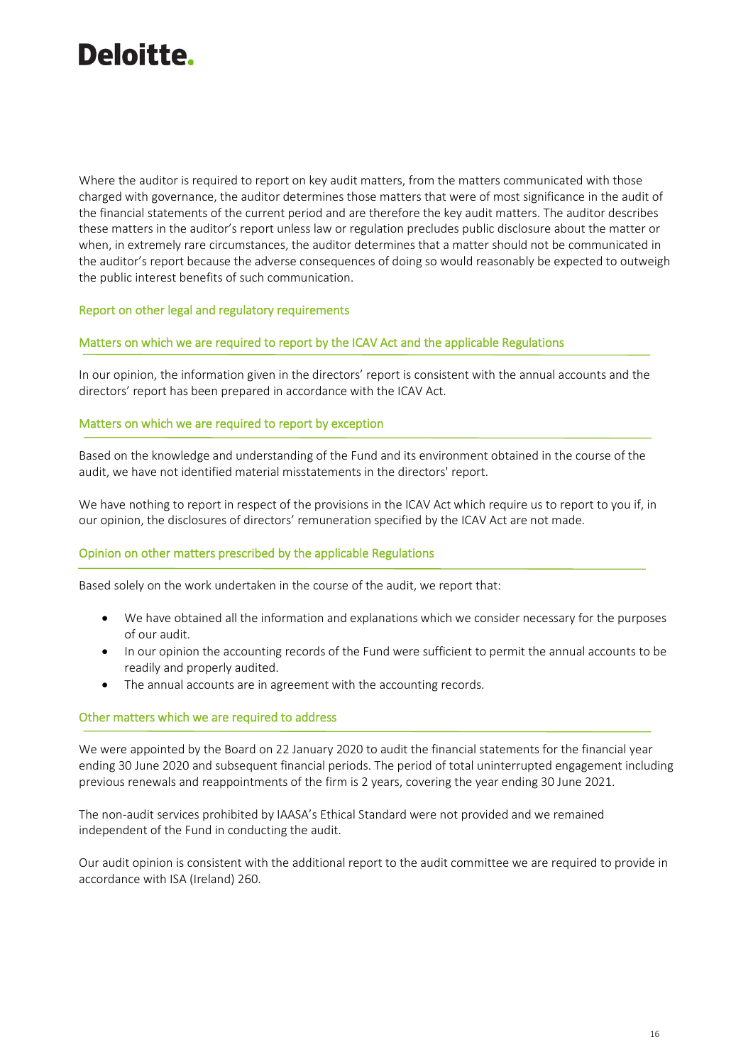

Where the auditor is required to report on key audit matters, from the matters communicated with those charged with governance, the auditor determines those matters that were of most significance in the audit of the financial statements of the current period and are therefore the key audit matters. The auditor describes these matters in the auditor's report unless law or regulation precludes public disclosure about the matter or when, in extremely rare circumstances, the auditor determines that a matter should not be communicated in the auditor's report because the adverse consequences of doing so would reasonably be expected to outweigh the public interest benefits of such communication.

### Report on other legal and regulatory requirements

#### Matters on which we are required to report by the ICAV Act and the applicable Regulations

In our opinion, the information given in the directors' report is consistent with the annual accounts and the directors' report has been prepared in accordance with the ICAV Act.

#### Matters on which we are required to report by exception

Based on the knowledge and understanding of the Fund and its environment obtained in the course of the audit, we have not identified material misstatements in the directors' report.

We have nothing to report in respect of the provisions in the ICAV Act which require us to report to you if, in our opinion, the disclosures of directors' remuneration specified by the ICAV Act are not made.

#### Opinion on other matters prescribed by the applicable Regulations

Based solely on the work undertaken in the course of the audit, we report that:

- We have obtained all the information and explanations which we consider necessary for the purposes of our audit.
- In our opinion the accounting records of the Fund were sufficient to permit the annual accounts to be readily and properly audited.
- The annual accounts are in agreement with the accounting records.

#### Other matters which we are required to address

We were appointed by the Board on 22 January 2020 to audit the financial statements for the financial year ending 30 June 2020 and subsequent financial periods. The period of total uninterrupted engagement including previous renewals and reappointments of the firm is 2 years, covering the year ending 30 June 2021.

The non-audit services prohibited by IAASA's Ethical Standard were not provided and we remained independent of the Fund in conducting the audit.

Our audit opinion is consistent with the additional report to the audit committee we are required to provide in accordance with ISA (Ireland) 260.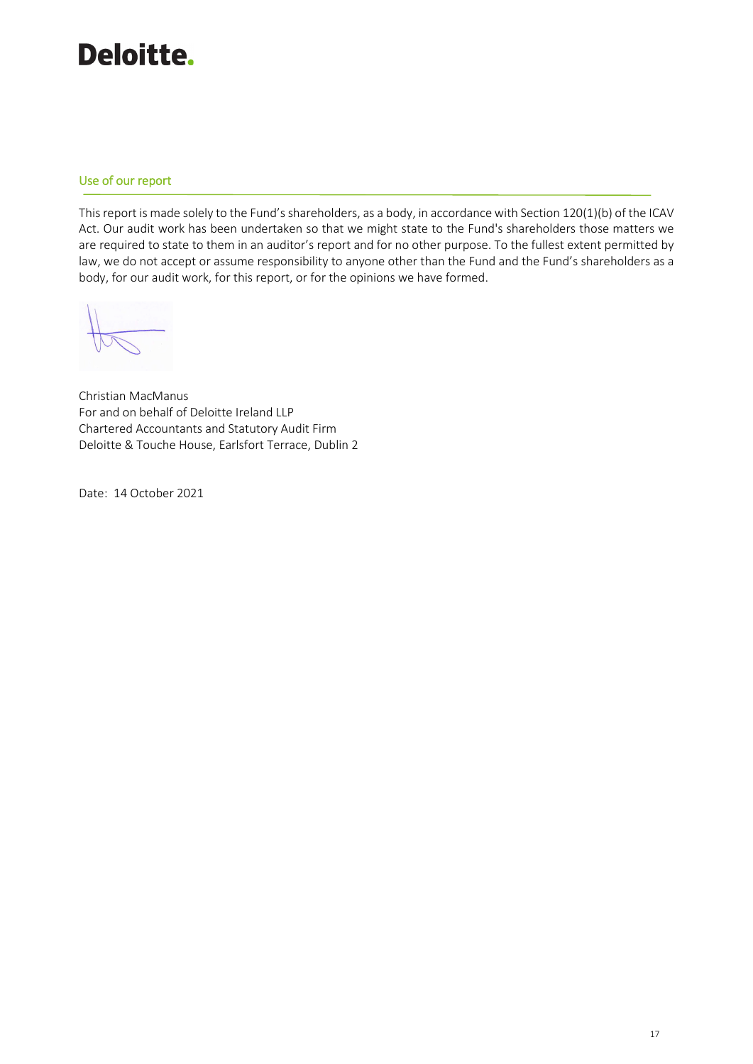# Use of our report

This report is made solely to the Fund's shareholders, as a body, in accordance with Section 120(1)(b) of the ICAV Act. Our audit work has been undertaken so that we might state to the Fund's shareholders those matters we are required to state to them in an auditor's report and for no other purpose. To the fullest extent permitted by law, we do not accept or assume responsibility to anyone other than the Fund and the Fund's shareholders as a body, for our audit work, for this report, or for the opinions we have formed.

Christian MacManus For and on behalf of Deloitte Ireland LLP Chartered Accountants and Statutory Audit Firm Deloitte & Touche House, Earlsfort Terrace, Dublin 2

Date: 14 October 2021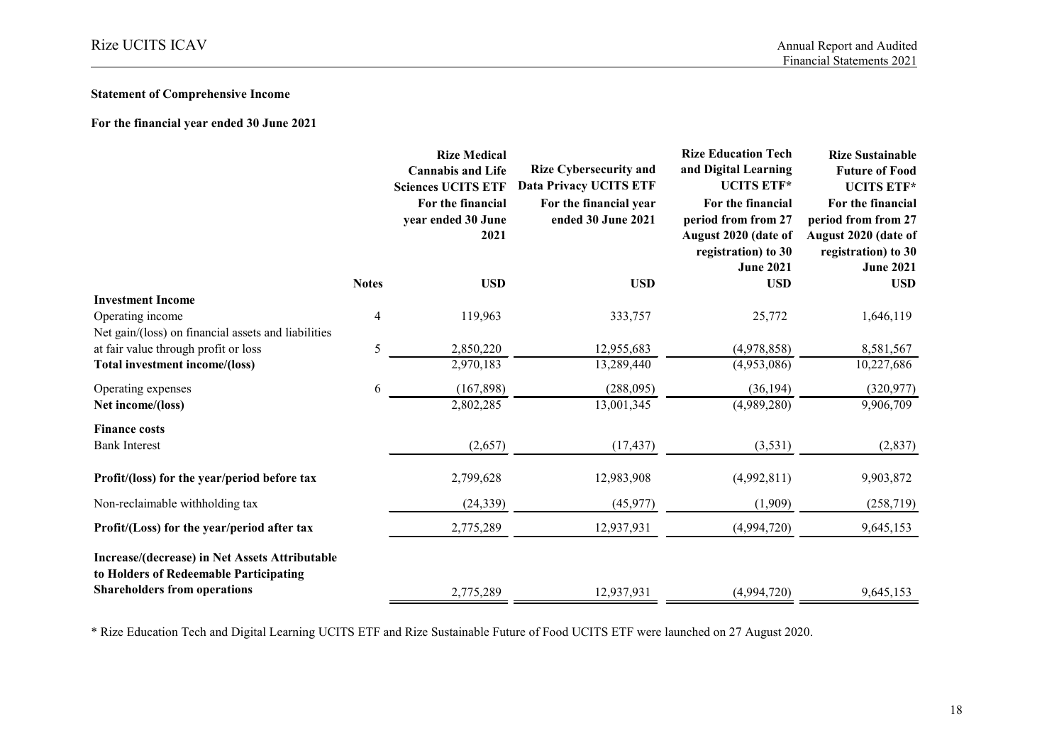# **Statement of Comprehensive Income**

**For the financial year ended 30 June 2021**

|                                                                                                                                 |              | <b>Rize Medical</b><br><b>Cannabis and Life</b><br><b>Sciences UCITS ETF</b><br>For the financial<br>year ended 30 June<br>2021 | <b>Rize Cybersecurity and</b><br><b>Data Privacy UCITS ETF</b><br>For the financial year<br>ended 30 June 2021 | <b>Rize Education Tech</b><br>and Digital Learning<br><b>UCITS ETF*</b><br>For the financial<br>period from from 27<br>August 2020 (date of<br>registration) to 30<br><b>June 2021</b> | <b>Rize Sustainable</b><br><b>Future of Food</b><br><b>UCITS ETF*</b><br>For the financial<br>period from from 27<br>August 2020 (date of<br>registration) to 30<br><b>June 2021</b> |
|---------------------------------------------------------------------------------------------------------------------------------|--------------|---------------------------------------------------------------------------------------------------------------------------------|----------------------------------------------------------------------------------------------------------------|----------------------------------------------------------------------------------------------------------------------------------------------------------------------------------------|--------------------------------------------------------------------------------------------------------------------------------------------------------------------------------------|
|                                                                                                                                 | <b>Notes</b> | <b>USD</b>                                                                                                                      | <b>USD</b>                                                                                                     | <b>USD</b>                                                                                                                                                                             | <b>USD</b>                                                                                                                                                                           |
| <b>Investment Income</b><br>Operating income<br>Net gain/(loss) on financial assets and liabilities                             | 4            | 119,963                                                                                                                         | 333,757                                                                                                        | 25,772                                                                                                                                                                                 | 1,646,119                                                                                                                                                                            |
| at fair value through profit or loss                                                                                            | 5            | 2,850,220                                                                                                                       | 12,955,683                                                                                                     | (4,978,858)                                                                                                                                                                            | 8,581,567                                                                                                                                                                            |
| Total investment income/(loss)                                                                                                  |              | 2,970,183                                                                                                                       | 13,289,440                                                                                                     | (4,953,086)                                                                                                                                                                            | 10,227,686                                                                                                                                                                           |
| Operating expenses                                                                                                              | 6            | (167, 898)                                                                                                                      | (288,095)                                                                                                      | (36, 194)                                                                                                                                                                              | (320, 977)                                                                                                                                                                           |
| Net income/(loss)                                                                                                               |              | 2,802,285                                                                                                                       | 13,001,345                                                                                                     | (4,989,280)                                                                                                                                                                            | 9,906,709                                                                                                                                                                            |
| <b>Finance costs</b><br><b>Bank Interest</b>                                                                                    |              | (2,657)                                                                                                                         | (17, 437)                                                                                                      | (3,531)                                                                                                                                                                                | (2,837)                                                                                                                                                                              |
| Profit/(loss) for the year/period before tax                                                                                    |              | 2,799,628                                                                                                                       | 12,983,908                                                                                                     | (4,992,811)                                                                                                                                                                            | 9,903,872                                                                                                                                                                            |
| Non-reclaimable withholding tax                                                                                                 |              | (24, 339)                                                                                                                       | (45, 977)                                                                                                      | (1,909)                                                                                                                                                                                | (258, 719)                                                                                                                                                                           |
| Profit/(Loss) for the year/period after tax                                                                                     |              | 2,775,289                                                                                                                       | 12,937,931                                                                                                     | (4,994,720)                                                                                                                                                                            | 9,645,153                                                                                                                                                                            |
| Increase/(decrease) in Net Assets Attributable<br>to Holders of Redeemable Participating<br><b>Shareholders from operations</b> |              | 2,775,289                                                                                                                       | 12,937,931                                                                                                     | (4,994,720)                                                                                                                                                                            | 9,645,153                                                                                                                                                                            |

\* Rize Education Tech and Digital Learning UCITS ETF and Rize Sustainable Future of Food UCITS ETF were launched on 27 August 2020.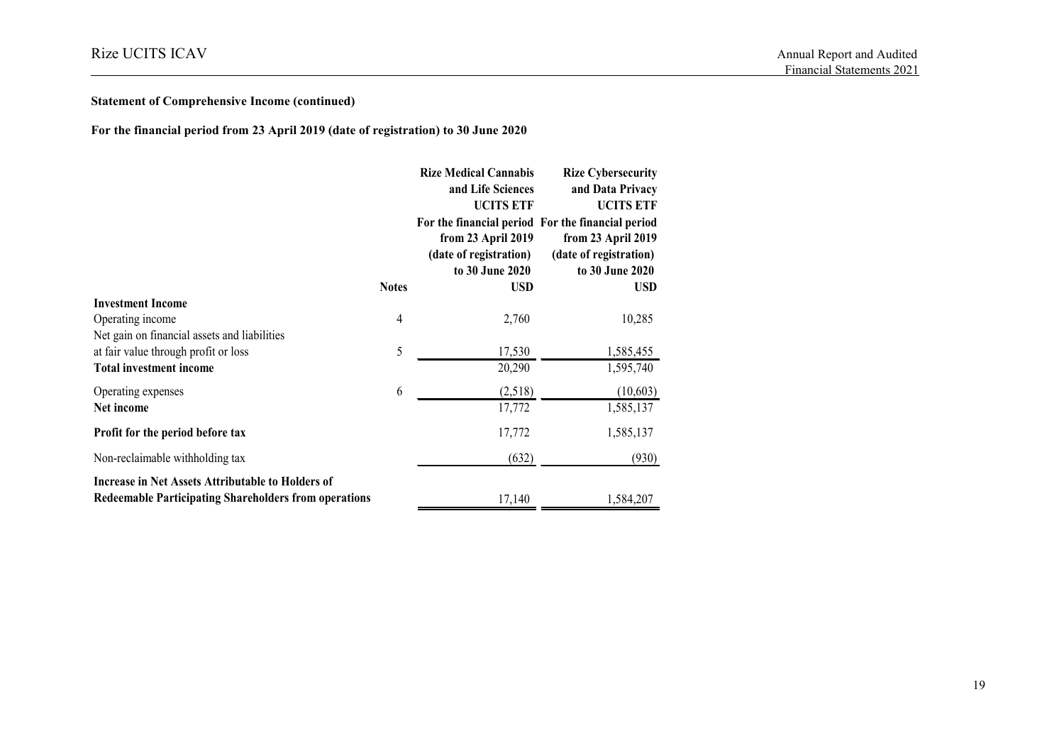# **Statement of Comprehensive Income (continued)**

**For the financial period from 23 April 2019 (date of registration) to 30 June 2020**

|                                                              |              | <b>Rize Medical Cannabis</b> | <b>Rize Cybersecurity</b>                         |
|--------------------------------------------------------------|--------------|------------------------------|---------------------------------------------------|
|                                                              |              | and Life Sciences            | and Data Privacy                                  |
|                                                              |              | <b>UCITS ETF</b>             | <b>UCITS ETF</b>                                  |
|                                                              |              |                              | For the financial period For the financial period |
|                                                              |              | from 23 April 2019           | from 23 April 2019                                |
|                                                              |              | (date of registration)       | (date of registration)                            |
|                                                              |              | to 30 June 2020              | to 30 June 2020                                   |
|                                                              | <b>Notes</b> | USD                          | <b>USD</b>                                        |
| <b>Investment Income</b>                                     |              |                              |                                                   |
| Operating income                                             | 4            | 2,760                        | 10,285                                            |
| Net gain on financial assets and liabilities                 |              |                              |                                                   |
| at fair value through profit or loss                         | 5            | 17,530                       | 1,585,455                                         |
| <b>Total investment income</b>                               |              | 20,290                       | 1,595,740                                         |
| Operating expenses                                           | 6            | (2,518)                      | (10, 603)                                         |
| Net income                                                   |              | 17,772                       | 1,585,137                                         |
| Profit for the period before tax                             |              | 17,772                       | 1,585,137                                         |
| Non-reclaimable withholding tax                              |              | (632)                        | (930)                                             |
| Increase in Net Assets Attributable to Holders of            |              |                              |                                                   |
| <b>Redeemable Participating Shareholders from operations</b> |              | 17,140                       | 1,584,207                                         |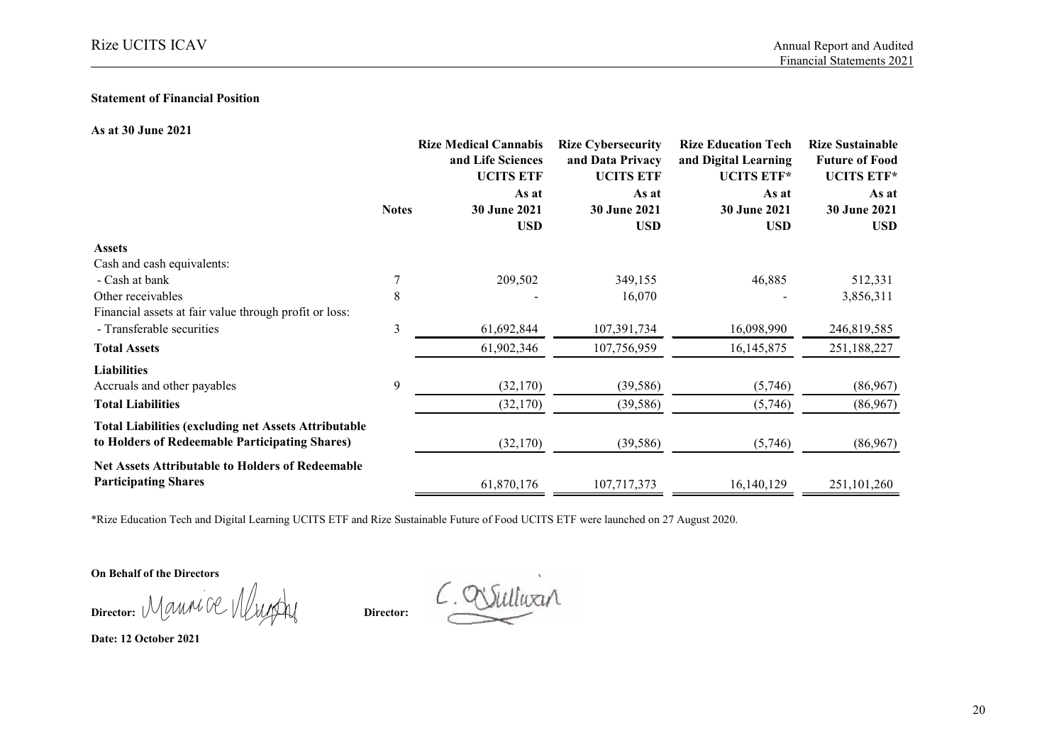#### **Statement of Financial Position**

#### **As at 30 June 2021**

|                                                             |              | <b>Rize Medical Cannabis</b><br>and Life Sciences<br><b>UCITS ETF</b><br>As at | <b>Rize Cybersecurity</b><br>and Data Privacy<br><b>UCITS ETF</b><br>As at | <b>Rize Education Tech</b><br>and Digital Learning<br><b>UCITS ETF*</b><br>As at<br>30 June 2021<br><b>USD</b> | <b>Rize Sustainable</b><br><b>Future of Food</b><br><b>UCITS ETF*</b><br>As at<br>30 June 2021<br><b>USD</b> |
|-------------------------------------------------------------|--------------|--------------------------------------------------------------------------------|----------------------------------------------------------------------------|----------------------------------------------------------------------------------------------------------------|--------------------------------------------------------------------------------------------------------------|
|                                                             | <b>Notes</b> | 30 June 2021                                                                   | 30 June 2021<br><b>USD</b>                                                 |                                                                                                                |                                                                                                              |
|                                                             |              | <b>USD</b>                                                                     |                                                                            |                                                                                                                |                                                                                                              |
| <b>Assets</b>                                               |              |                                                                                |                                                                            |                                                                                                                |                                                                                                              |
| Cash and cash equivalents:                                  |              |                                                                                |                                                                            |                                                                                                                |                                                                                                              |
| - Cash at bank                                              |              | 209,502                                                                        | 349,155                                                                    | 46,885                                                                                                         | 512,331                                                                                                      |
| Other receivables                                           | 8            |                                                                                | 16,070                                                                     |                                                                                                                | 3,856,311                                                                                                    |
| Financial assets at fair value through profit or loss:      |              |                                                                                |                                                                            |                                                                                                                |                                                                                                              |
| - Transferable securities                                   | 3            | 61,692,844                                                                     | 107,391,734                                                                | 16,098,990                                                                                                     | 246,819,585                                                                                                  |
| <b>Total Assets</b>                                         |              | 61,902,346                                                                     | 107,756,959                                                                | 16, 145, 875                                                                                                   | 251,188,227                                                                                                  |
| <b>Liabilities</b>                                          |              |                                                                                |                                                                            |                                                                                                                |                                                                                                              |
| Accruals and other payables                                 | 9            | (32,170)                                                                       | (39, 586)                                                                  | (5,746)                                                                                                        | (86,967)                                                                                                     |
| <b>Total Liabilities</b>                                    |              | (32,170)                                                                       | (39, 586)                                                                  | (5,746)                                                                                                        | (86,967)                                                                                                     |
| <b>Total Liabilities (excluding net Assets Attributable</b> |              |                                                                                |                                                                            |                                                                                                                |                                                                                                              |
| to Holders of Redeemable Participating Shares)              |              | (32,170)                                                                       | (39, 586)                                                                  | (5,746)                                                                                                        | (86,967)                                                                                                     |
| <b>Net Assets Attributable to Holders of Redeemable</b>     |              |                                                                                |                                                                            |                                                                                                                |                                                                                                              |
| <b>Participating Shares</b>                                 |              | 61,870,176                                                                     | 107,717,373                                                                | 16,140,129                                                                                                     | 251,101,260                                                                                                  |

\*Rize Education Tech and Digital Learning UCITS ETF and Rize Sustainable Future of Food UCITS ETF were launched on 27 August 2020.

**On Behalf of the Directors**

Director: Maunice Murphy

illuxir

**Date: 12 October 2021**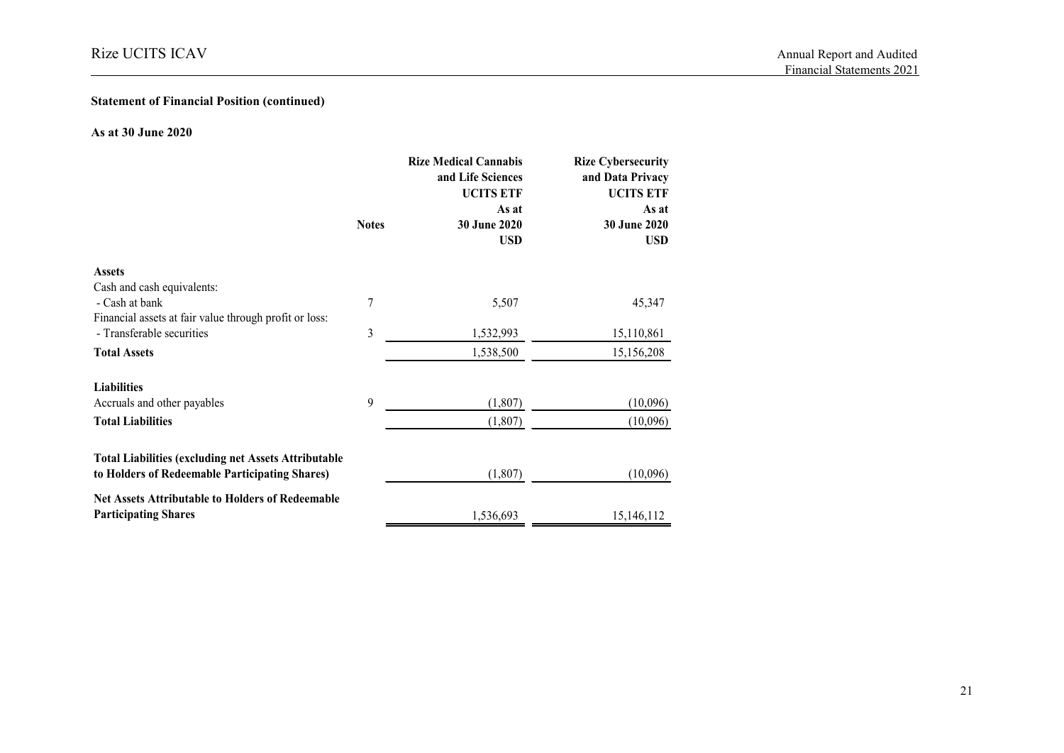# **Statement of Financial Position (continued)**

#### **As at 30 June 2020**

|                                                             |              | <b>Rize Medical Cannabis</b><br>and Life Sciences<br><b>UCITS ETF</b><br>As at | <b>Rize Cybersecurity</b><br>and Data Privacy<br><b>UCITS ETF</b><br>As at |  |
|-------------------------------------------------------------|--------------|--------------------------------------------------------------------------------|----------------------------------------------------------------------------|--|
|                                                             | <b>Notes</b> | 30 June 2020                                                                   | 30 June 2020                                                               |  |
|                                                             |              | <b>USD</b>                                                                     | <b>USD</b>                                                                 |  |
| <b>Assets</b>                                               |              |                                                                                |                                                                            |  |
| Cash and cash equivalents:                                  |              |                                                                                |                                                                            |  |
| - Cash at bank                                              | 7            | 5,507                                                                          | 45,347                                                                     |  |
| Financial assets at fair value through profit or loss:      |              |                                                                                |                                                                            |  |
| - Transferable securities                                   | 3            | 1,532,993                                                                      | 15,110,861                                                                 |  |
| <b>Total Assets</b>                                         |              | 1,538,500                                                                      | 15,156,208                                                                 |  |
| <b>Liabilities</b>                                          |              |                                                                                |                                                                            |  |
| Accruals and other payables                                 | 9            | (1,807)                                                                        | (10,096)                                                                   |  |
| <b>Total Liabilities</b>                                    |              | (1,807)                                                                        | (10,096)                                                                   |  |
| <b>Total Liabilities (excluding net Assets Attributable</b> |              |                                                                                |                                                                            |  |
| to Holders of Redeemable Participating Shares)              |              | (1,807)                                                                        | (10,096)                                                                   |  |
| <b>Net Assets Attributable to Holders of Redeemable</b>     |              |                                                                                |                                                                            |  |
| <b>Participating Shares</b>                                 |              | 1,536,693                                                                      | 15,146,112                                                                 |  |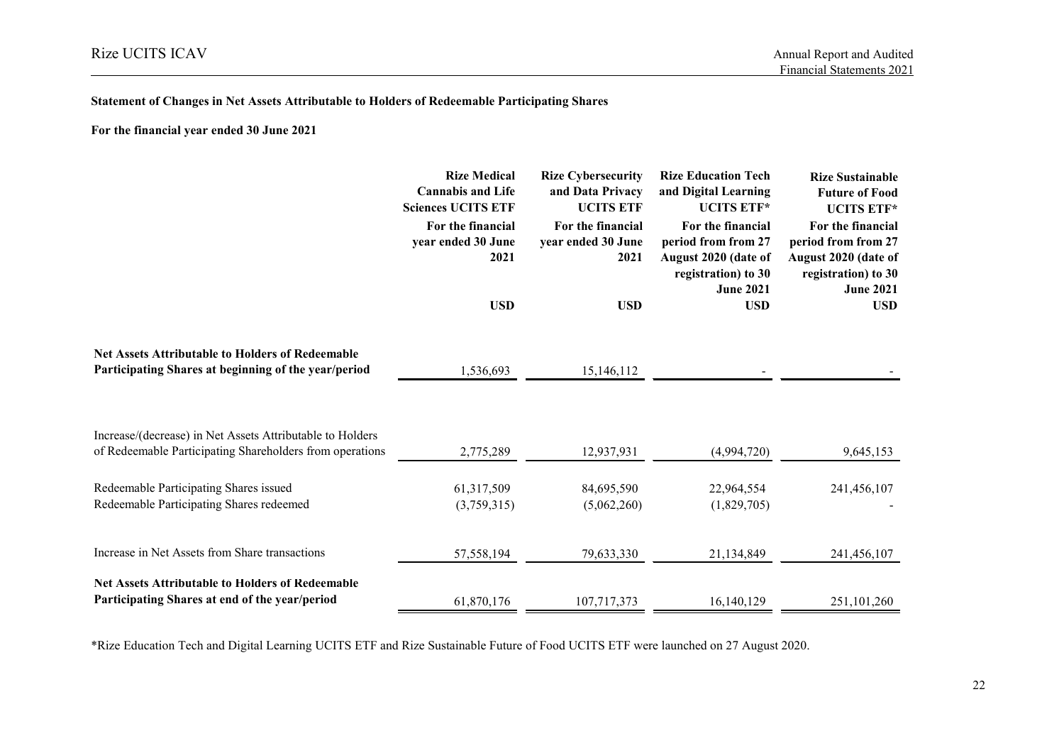#### **Statement of Changes in Net Assets Attributable to Holders of Redeemable Participating Shares**

**For the financial year ended 30 June 2021**

|                                                                                                                 | <b>Rize Medical</b><br><b>Cannabis and Life</b><br><b>Sciences UCITS ETF</b> | <b>Rize Cybersecurity</b><br>and Data Privacy<br><b>UCITS ETF</b> | <b>Rize Education Tech</b><br>and Digital Learning<br><b>UCITS ETF*</b>                                     | <b>Rize Sustainable</b><br><b>Future of Food</b><br><b>UCITS ETF*</b>                                       |
|-----------------------------------------------------------------------------------------------------------------|------------------------------------------------------------------------------|-------------------------------------------------------------------|-------------------------------------------------------------------------------------------------------------|-------------------------------------------------------------------------------------------------------------|
|                                                                                                                 | For the financial<br>year ended 30 June<br>2021                              | For the financial<br>year ended 30 June<br>2021                   | For the financial<br>period from from 27<br>August 2020 (date of<br>registration) to 30<br><b>June 2021</b> | For the financial<br>period from from 27<br>August 2020 (date of<br>registration) to 30<br><b>June 2021</b> |
|                                                                                                                 | <b>USD</b>                                                                   | <b>USD</b>                                                        | <b>USD</b>                                                                                                  | <b>USD</b>                                                                                                  |
| <b>Net Assets Attributable to Holders of Redeemable</b><br>Participating Shares at beginning of the year/period |                                                                              |                                                                   |                                                                                                             |                                                                                                             |
|                                                                                                                 | 1,536,693                                                                    | 15,146,112                                                        |                                                                                                             |                                                                                                             |
| Increase/(decrease) in Net Assets Attributable to Holders                                                       |                                                                              |                                                                   |                                                                                                             |                                                                                                             |
| of Redeemable Participating Shareholders from operations                                                        | 2,775,289                                                                    | 12,937,931                                                        | (4,994,720)                                                                                                 | 9,645,153                                                                                                   |
| Redeemable Participating Shares issued                                                                          | 61,317,509                                                                   | 84,695,590                                                        | 22,964,554                                                                                                  | 241,456,107                                                                                                 |
| Redeemable Participating Shares redeemed                                                                        | (3,759,315)                                                                  | (5,062,260)                                                       | (1,829,705)                                                                                                 |                                                                                                             |
| Increase in Net Assets from Share transactions                                                                  | 57,558,194                                                                   | 79,633,330                                                        | 21,134,849                                                                                                  | 241,456,107                                                                                                 |
| <b>Net Assets Attributable to Holders of Redeemable</b><br>Participating Shares at end of the year/period       | 61,870,176                                                                   | 107,717,373                                                       | 16,140,129                                                                                                  | 251,101,260                                                                                                 |

\*Rize Education Tech and Digital Learning UCITS ETF and Rize Sustainable Future of Food UCITS ETF were launched on 27 August 2020.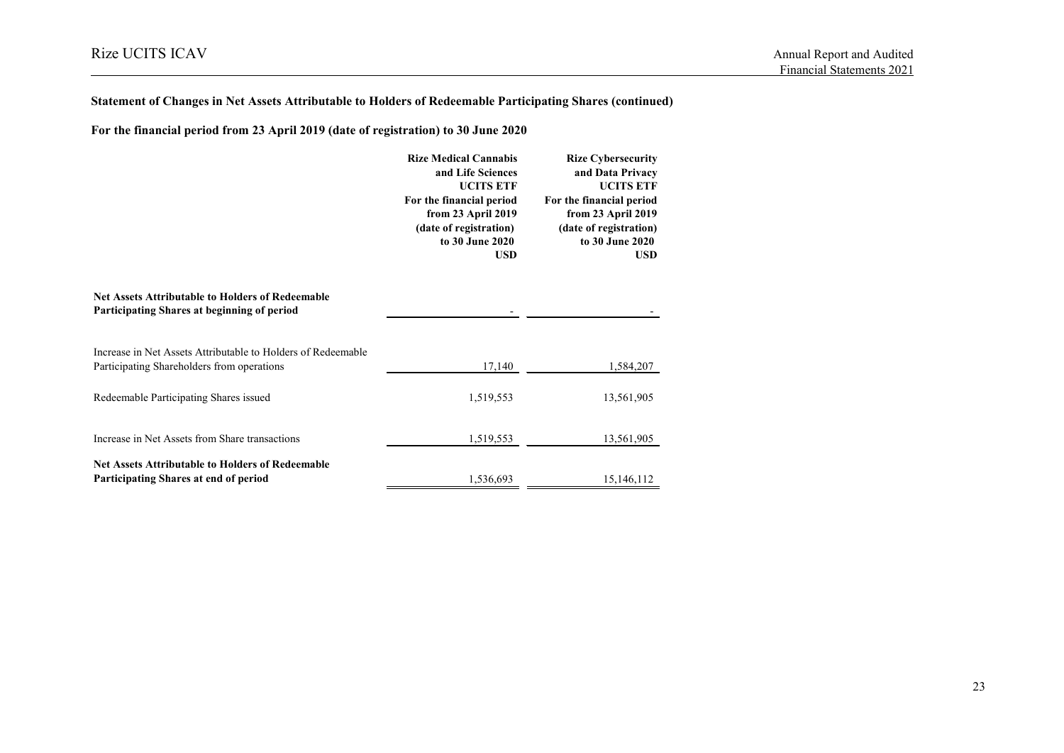# **Statement of Changes in Net Assets Attributable to Holders of Redeemable Participating Shares (continued)**

**For the financial period from 23 April 2019 (date of registration) to 30 June 2020**

|                                                                                                            | <b>Rize Medical Cannabis</b><br>and Life Sciences<br><b>UCITS ETF</b><br>For the financial period<br>from 23 April 2019<br>(date of registration)<br>to 30 June 2020<br><b>USD</b> | <b>Rize Cybersecurity</b><br>and Data Privacy<br><b>UCITS ETF</b><br>For the financial period<br>from 23 April 2019<br>(date of registration)<br>to 30 June 2020<br><b>USD</b> |
|------------------------------------------------------------------------------------------------------------|------------------------------------------------------------------------------------------------------------------------------------------------------------------------------------|--------------------------------------------------------------------------------------------------------------------------------------------------------------------------------|
| <b>Net Assets Attributable to Holders of Redeemable</b><br>Participating Shares at beginning of period     |                                                                                                                                                                                    |                                                                                                                                                                                |
| Increase in Net Assets Attributable to Holders of Redeemable<br>Participating Shareholders from operations | 17,140                                                                                                                                                                             | 1,584,207                                                                                                                                                                      |
| Redeemable Participating Shares issued                                                                     | 1,519,553                                                                                                                                                                          | 13,561,905                                                                                                                                                                     |
| Increase in Net Assets from Share transactions                                                             | 1,519,553                                                                                                                                                                          | 13,561,905                                                                                                                                                                     |
| <b>Net Assets Attributable to Holders of Redeemable</b><br>Participating Shares at end of period           | 1,536,693                                                                                                                                                                          | 15,146,112                                                                                                                                                                     |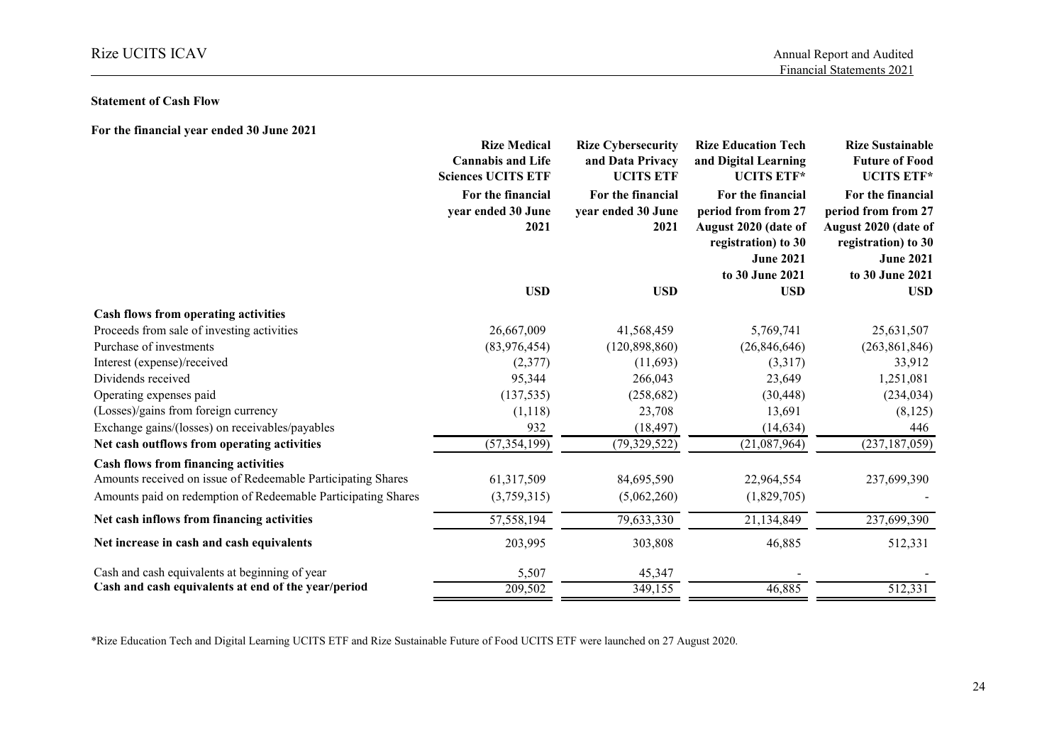#### **Statement of Cash Flow**

| For the financial year ended 30 June 2021                     |                                                                              |                                                                   |                                                                                                                                |                                                                                                                                |
|---------------------------------------------------------------|------------------------------------------------------------------------------|-------------------------------------------------------------------|--------------------------------------------------------------------------------------------------------------------------------|--------------------------------------------------------------------------------------------------------------------------------|
|                                                               | <b>Rize Medical</b><br><b>Cannabis and Life</b><br><b>Sciences UCITS ETF</b> | <b>Rize Cybersecurity</b><br>and Data Privacy<br><b>UCITS ETF</b> | <b>Rize Education Tech</b><br>and Digital Learning<br><b>UCITS ETF*</b>                                                        | <b>Rize Sustainable</b><br><b>Future of Food</b><br><b>UCITS ETF*</b>                                                          |
|                                                               | For the financial<br>year ended 30 June<br>2021                              | For the financial<br>year ended 30 June<br>2021                   | For the financial<br>period from from 27<br>August 2020 (date of<br>registration) to 30<br><b>June 2021</b><br>to 30 June 2021 | For the financial<br>period from from 27<br>August 2020 (date of<br>registration) to 30<br><b>June 2021</b><br>to 30 June 2021 |
|                                                               | <b>USD</b>                                                                   | <b>USD</b>                                                        | <b>USD</b>                                                                                                                     | <b>USD</b>                                                                                                                     |
| Cash flows from operating activities                          |                                                                              |                                                                   |                                                                                                                                |                                                                                                                                |
| Proceeds from sale of investing activities                    | 26,667,009                                                                   | 41,568,459                                                        | 5,769,741                                                                                                                      | 25,631,507                                                                                                                     |
| Purchase of investments                                       | (83,976,454)                                                                 | (120, 898, 860)                                                   | (26, 846, 646)                                                                                                                 | (263, 861, 846)                                                                                                                |
| Interest (expense)/received                                   | (2,377)                                                                      | (11,693)                                                          | (3,317)                                                                                                                        | 33,912                                                                                                                         |
| Dividends received                                            | 95,344                                                                       | 266,043                                                           | 23,649                                                                                                                         | 1,251,081                                                                                                                      |
| Operating expenses paid                                       | (137, 535)                                                                   | (258, 682)                                                        | (30, 448)                                                                                                                      | (234, 034)                                                                                                                     |
| (Losses)/gains from foreign currency                          | (1,118)                                                                      | 23,708                                                            | 13,691                                                                                                                         | (8, 125)                                                                                                                       |
| Exchange gains/(losses) on receivables/payables               | 932                                                                          | (18, 497)                                                         | (14, 634)                                                                                                                      | 446                                                                                                                            |
| Net cash outflows from operating activities                   | (57, 354, 199)                                                               | (79, 329, 522)                                                    | (21,087,964)                                                                                                                   | (237, 187, 059)                                                                                                                |
| Cash flows from financing activities                          |                                                                              |                                                                   |                                                                                                                                |                                                                                                                                |
| Amounts received on issue of Redeemable Participating Shares  | 61,317,509                                                                   | 84,695,590                                                        | 22,964,554                                                                                                                     | 237,699,390                                                                                                                    |
| Amounts paid on redemption of Redeemable Participating Shares | (3,759,315)                                                                  | (5,062,260)                                                       | (1,829,705)                                                                                                                    |                                                                                                                                |
| Net cash inflows from financing activities                    | 57,558,194                                                                   | 79,633,330                                                        | 21,134,849                                                                                                                     | 237,699,390                                                                                                                    |
| Net increase in cash and cash equivalents                     | 203,995                                                                      | 303,808                                                           | 46,885                                                                                                                         | 512,331                                                                                                                        |
| Cash and cash equivalents at beginning of year                | 5,507                                                                        | 45,347                                                            |                                                                                                                                |                                                                                                                                |
| Cash and cash equivalents at end of the year/period           | 209,502                                                                      | 349,155                                                           | 46,885                                                                                                                         | 512,331                                                                                                                        |

\*Rize Education Tech and Digital Learning UCITS ETF and Rize Sustainable Future of Food UCITS ETF were launched on 27 August 2020.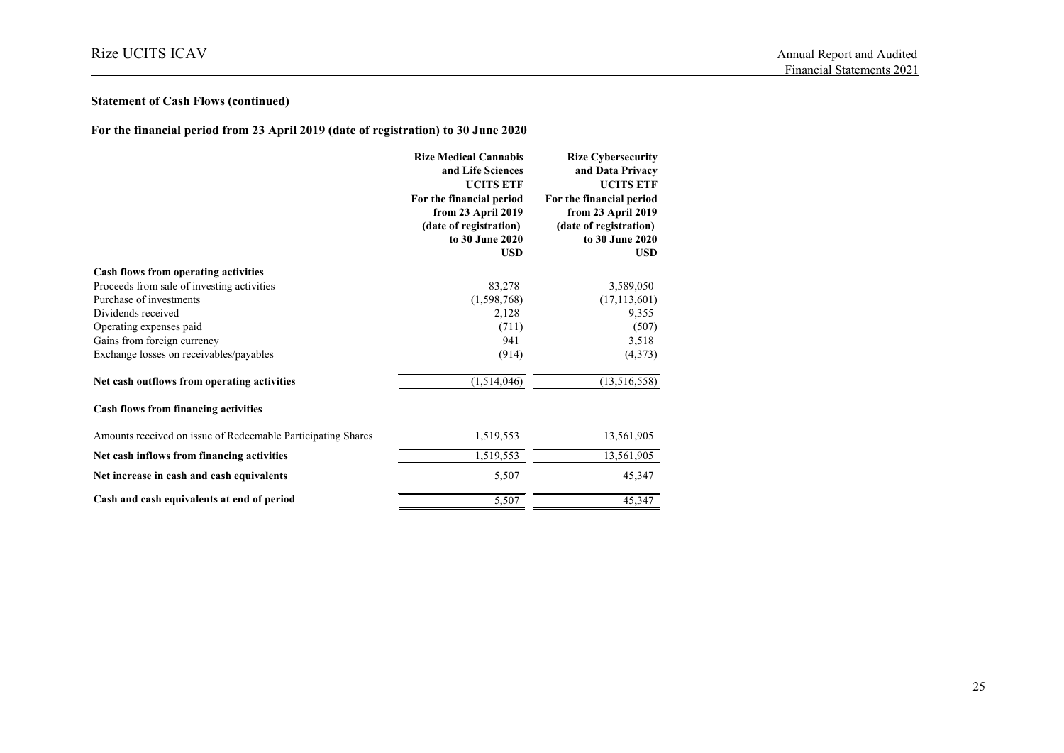# **Statement of Cash Flows (continued)**

**For the financial period from 23 April 2019 (date of registration) to 30 June 2020**

|                                                              | <b>Rize Medical Cannabis</b><br>and Life Sciences<br><b>UCITS ETF</b><br>For the financial period<br>from 23 April 2019<br>(date of registration)<br>to 30 June 2020<br><b>USD</b> | <b>Rize Cybersecurity</b><br>and Data Privacy<br><b>UCITS ETF</b><br>For the financial period<br>from 23 April 2019<br>(date of registration)<br>to 30 June 2020<br><b>USD</b> |
|--------------------------------------------------------------|------------------------------------------------------------------------------------------------------------------------------------------------------------------------------------|--------------------------------------------------------------------------------------------------------------------------------------------------------------------------------|
| Cash flows from operating activities                         |                                                                                                                                                                                    |                                                                                                                                                                                |
| Proceeds from sale of investing activities                   | 83,278                                                                                                                                                                             | 3,589,050                                                                                                                                                                      |
| Purchase of investments                                      | (1,598,768)                                                                                                                                                                        | (17, 113, 601)                                                                                                                                                                 |
| Dividends received                                           | 2,128                                                                                                                                                                              | 9,355                                                                                                                                                                          |
| Operating expenses paid                                      | (711)                                                                                                                                                                              | (507)                                                                                                                                                                          |
| Gains from foreign currency                                  | 941                                                                                                                                                                                | 3,518                                                                                                                                                                          |
| Exchange losses on receivables/payables                      | (914)                                                                                                                                                                              | (4,373)                                                                                                                                                                        |
| Net cash outflows from operating activities                  | (1,514,046)                                                                                                                                                                        | (13,516,558)                                                                                                                                                                   |
| <b>Cash flows from financing activities</b>                  |                                                                                                                                                                                    |                                                                                                                                                                                |
| Amounts received on issue of Redeemable Participating Shares | 1,519,553                                                                                                                                                                          | 13,561,905                                                                                                                                                                     |
| Net cash inflows from financing activities                   | 1,519,553                                                                                                                                                                          | 13,561,905                                                                                                                                                                     |
| Net increase in cash and cash equivalents                    | 5,507                                                                                                                                                                              | 45,347                                                                                                                                                                         |
| Cash and cash equivalents at end of period                   | 5,507                                                                                                                                                                              | 45,347                                                                                                                                                                         |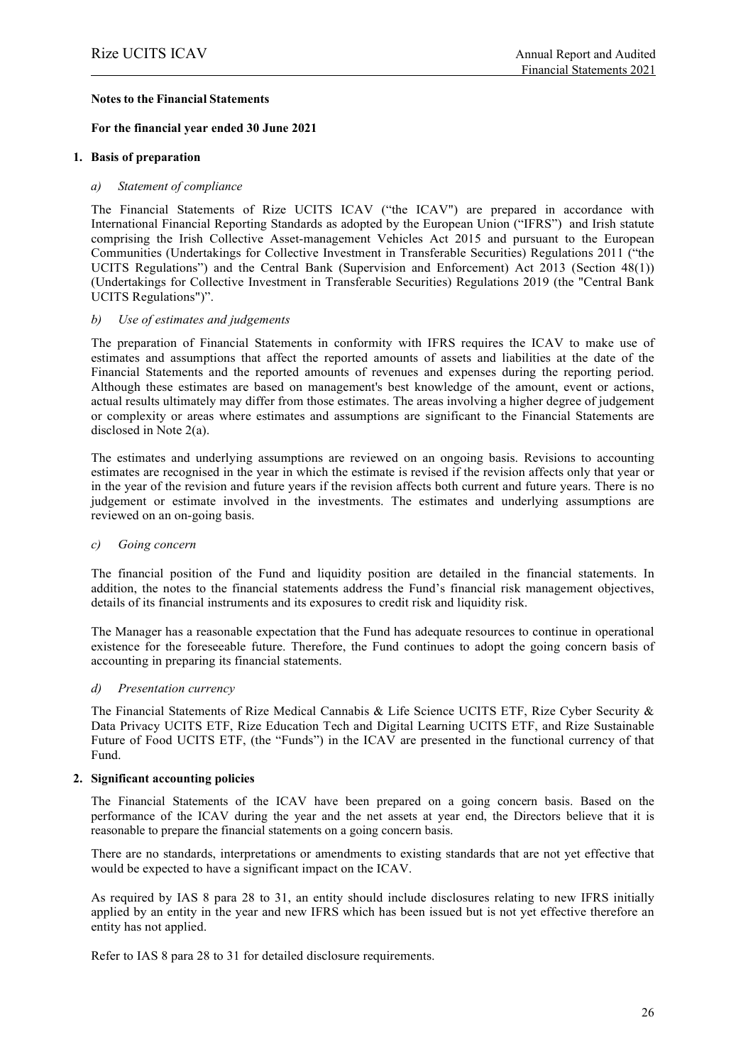#### **Notes to the Financial Statements**

#### **For the financial year ended 30 June 2021**

#### **1. Basis of preparation**

#### *a) Statement of compliance*

The Financial Statements of Rize UCITS ICAV ("the ICAV") are prepared in accordance with International Financial Reporting Standards as adopted by the European Union ("IFRS") and Irish statute comprising the Irish Collective Asset-management Vehicles Act 2015 and pursuant to the European Communities (Undertakings for Collective Investment in Transferable Securities) Regulations 2011 ("the UCITS Regulations") and the Central Bank (Supervision and Enforcement) Act 2013 (Section 48(1)) (Undertakings for Collective Investment in Transferable Securities) Regulations 2019 (the "Central Bank UCITS Regulations")".

#### *b) Use of estimates and judgements*

The preparation of Financial Statements in conformity with IFRS requires the ICAV to make use of estimates and assumptions that affect the reported amounts of assets and liabilities at the date of the Financial Statements and the reported amounts of revenues and expenses during the reporting period. Although these estimates are based on management's best knowledge of the amount, event or actions, actual results ultimately may differ from those estimates. The areas involving a higher degree of judgement or complexity or areas where estimates and assumptions are significant to the Financial Statements are disclosed in Note 2(a).

The estimates and underlying assumptions are reviewed on an ongoing basis. Revisions to accounting estimates are recognised in the year in which the estimate is revised if the revision affects only that year or in the year of the revision and future years if the revision affects both current and future years. There is no judgement or estimate involved in the investments. The estimates and underlying assumptions are reviewed on an on-going basis.

#### *c) Going concern*

The financial position of the Fund and liquidity position are detailed in the financial statements. In addition, the notes to the financial statements address the Fund's financial risk management objectives, details of its financial instruments and its exposures to credit risk and liquidity risk.

The Manager has a reasonable expectation that the Fund has adequate resources to continue in operational existence for the foreseeable future. Therefore, the Fund continues to adopt the going concern basis of accounting in preparing its financial statements.

#### *d) Presentation currency*

The Financial Statements of Rize Medical Cannabis & Life Science UCITS ETF, Rize Cyber Security & Data Privacy UCITS ETF, Rize Education Tech and Digital Learning UCITS ETF, and Rize Sustainable Future of Food UCITS ETF, (the "Funds") in the ICAV are presented in the functional currency of that Fund.

#### **2. Significant accounting policies**

The Financial Statements of the ICAV have been prepared on a going concern basis. Based on the performance of the ICAV during the year and the net assets at year end, the Directors believe that it is reasonable to prepare the financial statements on a going concern basis.

There are no standards, interpretations or amendments to existing standards that are not yet effective that would be expected to have a significant impact on the ICAV.

As required by IAS 8 para 28 to 31, an entity should include disclosures relating to new IFRS initially applied by an entity in the year and new IFRS which has been issued but is not yet effective therefore an entity has not applied.

Refer to IAS 8 para 28 to 31 for detailed disclosure requirements.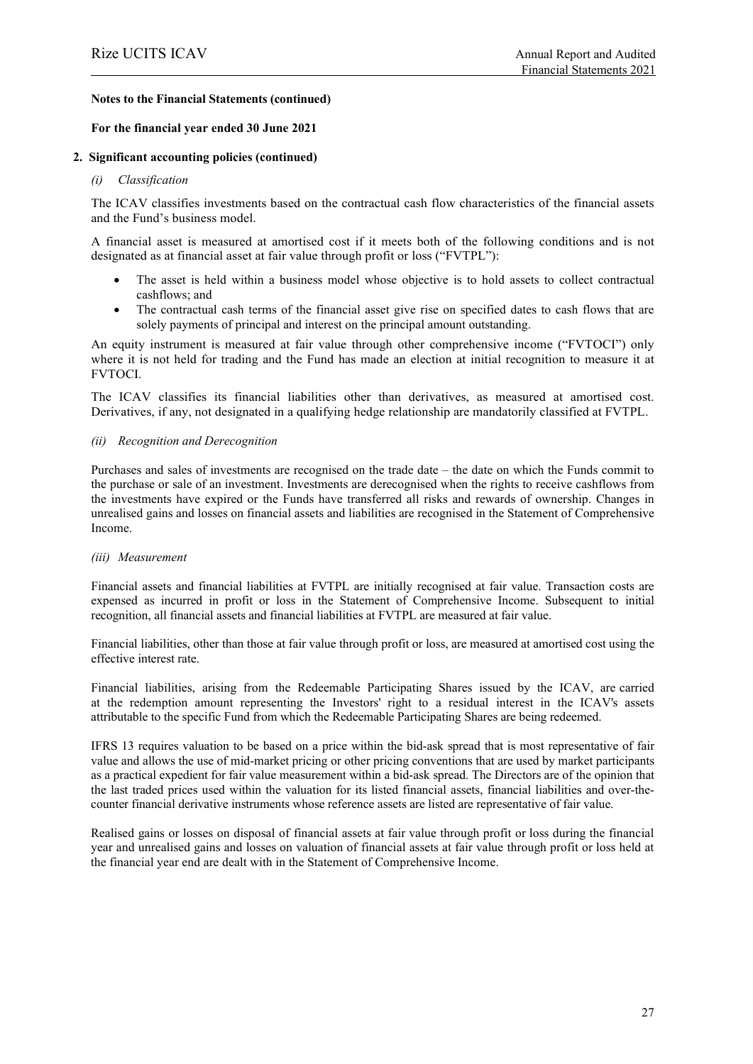#### **For the financial year ended 30 June 2021**

#### **2. Significant accounting policies (continued)**

#### *(i) Classification*

The ICAV classifies investments based on the contractual cash flow characteristics of the financial assets and the Fund's business model.

A financial asset is measured at amortised cost if it meets both of the following conditions and is not designated as at financial asset at fair value through profit or loss ("FVTPL"):

- The asset is held within a business model whose objective is to hold assets to collect contractual cashflows; and
- The contractual cash terms of the financial asset give rise on specified dates to cash flows that are solely payments of principal and interest on the principal amount outstanding.

An equity instrument is measured at fair value through other comprehensive income ("FVTOCI") only where it is not held for trading and the Fund has made an election at initial recognition to measure it at FVTOCI.

The ICAV classifies its financial liabilities other than derivatives, as measured at amortised cost. Derivatives, if any, not designated in a qualifying hedge relationship are mandatorily classified at FVTPL.

#### *(ii) Recognition and Derecognition*

Purchases and sales of investments are recognised on the trade date – the date on which the Funds commit to the purchase or sale of an investment. Investments are derecognised when the rights to receive cashflows from the investments have expired or the Funds have transferred all risks and rewards of ownership. Changes in unrealised gains and losses on financial assets and liabilities are recognised in the Statement of Comprehensive Income.

#### *(iii) Measurement*

Financial assets and financial liabilities at FVTPL are initially recognised at fair value. Transaction costs are expensed as incurred in profit or loss in the Statement of Comprehensive Income. Subsequent to initial recognition, all financial assets and financial liabilities at FVTPL are measured at fair value.

Financial liabilities, other than those at fair value through profit or loss, are measured at amortised cost using the effective interest rate.

Financial liabilities, arising from the Redeemable Participating Shares issued by the ICAV, are carried at the redemption amount representing the Investors' right to a residual interest in the ICAV's assets attributable to the specific Fund from which the Redeemable Participating Shares are being redeemed.

IFRS 13 requires valuation to be based on a price within the bid-ask spread that is most representative of fair value and allows the use of mid-market pricing or other pricing conventions that are used by market participants as a practical expedient for fair value measurement within a bid-ask spread. The Directors are of the opinion that the last traded prices used within the valuation for its listed financial assets, financial liabilities and over-thecounter financial derivative instruments whose reference assets are listed are representative of fair value.

Realised gains or losses on disposal of financial assets at fair value through profit or loss during the financial year and unrealised gains and losses on valuation of financial assets at fair value through profit or loss held at the financial year end are dealt with in the Statement of Comprehensive Income.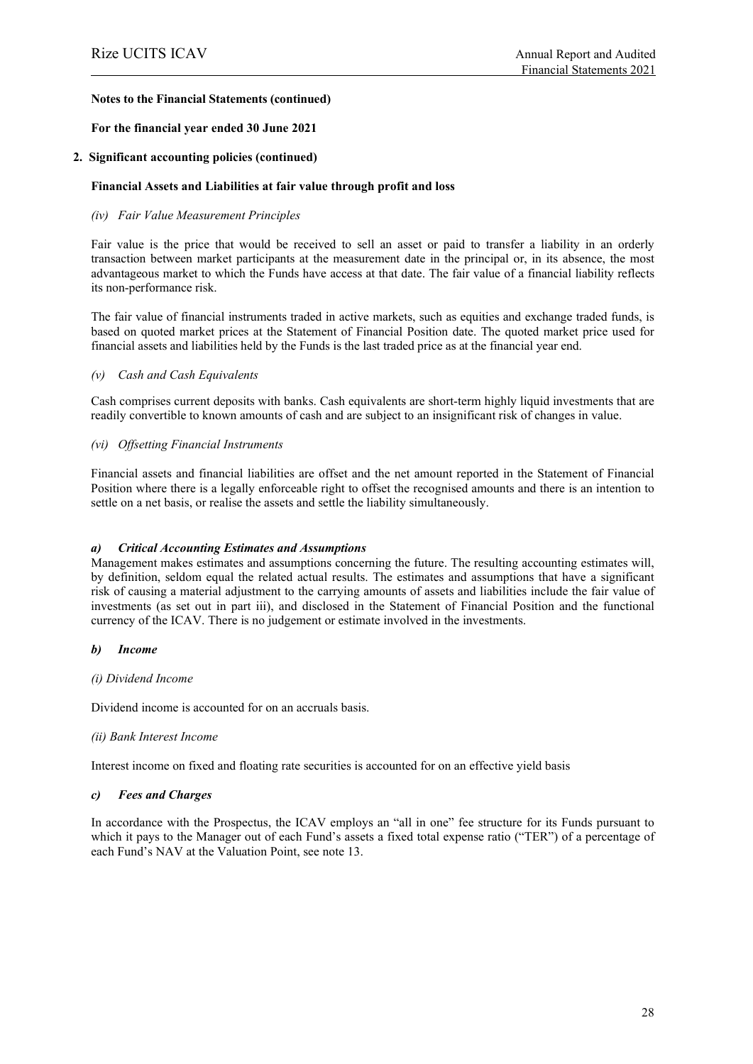#### **For the financial year ended 30 June 2021**

#### **2. Significant accounting policies (continued)**

#### **Financial Assets and Liabilities at fair value through profit and loss**

#### *(iv) Fair Value Measurement Principles*

Fair value is the price that would be received to sell an asset or paid to transfer a liability in an orderly transaction between market participants at the measurement date in the principal or, in its absence, the most advantageous market to which the Funds have access at that date. The fair value of a financial liability reflects its non-performance risk.

The fair value of financial instruments traded in active markets, such as equities and exchange traded funds, is based on quoted market prices at the Statement of Financial Position date. The quoted market price used for financial assets and liabilities held by the Funds is the last traded price as at the financial year end.

#### *(v) Cash and Cash Equivalents*

Cash comprises current deposits with banks. Cash equivalents are short-term highly liquid investments that are readily convertible to known amounts of cash and are subject to an insignificant risk of changes in value.

#### *(vi) Offsetting Financial Instruments*

Financial assets and financial liabilities are offset and the net amount reported in the Statement of Financial Position where there is a legally enforceable right to offset the recognised amounts and there is an intention to settle on a net basis, or realise the assets and settle the liability simultaneously.

#### *a) Critical Accounting Estimates and Assumptions*

Management makes estimates and assumptions concerning the future. The resulting accounting estimates will, by definition, seldom equal the related actual results. The estimates and assumptions that have a significant risk of causing a material adjustment to the carrying amounts of assets and liabilities include the fair value of investments (as set out in part iii), and disclosed in the Statement of Financial Position and the functional currency of the ICAV. There is no judgement or estimate involved in the investments.

#### *b) Income*

#### *(i) Dividend Income*

Dividend income is accounted for on an accruals basis.

#### *(ii) Bank Interest Income*

Interest income on fixed and floating rate securities is accounted for on an effective yield basis

#### *c) Fees and Charges*

In accordance with the Prospectus, the ICAV employs an "all in one" fee structure for its Funds pursuant to which it pays to the Manager out of each Fund's assets a fixed total expense ratio ("TER") of a percentage of each Fund's NAV at the Valuation Point, see note 13.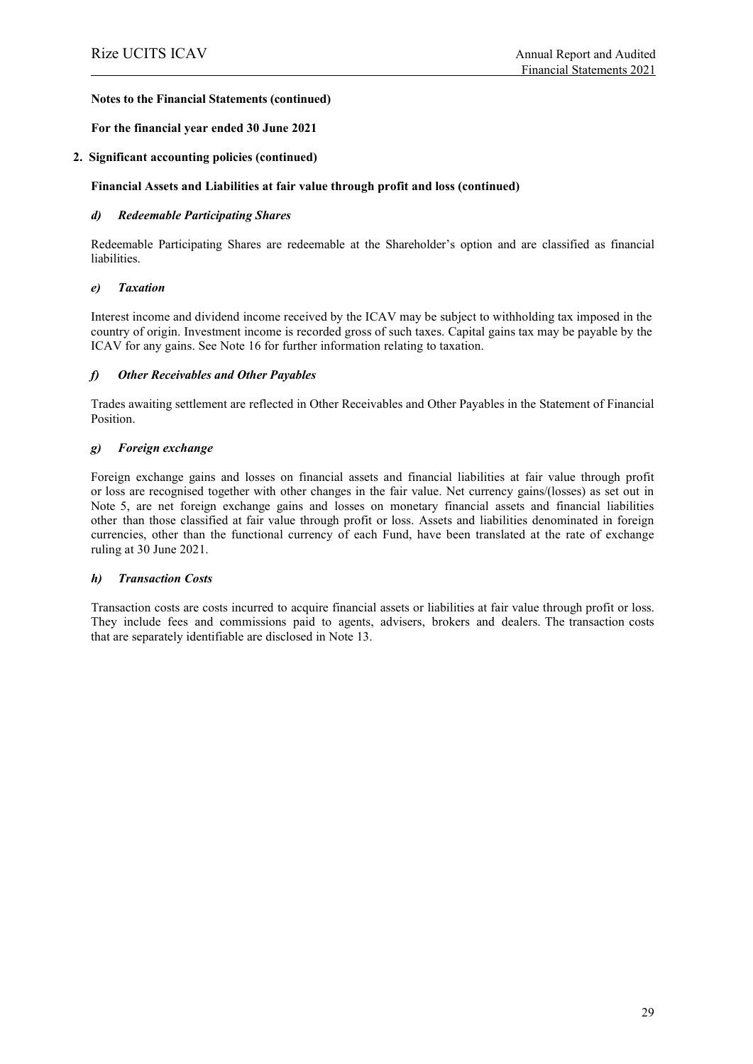#### **For the financial year ended 30 June 2021**

#### **2. Significant accounting policies (continued)**

#### **Financial Assets and Liabilities at fair value through profit and loss (continued)**

#### *d) Redeemable Participating Shares*

Redeemable Participating Shares are redeemable at the Shareholder's option and are classified as financial liabilities.

#### *e) Taxation*

Interest income and dividend income received by the ICAV may be subject to withholding tax imposed in the country of origin. Investment income is recorded gross of such taxes. Capital gains tax may be payable by the ICAV for any gains. See Note 16 for further information relating to taxation.

#### *f) Other Receivables and Other Payables*

Trades awaiting settlement are reflected in Other Receivables and Other Payables in the Statement of Financial Position.

#### *g) Foreign exchange*

Foreign exchange gains and losses on financial assets and financial liabilities at fair value through profit or loss are recognised together with other changes in the fair value. Net currency gains/(losses) as set out in Note 5, are net foreign exchange gains and losses on monetary financial assets and financial liabilities other than those classified at fair value through profit or loss. Assets and liabilities denominated in foreign currencies, other than the functional currency of each Fund, have been translated at the rate of exchange ruling at 30 June 2021.

#### *h) Transaction Costs*

Transaction costs are costs incurred to acquire financial assets or liabilities at fair value through profit or loss. They include fees and commissions paid to agents, advisers, brokers and dealers. The transaction costs that are separately identifiable are disclosed in Note 13.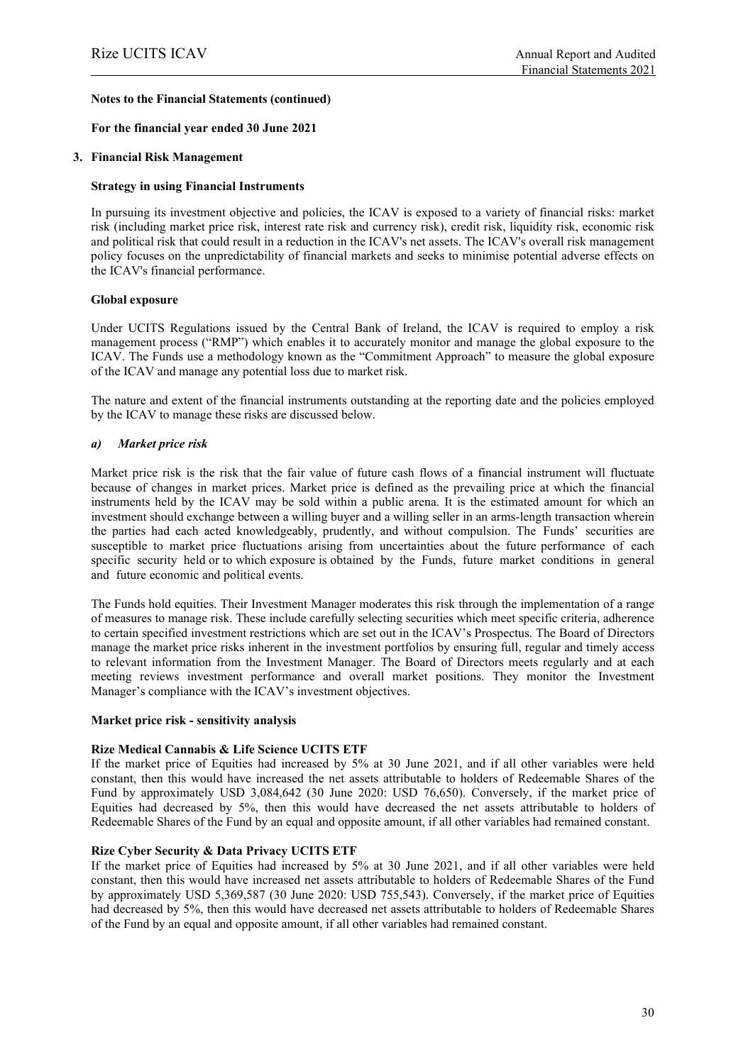#### **For the financial year ended 30 June 2021**

#### **3. Financial Risk Management**

#### **Strategy in using Financial Instruments**

In pursuing its investment objective and policies, the ICAV is exposed to a variety of financial risks: market risk (including market price risk, interest rate risk and currency risk), credit risk, liquidity risk, economic risk and political risk that could result in a reduction in the ICAV's net assets. The ICAV's overall risk management policy focuses on the unpredictability of financial markets and seeks to minimise potential adverse effects on the ICAV's financial performance.

#### **Global exposure**

Under UCITS Regulations issued by the Central Bank of Ireland, the ICAV is required to employ a risk management process ("RMP") which enables it to accurately monitor and manage the global exposure to the ICAV. The Funds use a methodology known as the "Commitment Approach" to measure the global exposure of the ICAV and manage any potential loss due to market risk.

The nature and extent of the financial instruments outstanding at the reporting date and the policies employed by the ICAV to manage these risks are discussed below.

#### *a) Market price risk*

Market price risk is the risk that the fair value of future cash flows of a financial instrument will fluctuate because of changes in market prices. Market price is defined as the prevailing price at which the financial instruments held by the ICAV may be sold within a public arena. It is the estimated amount for which an investment should exchange between a willing buyer and a willing seller in an arms-length transaction wherein the parties had each acted knowledgeably, prudently, and without compulsion. The Funds' securities are susceptible to market price fluctuations arising from uncertainties about the future performance of each specific security held or to which exposure is obtained by the Funds, future market conditions in general and future economic and political events.

The Funds hold equities. Their Investment Manager moderates this risk through the implementation of a range of measures to manage risk. These include carefully selecting securities which meet specific criteria, adherence to certain specified investment restrictions which are set out in the ICAV's Prospectus. The Board of Directors manage the market price risks inherent in the investment portfolios by ensuring full, regular and timely access to relevant information from the Investment Manager. The Board of Directors meets regularly and at each meeting reviews investment performance and overall market positions. They monitor the Investment Manager's compliance with the ICAV's investment objectives.

#### **Market price risk - sensitivity analysis**

#### **Rize Medical Cannabis & Life Science UCITS ETF**

If the market price of Equities had increased by 5% at 30 June 2021, and if all other variables were held constant, then this would have increased the net assets attributable to holders of Redeemable Shares of the Fund by approximately USD 3,084,642 (30 June 2020: USD 76,650). Conversely, if the market price of Equities had decreased by 5%, then this would have decreased the net assets attributable to holders of Redeemable Shares of the Fund by an equal and opposite amount, if all other variables had remained constant.

#### **Rize Cyber Security & Data Privacy UCITS ETF**

If the market price of Equities had increased by 5% at 30 June 2021, and if all other variables were held constant, then this would have increased net assets attributable to holders of Redeemable Shares of the Fund by approximately USD 5,369,587 (30 June 2020: USD 755,543). Conversely, if the market price of Equities had decreased by 5%, then this would have decreased net assets attributable to holders of Redeemable Shares of the Fund by an equal and opposite amount, if all other variables had remained constant.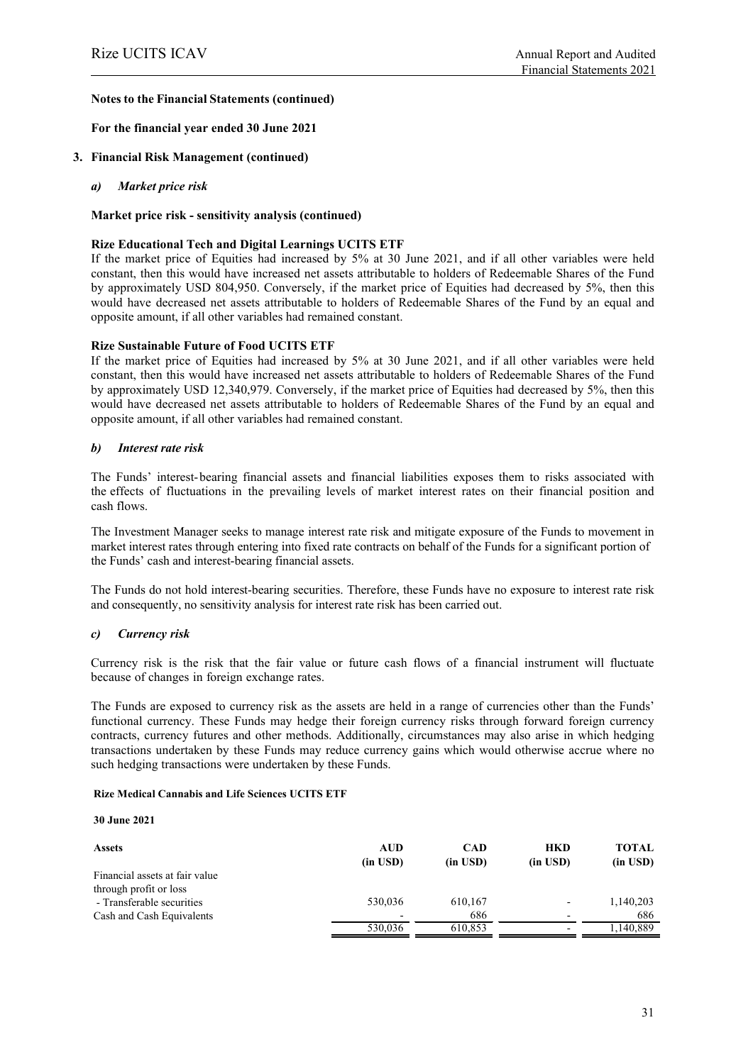**For the financial year ended 30 June 2021**

- **3. Financial Risk Management (continued)**
	- *a) Market price risk*

#### **Market price risk - sensitivity analysis (continued)**

#### **Rize Educational Tech and Digital Learnings UCITS ETF**

If the market price of Equities had increased by 5% at 30 June 2021, and if all other variables were held constant, then this would have increased net assets attributable to holders of Redeemable Shares of the Fund by approximately USD 804,950. Conversely, if the market price of Equities had decreased by 5%, then this would have decreased net assets attributable to holders of Redeemable Shares of the Fund by an equal and opposite amount, if all other variables had remained constant.

#### **Rize Sustainable Future of Food UCITS ETF**

If the market price of Equities had increased by 5% at 30 June 2021, and if all other variables were held constant, then this would have increased net assets attributable to holders of Redeemable Shares of the Fund by approximately USD 12,340,979. Conversely, if the market price of Equities had decreased by 5%, then this would have decreased net assets attributable to holders of Redeemable Shares of the Fund by an equal and opposite amount, if all other variables had remained constant.

#### *b) Interest rate risk*

The Funds' interest-bearing financial assets and financial liabilities exposes them to risks associated with the effects of fluctuations in the prevailing levels of market interest rates on their financial position and cash flows.

The Investment Manager seeks to manage interest rate risk and mitigate exposure of the Funds to movement in market interest rates through entering into fixed rate contracts on behalf of the Funds for a significant portion of the Funds' cash and interest-bearing financial assets.

The Funds do not hold interest-bearing securities. Therefore, these Funds have no exposure to interest rate risk and consequently, no sensitivity analysis for interest rate risk has been carried out.

#### *c) Currency risk*

Currency risk is the risk that the fair value or future cash flows of a financial instrument will fluctuate because of changes in foreign exchange rates.

The Funds are exposed to currency risk as the assets are held in a range of currencies other than the Funds' functional currency. These Funds may hedge their foreign currency risks through forward foreign currency contracts, currency futures and other methods. Additionally, circumstances may also arise in which hedging transactions undertaken by these Funds may reduce currency gains which would otherwise accrue where no such hedging transactions were undertaken by these Funds.

#### **Rize Medical Cannabis and Life Sciences UCITS ETF**

**30 June 2021**

| <b>Assets</b>                  | AUD<br>$(in$ USD $)$ | <b>CAD</b><br>$(in$ USD $)$ | <b>HKD</b><br>$(in$ USD $)$ | <b>TOTAL</b><br>$(in$ USD $)$ |
|--------------------------------|----------------------|-----------------------------|-----------------------------|-------------------------------|
| Financial assets at fair value |                      |                             |                             |                               |
| through profit or loss         |                      |                             |                             |                               |
| - Transferable securities      | 530,036              | 610,167                     |                             | 1,140,203                     |
| Cash and Cash Equivalents      |                      | 686                         |                             | 686                           |
|                                | 530,036              | 610,853                     |                             | .140.889                      |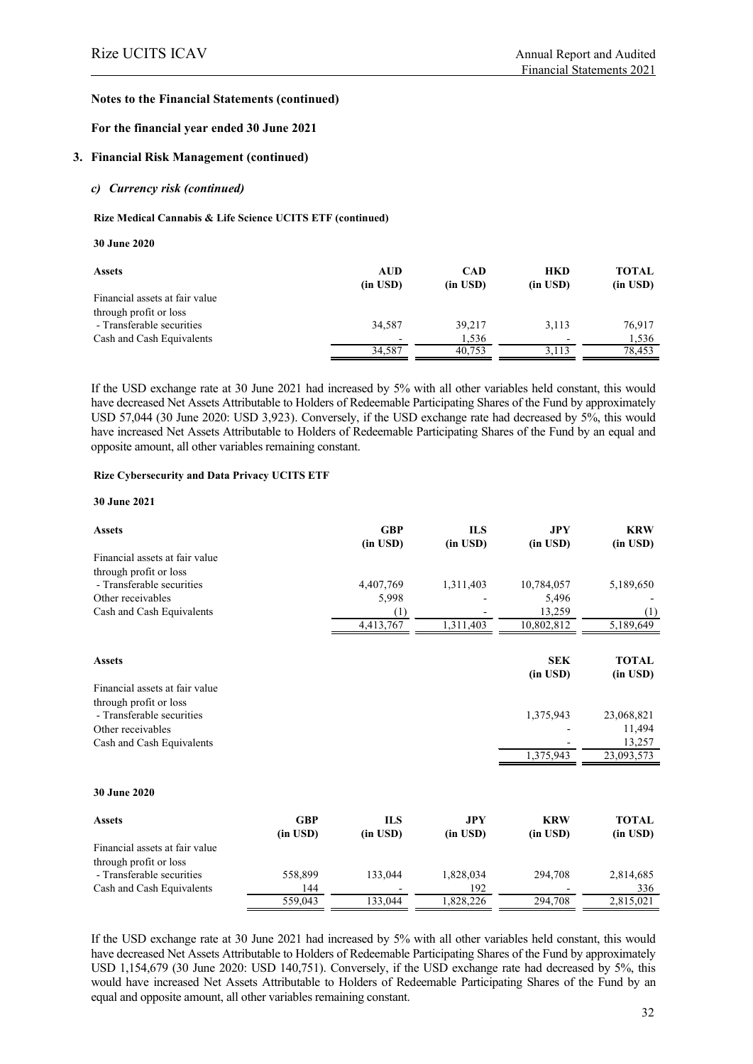#### **For the financial year ended 30 June 2021**

#### **3. Financial Risk Management (continued)**

#### *c) Currency risk (continued)*

#### **Rize Medical Cannabis & Life Science UCITS ETF (continued)**

#### **30 June 2020**

| <b>Assets</b>                  | <b>AUD</b><br>$(in$ USD $)$ | <b>CAD</b><br>(in USD) | <b>HKD</b><br>$(in$ $USD)$ | <b>TOTAL</b><br>$(in$ USD $)$ |
|--------------------------------|-----------------------------|------------------------|----------------------------|-------------------------------|
| Financial assets at fair value |                             |                        |                            |                               |
| through profit or loss         |                             |                        |                            |                               |
| - Transferable securities      | 34.587                      | 39.217                 | 3.113                      | 76,917                        |
| Cash and Cash Equivalents      | $\overline{\phantom{a}}$    | 1,536                  | $\overline{\phantom{0}}$   | 1.536                         |
|                                | 34,587                      | 40.753                 | 3,113                      | 78.453                        |

If the USD exchange rate at 30 June 2021 had increased by 5% with all other variables held constant, this would have decreased Net Assets Attributable to Holders of Redeemable Participating Shares of the Fund by approximately USD 57,044 (30 June 2020: USD 3,923). Conversely, if the USD exchange rate had decreased by 5%, this would have increased Net Assets Attributable to Holders of Redeemable Participating Shares of the Fund by an equal and opposite amount, all other variables remaining constant.

#### **Rize Cybersecurity and Data Privacy UCITS ETF**

#### **30 June 2021**

| <b>Assets</b>                  |            | <b>GBP</b><br>(in USD) | <b>ILS</b><br>(in USD) | <b>JPY</b><br>(in USD) | <b>KRW</b><br>(in USD) |
|--------------------------------|------------|------------------------|------------------------|------------------------|------------------------|
| Financial assets at fair value |            |                        |                        |                        |                        |
| through profit or loss         |            |                        |                        |                        |                        |
| - Transferable securities      |            | 4,407,769              | 1,311,403              | 10,784,057             | 5,189,650              |
| Other receivables              |            | 5,998                  |                        | 5,496                  |                        |
| Cash and Cash Equivalents      |            | (1)                    |                        | 13,259                 | (1)                    |
|                                |            | 4,413,767              | 1,311,403              | 10,802,812             | 5,189,649              |
|                                |            |                        |                        |                        |                        |
| <b>Assets</b>                  |            |                        |                        | <b>SEK</b>             | <b>TOTAL</b>           |
|                                |            |                        |                        | (in USD)               | (in USD)               |
| Financial assets at fair value |            |                        |                        |                        |                        |
| through profit or loss         |            |                        |                        |                        |                        |
| - Transferable securities      |            |                        |                        | 1,375,943              | 23,068,821             |
| Other receivables              |            |                        |                        |                        | 11,494                 |
| Cash and Cash Equivalents      |            |                        |                        |                        | 13,257                 |
|                                |            |                        |                        | 1,375,943              | 23,093,573             |
|                                |            |                        |                        |                        |                        |
| 30 June 2020                   |            |                        |                        |                        |                        |
| <b>Assets</b>                  | <b>GBP</b> | <b>ILS</b>             | <b>JPY</b>             | <b>KRW</b>             | <b>TOTAL</b>           |
|                                | (in USD)   | (in USD)               | $(in$ $USD)$           | (in USD)               | (in USD)               |
| Financial assets at fair value |            |                        |                        |                        |                        |
| through profit or loss         |            |                        |                        |                        |                        |
| - Transferable securities      | 558,899    | 133,044                | 1,828,034              | 294,708                | 2,814,685              |
| Cash and Cash Equivalents      | 144        |                        | 192                    |                        | 336                    |
|                                | 559,043    | 133,044                | 1,828,226              | 294,708                | 2,815,021              |

If the USD exchange rate at 30 June 2021 had increased by 5% with all other variables held constant, this would have decreased Net Assets Attributable to Holders of Redeemable Participating Shares of the Fund by approximately USD 1,154,679 (30 June 2020: USD 140,751). Conversely, if the USD exchange rate had decreased by 5%, this would have increased Net Assets Attributable to Holders of Redeemable Participating Shares of the Fund by an equal and opposite amount, all other variables remaining constant.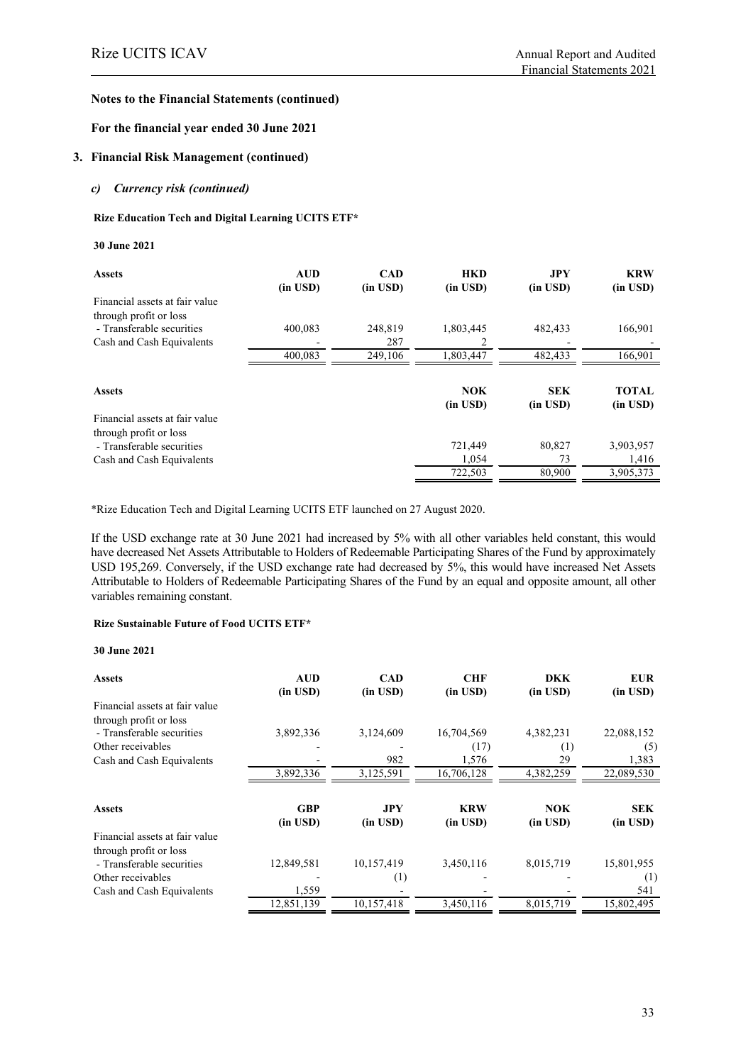#### **For the financial year ended 30 June 2021**

#### **3. Financial Risk Management (continued)**

#### *c) Currency risk (continued)*

#### **Rize Education Tech and Digital Learning UCITS ETF\***

#### **30 June 2021**

| <b>Assets</b>                  | <b>AUD</b>    | <b>CAD</b> | <b>HKD</b>   | JPY          | <b>KRW</b>   |
|--------------------------------|---------------|------------|--------------|--------------|--------------|
| Financial assets at fair value | $(in$ USD $)$ | (in USD)   | $(in$ $USD)$ | (in USD)     | (in USD)     |
|                                |               |            |              |              |              |
| through profit or loss         |               |            |              |              |              |
| - Transferable securities      | 400.083       | 248,819    | 1,803,445    | 482,433      | 166,901      |
| Cash and Cash Equivalents      |               | 287        |              |              |              |
|                                | 400.083       | 249,106    | 1,803,447    | 482,433      | 166,901      |
|                                |               |            |              |              |              |
| <b>Assets</b>                  |               |            | <b>NOK</b>   | <b>SEK</b>   | <b>TOTAL</b> |
|                                |               |            | $(in$ $USD)$ | $(in$ $USD)$ | $(in$ $USD)$ |
| Financial assets at fair value |               |            |              |              |              |
| through profit or loss         |               |            |              |              |              |
| - Transferable securities      |               |            | 721,449      | 80,827       | 3,903,957    |
| Cash and Cash Equivalents      |               |            | 1,054        | 73           | 1,416        |
|                                |               |            | 722.503      | 80,900       | 3,905,373    |

\*Rize Education Tech and Digital Learning UCITS ETF launched on 27 August 2020.

If the USD exchange rate at 30 June 2021 had increased by 5% with all other variables held constant, this would have decreased Net Assets Attributable to Holders of Redeemable Participating Shares of the Fund by approximately USD 195,269. Conversely, if the USD exchange rate had decreased by 5%, this would have increased Net Assets Attributable to Holders of Redeemable Participating Shares of the Fund by an equal and opposite amount, all other variables remaining constant.

#### **Rize Sustainable Future of Food UCITS ETF\***

#### **30 June 2021**

| <b>Assets</b>                  | <b>AUD</b><br>(in USD)     | <b>CAD</b><br>$(in$ USD $)$ | <b>CHF</b><br>$(in$ $USD)$ | <b>DKK</b><br>(in USD)     | <b>EUR</b><br>(in USD) |
|--------------------------------|----------------------------|-----------------------------|----------------------------|----------------------------|------------------------|
| Financial assets at fair value |                            |                             |                            |                            |                        |
| through profit or loss         |                            |                             |                            |                            |                        |
| - Transferable securities      | 3,892,336                  | 3,124,609                   | 16,704,569                 | 4,382,231                  | 22,088,152             |
| Other receivables              |                            |                             | (17)                       | $\left(1\right)$           | (5)                    |
| Cash and Cash Equivalents      |                            | 982                         | 1,576                      | 29                         | 1,383                  |
|                                | 3,892,336                  | 3,125,591                   | 16,706,128                 | 4,382,259                  | 22,089,530             |
| <b>Assets</b>                  | <b>GBP</b><br>$(in$ $USD)$ | <b>JPY</b><br>$(in$ $USD)$  | <b>KRW</b><br>$(in$ $USD)$ | <b>NOK</b><br>$(in$ $USD)$ | <b>SEK</b><br>(in USD) |
| Financial assets at fair value |                            |                             |                            |                            |                        |
| through profit or loss         |                            |                             |                            |                            |                        |
| - Transferable securities      | 12,849,581                 | 10,157,419                  | 3,450,116                  | 8,015,719                  | 15,801,955             |
| Other receivables              |                            | (1)                         |                            |                            | (1)                    |
| Cash and Cash Equivalents      | 1,559                      |                             |                            |                            | 541                    |
|                                | 12,851,139                 | 10,157,418                  | 3,450,116                  | 8,015,719                  | 15,802,495             |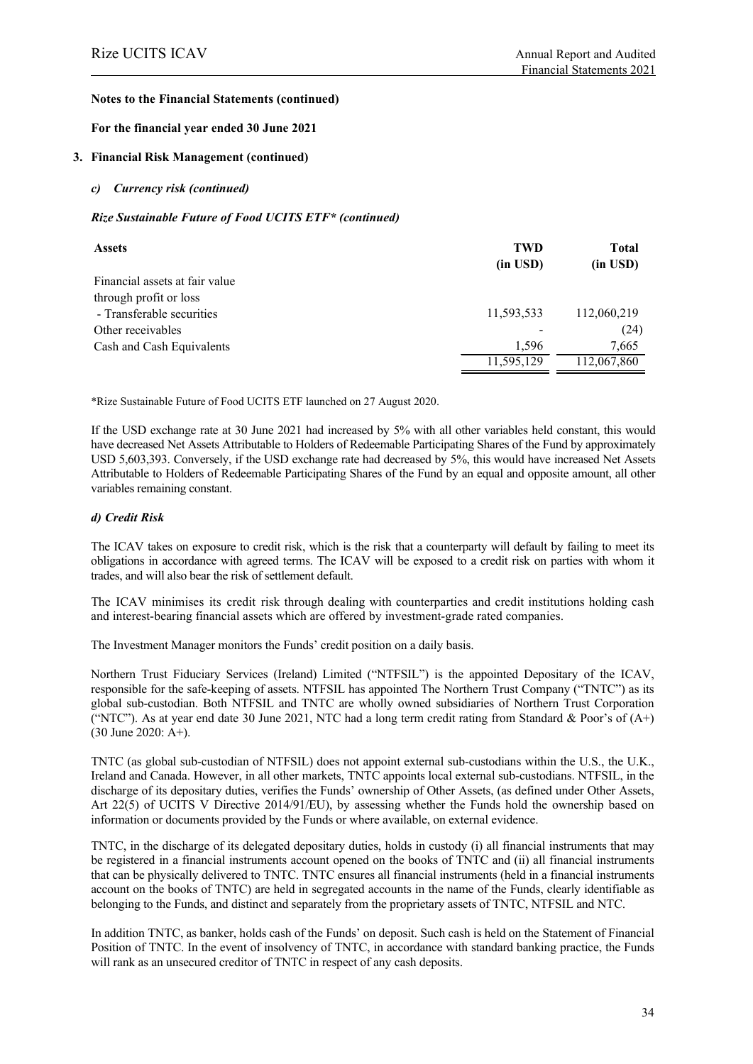#### **For the financial year ended 30 June 2021**

#### **3. Financial Risk Management (continued)**

#### *c) Currency risk (continued)*

#### *Rize Sustainable Future of Food UCITS ETF\* (continued)*

| <b>Assets</b>                  | <b>TWD</b> | Total         |
|--------------------------------|------------|---------------|
|                                | (in USD)   | $(in$ USD $)$ |
| Financial assets at fair value |            |               |
| through profit or loss         |            |               |
| - Transferable securities      | 11,593,533 | 112,060,219   |
| Other receivables              |            | (24)          |
| Cash and Cash Equivalents      | 1.596      | 7,665         |
|                                | 11,595,129 | 112,067,860   |

\*Rize Sustainable Future of Food UCITS ETF launched on 27 August 2020.

If the USD exchange rate at 30 June 2021 had increased by 5% with all other variables held constant, this would have decreased Net Assets Attributable to Holders of Redeemable Participating Shares of the Fund by approximately USD 5,603,393. Conversely, if the USD exchange rate had decreased by 5%, this would have increased Net Assets Attributable to Holders of Redeemable Participating Shares of the Fund by an equal and opposite amount, all other variables remaining constant.

#### *d) Credit Risk*

The ICAV takes on exposure to credit risk, which is the risk that a counterparty will default by failing to meet its obligations in accordance with agreed terms. The ICAV will be exposed to a credit risk on parties with whom it trades, and will also bear the risk of settlement default.

The ICAV minimises its credit risk through dealing with counterparties and credit institutions holding cash and interest-bearing financial assets which are offered by investment-grade rated companies.

The Investment Manager monitors the Funds' credit position on a daily basis.

Northern Trust Fiduciary Services (Ireland) Limited ("NTFSIL") is the appointed Depositary of the ICAV, responsible for the safe-keeping of assets. NTFSIL has appointed The Northern Trust Company ("TNTC") as its global sub-custodian. Both NTFSIL and TNTC are wholly owned subsidiaries of Northern Trust Corporation ("NTC"). As at year end date 30 June 2021, NTC had a long term credit rating from Standard & Poor's of  $(A<sup>+</sup>)$ (30 June 2020: A+).

TNTC (as global sub-custodian of NTFSIL) does not appoint external sub-custodians within the U.S., the U.K., Ireland and Canada. However, in all other markets, TNTC appoints local external sub-custodians. NTFSIL, in the discharge of its depositary duties, verifies the Funds' ownership of Other Assets, (as defined under Other Assets, Art 22(5) of UCITS V Directive 2014/91/EU), by assessing whether the Funds hold the ownership based on information or documents provided by the Funds or where available, on external evidence.

TNTC, in the discharge of its delegated depositary duties, holds in custody (i) all financial instruments that may be registered in a financial instruments account opened on the books of TNTC and (ii) all financial instruments that can be physically delivered to TNTC. TNTC ensures all financial instruments (held in a financial instruments account on the books of TNTC) are held in segregated accounts in the name of the Funds, clearly identifiable as belonging to the Funds, and distinct and separately from the proprietary assets of TNTC, NTFSIL and NTC.

In addition TNTC, as banker, holds cash of the Funds' on deposit. Such cash is held on the Statement of Financial Position of TNTC. In the event of insolvency of TNTC, in accordance with standard banking practice, the Funds will rank as an unsecured creditor of TNTC in respect of any cash deposits.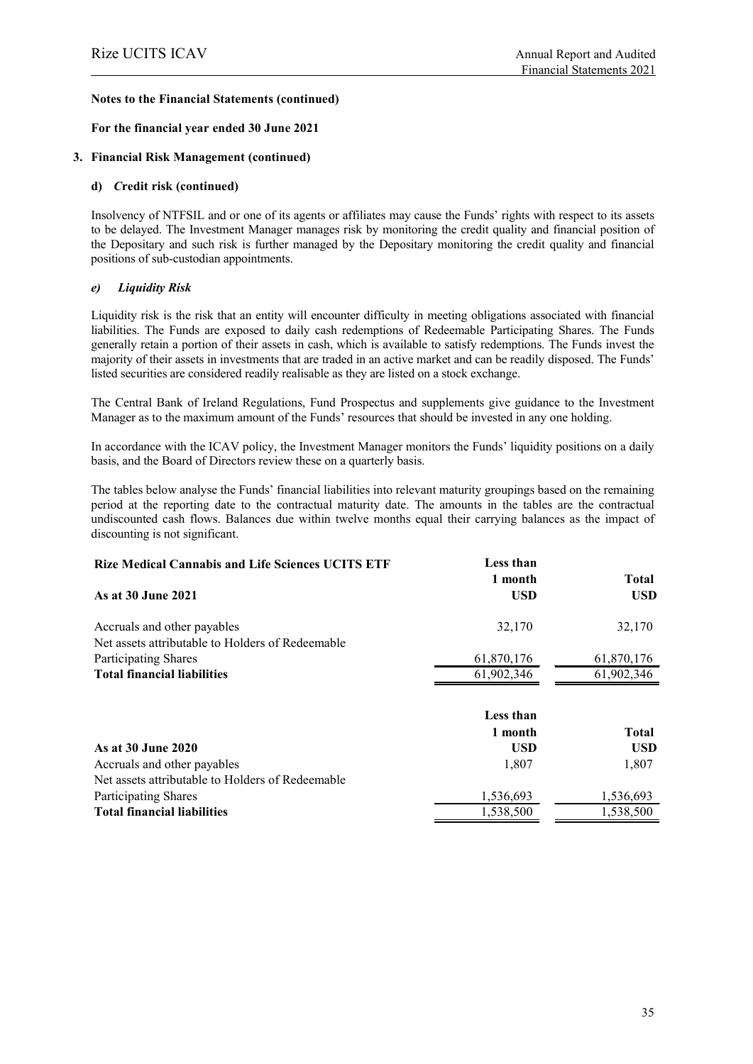#### **For the financial year ended 30 June 2021**

#### **3. Financial Risk Management (continued)**

#### **d)** *C***redit risk (continued)**

Insolvency of NTFSIL and or one of its agents or affiliates may cause the Funds' rights with respect to its assets to be delayed. The Investment Manager manages risk by monitoring the credit quality and financial position of the Depositary and such risk is further managed by the Depositary monitoring the credit quality and financial positions of sub-custodian appointments.

#### *e) Liquidity Risk*

Liquidity risk is the risk that an entity will encounter difficulty in meeting obligations associated with financial liabilities. The Funds are exposed to daily cash redemptions of Redeemable Participating Shares. The Funds generally retain a portion of their assets in cash, which is available to satisfy redemptions. The Funds invest the majority of their assets in investments that are traded in an active market and can be readily disposed. The Funds' listed securities are considered readily realisable as they are listed on a stock exchange.

The Central Bank of Ireland Regulations, Fund Prospectus and supplements give guidance to the Investment Manager as to the maximum amount of the Funds' resources that should be invested in any one holding.

In accordance with the ICAV policy, the Investment Manager monitors the Funds' liquidity positions on a daily basis, and the Board of Directors review these on a quarterly basis.

The tables below analyse the Funds' financial liabilities into relevant maturity groupings based on the remaining period at the reporting date to the contractual maturity date. The amounts in the tables are the contractual undiscounted cash flows. Balances due within twelve months equal their carrying balances as the impact of discounting is not significant.

| <b>Rize Medical Cannabis and Life Sciences UCITS ETF</b>                        | Less than<br>1 month | <b>Total</b> |
|---------------------------------------------------------------------------------|----------------------|--------------|
| As at 30 June 2021                                                              | <b>USD</b>           | USD.         |
| Accruals and other payables<br>Net assets attributable to Holders of Redeemable | 32,170               | 32,170       |
| Participating Shares                                                            | 61,870,176           | 61,870,176   |
| <b>Total financial liabilities</b>                                              | 61,902,346           | 61,902,346   |
|                                                                                 | Less than            |              |
|                                                                                 | 1 month              | <b>Total</b> |
| As at 30 June 2020                                                              | <b>USD</b>           | <b>USD</b>   |
| Accruals and other payables                                                     | 1,807                | 1,807        |
| Net assets attributable to Holders of Redeemable                                |                      |              |
| <b>Participating Shares</b>                                                     | 1,536,693            | 1,536,693    |
| <b>Total financial liabilities</b>                                              | 1,538,500            | 1,538,500    |
|                                                                                 |                      |              |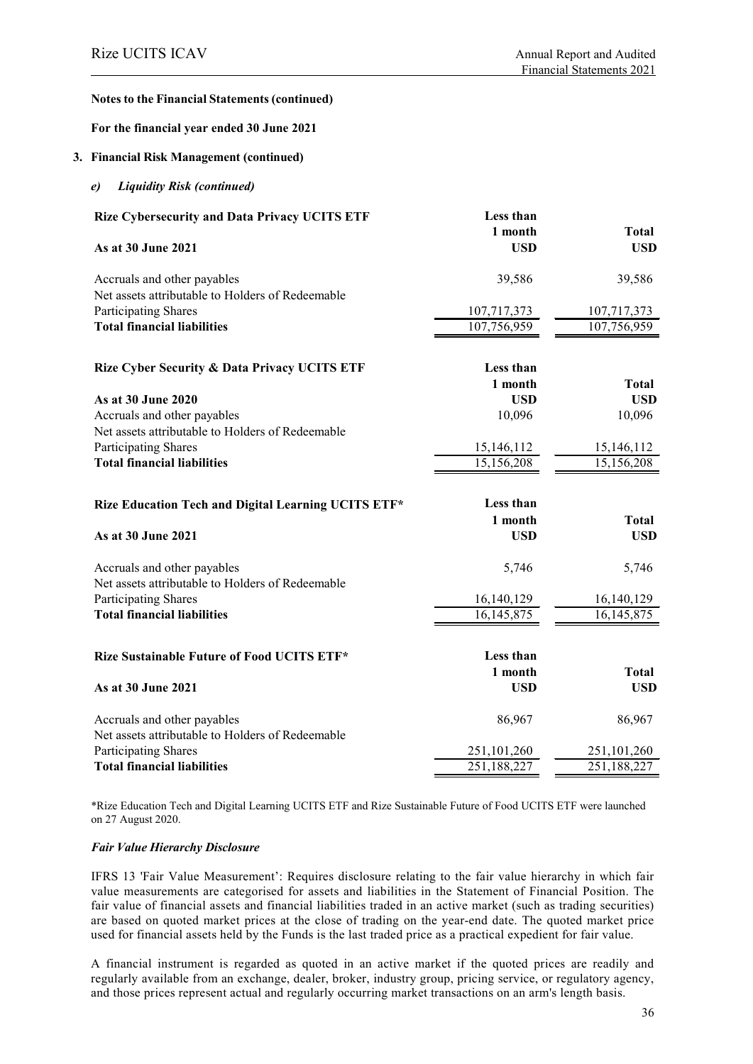#### **For the financial year ended 30 June 2021**

#### **3. Financial Risk Management (continued)**

*e) Liquidity Risk (continued)*

| <b>Rize Cybersecurity and Data Privacy UCITS ETF</b> | Less than   |              |
|------------------------------------------------------|-------------|--------------|
|                                                      | 1 month     | <b>Total</b> |
| As at 30 June 2021                                   | <b>USD</b>  | <b>USD</b>   |
| Accruals and other payables                          | 39,586      | 39,586       |
| Net assets attributable to Holders of Redeemable     |             |              |
| Participating Shares                                 | 107,717,373 | 107,717,373  |
| <b>Total financial liabilities</b>                   | 107,756,959 | 107,756,959  |
|                                                      |             |              |
| Rize Cyber Security & Data Privacy UCITS ETF         | Less than   |              |
|                                                      | 1 month     | <b>Total</b> |
| As at 30 June 2020                                   | <b>USD</b>  | <b>USD</b>   |
| Accruals and other payables                          | 10,096      | 10,096       |
| Net assets attributable to Holders of Redeemable     |             |              |
| <b>Participating Shares</b>                          | 15,146,112  | 15,146,112   |
| <b>Total financial liabilities</b>                   | 15,156,208  | 15,156,208   |
|                                                      |             |              |
| Rize Education Tech and Digital Learning UCITS ETF*  | Less than   |              |
|                                                      | 1 month     | <b>Total</b> |
| As at 30 June 2021                                   | <b>USD</b>  | <b>USD</b>   |
| Accruals and other payables                          | 5,746       | 5,746        |
| Net assets attributable to Holders of Redeemable     |             |              |
| Participating Shares                                 | 16,140,129  | 16,140,129   |
| <b>Total financial liabilities</b>                   | 16,145,875  | 16, 145, 875 |
|                                                      |             |              |
| Rize Sustainable Future of Food UCITS ETF*           | Less than   |              |
|                                                      | 1 month     | <b>Total</b> |
| As at 30 June 2021                                   | <b>USD</b>  | <b>USD</b>   |
| Accruals and other payables                          | 86,967      | 86,967       |
| Net assets attributable to Holders of Redeemable     |             |              |
| Participating Shares                                 | 251,101,260 | 251,101,260  |
| <b>Total financial liabilities</b>                   | 251,188,227 | 251,188,227  |
|                                                      |             |              |

\*Rize Education Tech and Digital Learning UCITS ETF and Rize Sustainable Future of Food UCITS ETF were launched on 27 August 2020.

#### *Fair Value Hierarchy Disclosure*

IFRS 13 'Fair Value Measurement': Requires disclosure relating to the fair value hierarchy in which fair value measurements are categorised for assets and liabilities in the Statement of Financial Position. The fair value of financial assets and financial liabilities traded in an active market (such as trading securities) are based on quoted market prices at the close of trading on the year-end date. The quoted market price used for financial assets held by the Funds is the last traded price as a practical expedient for fair value.

A financial instrument is regarded as quoted in an active market if the quoted prices are readily and regularly available from an exchange, dealer, broker, industry group, pricing service, or regulatory agency, and those prices represent actual and regularly occurring market transactions on an arm's length basis.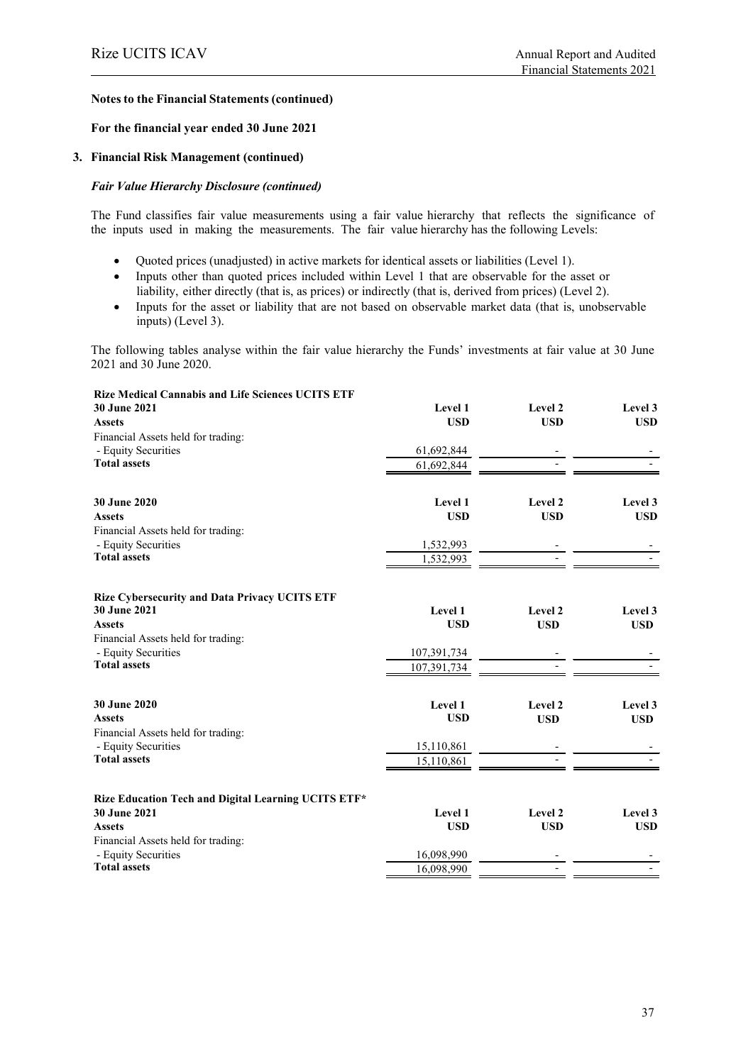#### **For the financial year ended 30 June 2021**

#### **3. Financial Risk Management (continued)**

## *Fair Value Hierarchy Disclosure (continued)*

The Fund classifies fair value measurements using a fair value hierarchy that reflects the significance of the inputs used in making the measurements. The fair value hierarchy has the following Levels:

- Quoted prices (unadjusted) in active markets for identical assets or liabilities (Level 1).
- Inputs other than quoted prices included within Level 1 that are observable for the asset or liability, either directly (that is, as prices) or indirectly (that is, derived from prices) (Level 2).
- Inputs for the asset or liability that are not based on observable market data (that is, unobservable inputs) (Level 3).

The following tables analyse within the fair value hierarchy the Funds' investments at fair value at 30 June 2021 and 30 June 2020.

| Level 1     | Level 2                                                                   | Level 3                                        |
|-------------|---------------------------------------------------------------------------|------------------------------------------------|
| <b>USD</b>  | <b>USD</b>                                                                | <b>USD</b>                                     |
|             |                                                                           |                                                |
| 61,692,844  |                                                                           |                                                |
| 61,692,844  |                                                                           |                                                |
| Level 1     | Level 2                                                                   | Level 3                                        |
| <b>USD</b>  | <b>USD</b>                                                                | <b>USD</b>                                     |
|             |                                                                           |                                                |
|             |                                                                           |                                                |
| 1,532,993   |                                                                           |                                                |
|             |                                                                           |                                                |
| Level 1     | Level 2                                                                   | Level 3                                        |
| <b>USD</b>  | <b>USD</b>                                                                | <b>USD</b>                                     |
|             |                                                                           |                                                |
| 107,391,734 |                                                                           |                                                |
| 107,391,734 |                                                                           |                                                |
|             |                                                                           | Level 3                                        |
| <b>USD</b>  |                                                                           | <b>USD</b>                                     |
|             |                                                                           |                                                |
|             |                                                                           |                                                |
| 15,110,861  |                                                                           |                                                |
|             |                                                                           |                                                |
|             |                                                                           | Level 3                                        |
|             |                                                                           | <b>USD</b>                                     |
|             |                                                                           |                                                |
|             |                                                                           |                                                |
| 16,098,990  |                                                                           |                                                |
|             | 1,532,993<br>Level 1<br>15,110,861<br>Level 1<br><b>USD</b><br>16,098,990 | Level 2<br><b>USD</b><br>Level 2<br><b>USD</b> |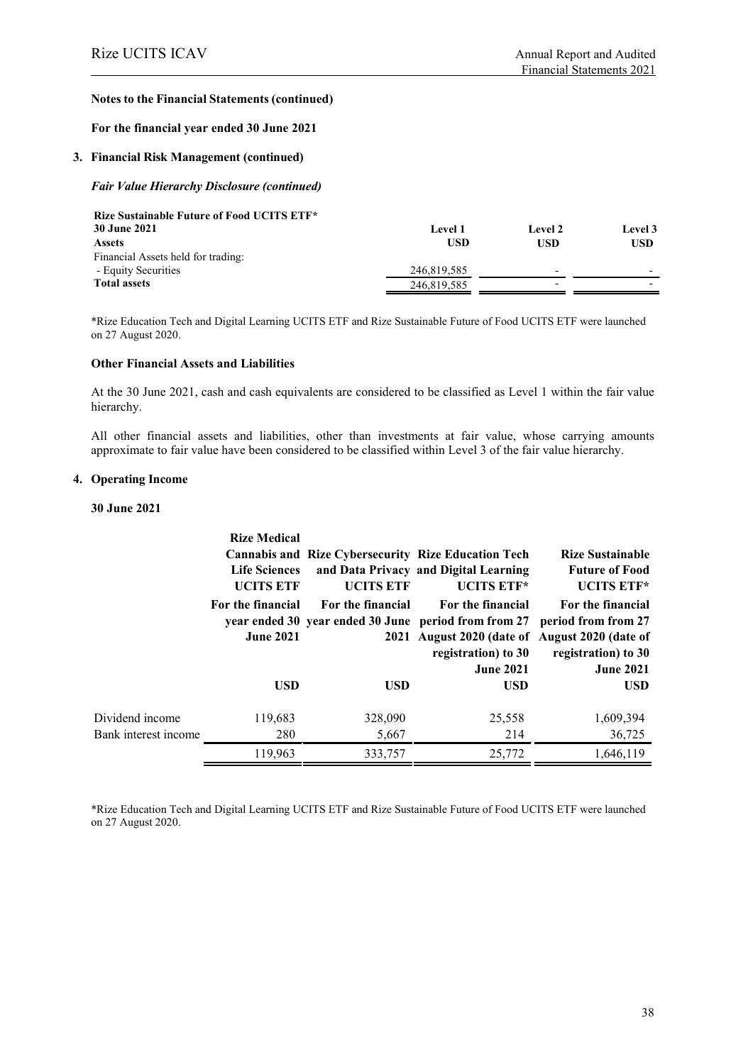#### **For the financial year ended 30 June 2021**

#### **3. Financial Risk Management (continued)**

#### *Fair Value Hierarchy Disclosure (continued)*

| <b>Level 1</b> | Level 2 | Level 3                  |
|----------------|---------|--------------------------|
| USD            | USD     | <b>USD</b>               |
|                |         |                          |
| 246,819,585    |         | $\overline{\phantom{0}}$ |
| 246,819,585    |         |                          |
|                |         |                          |

\*Rize Education Tech and Digital Learning UCITS ETF and Rize Sustainable Future of Food UCITS ETF were launched on 27 August 2020.

#### **Other Financial Assets and Liabilities**

At the 30 June 2021, cash and cash equivalents are considered to be classified as Level 1 within the fair value hierarchy.

All other financial assets and liabilities, other than investments at fair value, whose carrying amounts approximate to fair value have been considered to be classified within Level 3 of the fair value hierarchy.

#### **4. Operating Income**

#### **30 June 2021**

|                      | <b>Rize Medical</b><br><b>Life Sciences</b><br><b>UCITS ETF</b> | <b>UCITS ETF</b>  | <b>Cannabis and Rize Cybersecurity Rize Education Tech</b><br>and Data Privacy and Digital Learning<br>UCITS ETF*                                                      | <b>Rize Sustainable</b><br><b>Future of Food</b><br><b>UCITS ETF*</b>               |
|----------------------|-----------------------------------------------------------------|-------------------|------------------------------------------------------------------------------------------------------------------------------------------------------------------------|-------------------------------------------------------------------------------------|
|                      | For the financial<br><b>June 2021</b>                           | For the financial | For the financial<br>year ended 30 year ended 30 June period from from 27<br>2021 August 2020 (date of August 2020 (date of<br>registration) to 30<br><b>June 2021</b> | For the financial<br>period from from 27<br>registration) to 30<br><b>June 2021</b> |
|                      | <b>USD</b>                                                      | <b>USD</b>        | <b>USD</b>                                                                                                                                                             | <b>USD</b>                                                                          |
| Dividend income      | 119,683                                                         | 328,090           | 25,558                                                                                                                                                                 | 1,609,394                                                                           |
| Bank interest income | 280                                                             | 5,667             | 214                                                                                                                                                                    | 36,725                                                                              |
|                      | 119,963                                                         | 333,757           | 25,772                                                                                                                                                                 | 1,646,119                                                                           |

\*Rize Education Tech and Digital Learning UCITS ETF and Rize Sustainable Future of Food UCITS ETF were launched on 27 August 2020.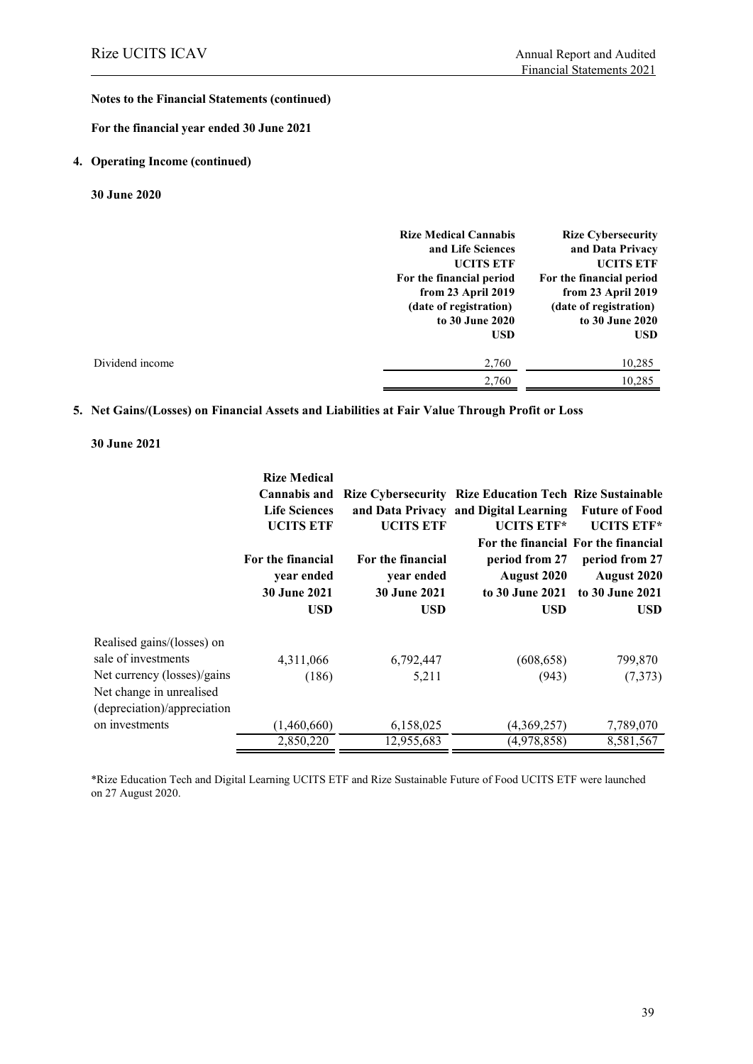**For the financial year ended 30 June 2021**

#### **4. Operating Income (continued)**

**30 June 2020**

| <b>Rize Medical Cannabis</b> | <b>Rize Cybersecurity</b> |
|------------------------------|---------------------------|
| and Life Sciences            | and Data Privacy          |
| <b>UCITS ETF</b>             | <b>UCITS ETF</b>          |
| For the financial period     | For the financial period  |
| from 23 April 2019           | from 23 April 2019        |
| (date of registration)       | (date of registration)    |
| to 30 June 2020              | to 30 June 2020           |
| <b>USD</b>                   | <b>USD</b>                |
| 2,760                        | 10,285                    |
| 2.760                        | 10.285                    |
|                              |                           |

#### **5. Net Gains/(Losses) on Financial Assets and Liabilities at Fair Value Through Profit or Loss**

#### **30 June 2021**

|                             | <b>Rize Medical</b>  |                     |                                                                |                                     |
|-----------------------------|----------------------|---------------------|----------------------------------------------------------------|-------------------------------------|
|                             | <b>Cannabis and</b>  |                     | <b>Rize Cybersecurity Rize Education Tech Rize Sustainable</b> |                                     |
|                             | <b>Life Sciences</b> |                     | and Data Privacy and Digital Learning                          | <b>Future of Food</b>               |
|                             | <b>UCITS ETF</b>     | <b>UCITS ETF</b>    | UCITS ETF*                                                     | <b>UCITS ETF*</b>                   |
|                             |                      |                     |                                                                | For the financial For the financial |
|                             | For the financial    | For the financial   | period from 27                                                 | period from 27                      |
|                             | year ended           | year ended          | August 2020                                                    | August 2020                         |
|                             | <b>30 June 2021</b>  | <b>30 June 2021</b> |                                                                | to 30 June 2021 to 30 June 2021     |
|                             | <b>USD</b>           | <b>USD</b>          | USD                                                            | USD.                                |
| Realised gains/(losses) on  |                      |                     |                                                                |                                     |
| sale of investments         | 4,311,066            | 6,792,447           | (608, 658)                                                     | 799,870                             |
| Net currency (losses)/gains | (186)                | 5,211               | (943)                                                          | (7,373)                             |
| Net change in unrealised    |                      |                     |                                                                |                                     |
| (depreciation)/appreciation |                      |                     |                                                                |                                     |
| on investments              | (1,460,660)          | 6,158,025           | (4,369,257)                                                    | 7,789,070                           |
|                             | 2,850,220            | 12,955,683          | (4,978,858)                                                    | 8,581,567                           |

\*Rize Education Tech and Digital Learning UCITS ETF and Rize Sustainable Future of Food UCITS ETF were launched on 27 August 2020.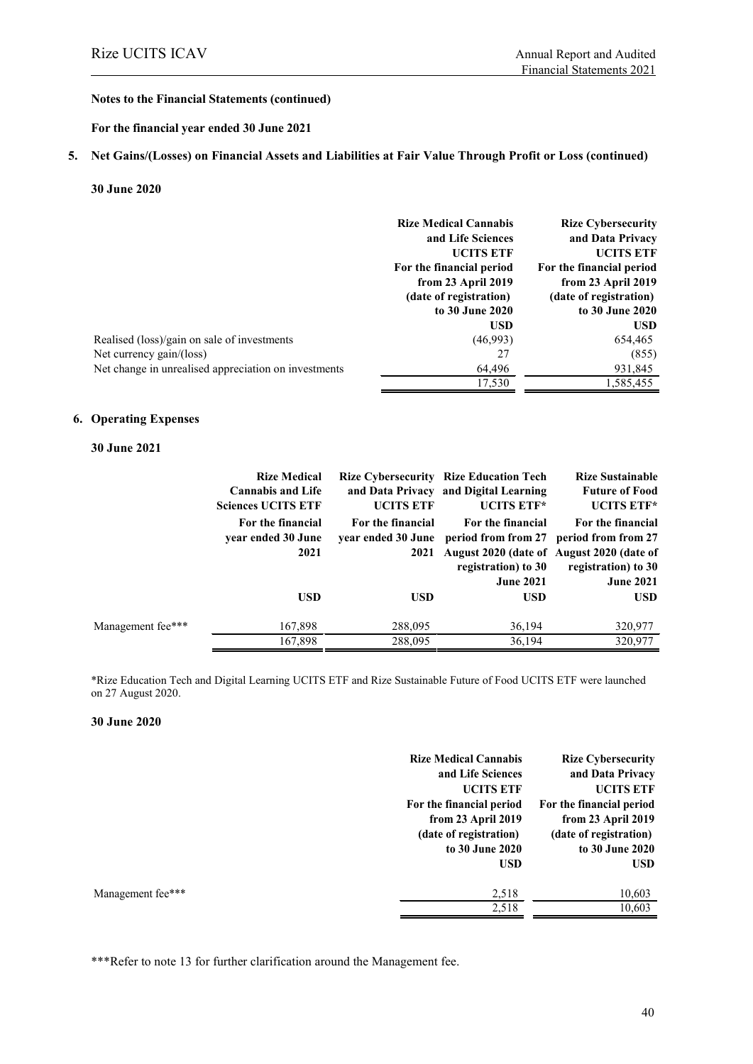#### **For the financial year ended 30 June 2021**

#### **5. Net Gains/(Losses) on Financial Assets and Liabilities at Fair Value Through Profit or Loss (continued)**

#### **30 June 2020**

|                                                      | <b>Rize Medical Cannabis</b><br>and Life Sciences | <b>Rize Cybersecurity</b><br>and Data Privacy |
|------------------------------------------------------|---------------------------------------------------|-----------------------------------------------|
|                                                      | <b>UCITS ETF</b>                                  | <b>UCITS ETF</b>                              |
|                                                      | For the financial period                          | For the financial period                      |
|                                                      | from 23 April 2019                                | from 23 April 2019                            |
|                                                      | (date of registration)                            | (date of registration)                        |
|                                                      | to 30 June 2020                                   | to 30 June 2020                               |
|                                                      | <b>USD</b>                                        | <b>USD</b>                                    |
| Realised (loss)/gain on sale of investments          | (46,993)                                          | 654,465                                       |
| Net currency gain/(loss)                             | 27                                                | (855)                                         |
| Net change in unrealised appreciation on investments | 64,496                                            | 931,845                                       |
|                                                      | 17,530                                            | 1,585,455                                     |

#### **6. Operating Expenses**

#### **30 June 2021**

|                   | <b>Rize Medical</b><br><b>Cannabis and Life</b><br><b>Sciences UCITS ETF</b> | <b>UCITS ETF</b>                                | <b>Rize Cybersecurity Rize Education Tech</b><br>and Data Privacy and Digital Learning<br>UCITS ETF*      | <b>Rize Sustainable</b><br><b>Future of Food</b><br><b>UCITS ETF*</b>                                   |
|-------------------|------------------------------------------------------------------------------|-------------------------------------------------|-----------------------------------------------------------------------------------------------------------|---------------------------------------------------------------------------------------------------------|
|                   | For the financial<br>year ended 30 June<br>2021                              | For the financial<br>vear ended 30 June<br>2021 | For the financial<br>August 2020 (date of August 2020 (date of<br>registration) to 30<br><b>June 2021</b> | For the financial<br>period from from 27 period from from 27<br>registration) to 30<br><b>June 2021</b> |
|                   | <b>USD</b>                                                                   | <b>USD</b>                                      | <b>USD</b>                                                                                                | USD.                                                                                                    |
| Management fee*** | 167,898<br>167,898                                                           | 288,095<br>288,095                              | 36,194<br>36,194                                                                                          | 320,977<br>320,977                                                                                      |

\*Rize Education Tech and Digital Learning UCITS ETF and Rize Sustainable Future of Food UCITS ETF were launched on 27 August 2020.

#### **30 June 2020**

|                   | <b>Rize Medical Cannabis</b> | <b>Rize Cybersecurity</b> |
|-------------------|------------------------------|---------------------------|
|                   | and Life Sciences            | and Data Privacy          |
|                   | <b>UCITS ETF</b>             | <b>UCITS ETF</b>          |
|                   | For the financial period     | For the financial period  |
|                   | from 23 April 2019           | from 23 April 2019        |
|                   | (date of registration)       | (date of registration)    |
|                   | to 30 June 2020              | to 30 June 2020           |
|                   | <b>USD</b>                   | <b>USD</b>                |
| Management fee*** | 2,518                        | 10,603                    |
|                   | 2,518                        | 10,603                    |
|                   |                              |                           |

\*\*\*Refer to note 13 for further clarification around the Management fee.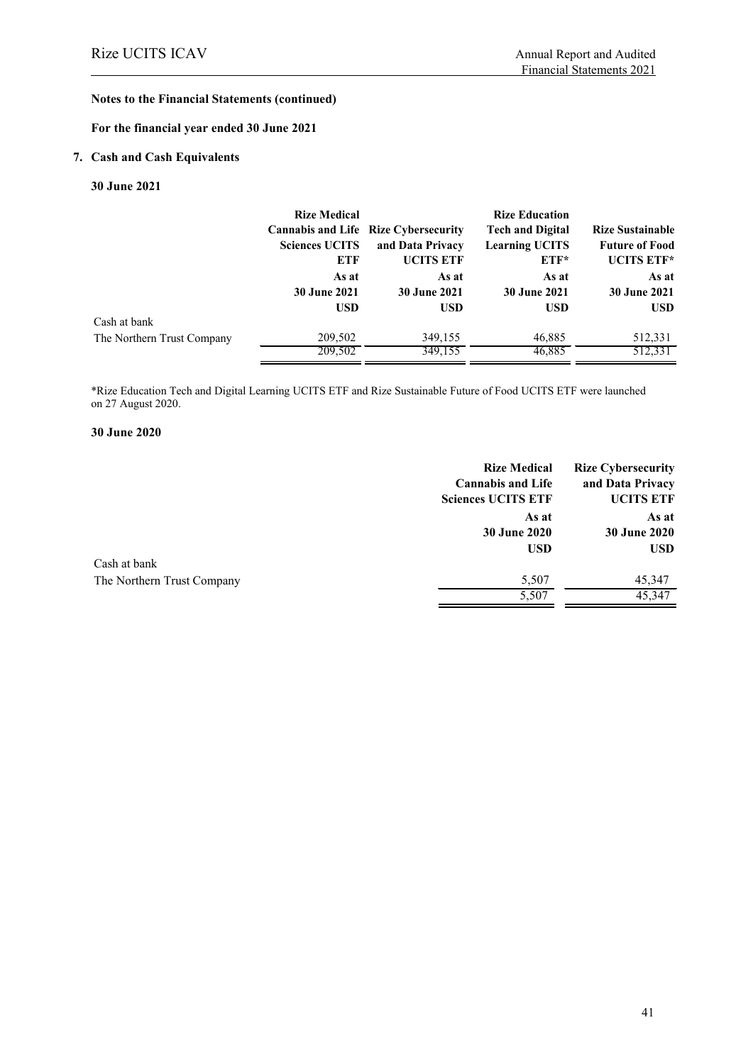### **For the financial year ended 30 June 2021**

# **7. Cash and Cash Equivalents**

#### **30 June 2021**

|                            | <b>Rize Medical</b><br><b>Sciences UCITS</b><br>ETF | <b>Cannabis and Life Rize Cybersecurity</b><br>and Data Privacy<br><b>UCITS ETF</b> | <b>Rize Education</b><br><b>Tech and Digital</b><br><b>Learning UCITS</b><br>$ETF*$ | <b>Rize Sustainable</b><br><b>Future of Food</b><br>UCITS ETF* |
|----------------------------|-----------------------------------------------------|-------------------------------------------------------------------------------------|-------------------------------------------------------------------------------------|----------------------------------------------------------------|
|                            | As at                                               | As at                                                                               | As at                                                                               | As at                                                          |
|                            | <b>30 June 2021</b>                                 | <b>30 June 2021</b>                                                                 | <b>30 June 2021</b>                                                                 | <b>30 June 2021</b>                                            |
|                            | <b>USD</b>                                          | <b>USD</b>                                                                          | <b>USD</b>                                                                          | <b>USD</b>                                                     |
| Cash at bank               |                                                     |                                                                                     |                                                                                     |                                                                |
| The Northern Trust Company | 209,502                                             | 349,155                                                                             | 46,885                                                                              | 512,331                                                        |
|                            | 209,502                                             | 349,155                                                                             | 46,885                                                                              | 512,331                                                        |

\*Rize Education Tech and Digital Learning UCITS ETF and Rize Sustainable Future of Food UCITS ETF were launched on 27 August 2020.

#### **30 June 2020**

|                            | <b>Rize Medical</b><br><b>Cannabis and Life</b><br><b>Sciences UCITS ETF</b> | <b>Rize Cybersecurity</b><br>and Data Privacy<br><b>UCITS ETF</b> |
|----------------------------|------------------------------------------------------------------------------|-------------------------------------------------------------------|
|                            | As at<br><b>30 June 2020</b><br><b>USD</b>                                   | As at<br><b>30 June 2020</b><br><b>USD</b>                        |
| Cash at bank               |                                                                              |                                                                   |
| The Northern Trust Company | 5,507                                                                        | 45,347                                                            |
|                            | 5,507                                                                        | 45,347                                                            |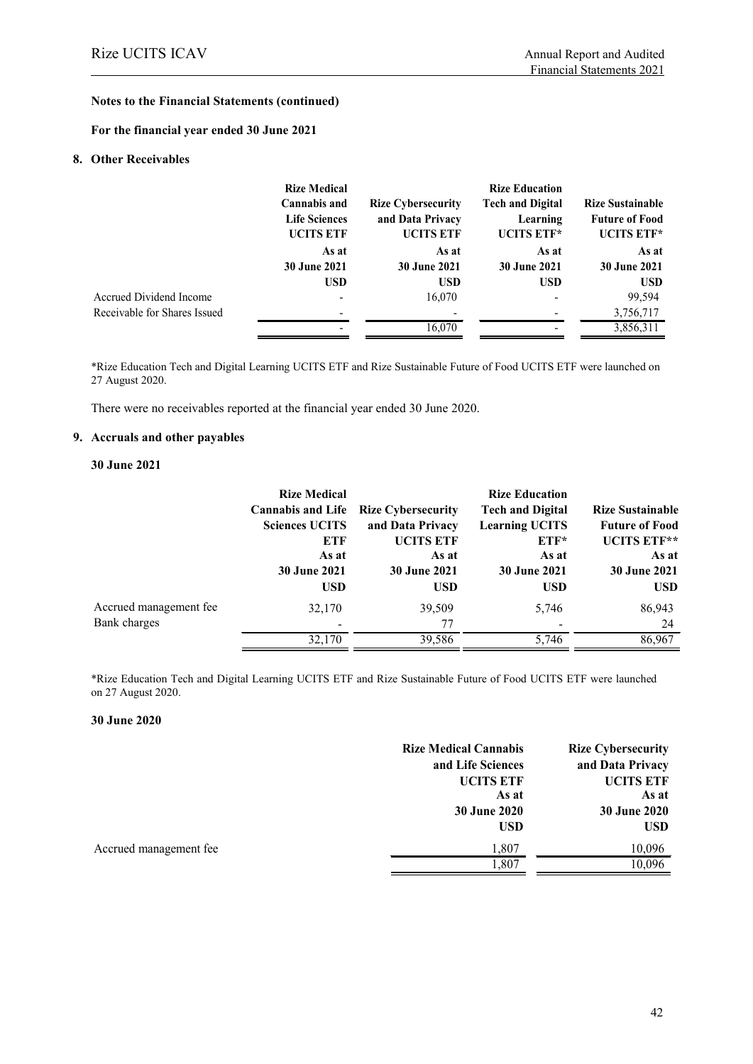**For the financial year ended 30 June 2021**

#### **8. Other Receivables**

|                              | <b>Rize Medical</b>  |                           | <b>Rize Education</b>   |                         |
|------------------------------|----------------------|---------------------------|-------------------------|-------------------------|
|                              | <b>Cannabis and</b>  | <b>Rize Cybersecurity</b> | <b>Tech and Digital</b> | <b>Rize Sustainable</b> |
|                              | <b>Life Sciences</b> | and Data Privacy          | Learning                | <b>Future of Food</b>   |
|                              | <b>UCITS ETF</b>     | <b>UCITS ETF</b>          | UCITS ETF*              | UCITS ETF*              |
|                              | As at                | As at                     | As at                   | As at                   |
|                              | <b>30 June 2021</b>  | <b>30 June 2021</b>       | <b>30 June 2021</b>     | <b>30 June 2021</b>     |
|                              | <b>USD</b>           | <b>USD</b>                | <b>USD</b>              | <b>USD</b>              |
| Accrued Dividend Income      |                      | 16,070                    |                         | 99,594                  |
| Receivable for Shares Issued | -                    |                           |                         | 3,756,717               |
|                              | -                    | 16,070                    |                         | 3,856,311               |

\*Rize Education Tech and Digital Learning UCITS ETF and Rize Sustainable Future of Food UCITS ETF were launched on 27 August 2020.

There were no receivables reported at the financial year ended 30 June 2020.

#### **9. Accruals and other payables**

#### **30 June 2021**

|                        | <b>Rize Medical</b>      |                           | <b>Rize Education</b>   |                         |
|------------------------|--------------------------|---------------------------|-------------------------|-------------------------|
|                        | <b>Cannabis and Life</b> | <b>Rize Cybersecurity</b> | <b>Tech and Digital</b> | <b>Rize Sustainable</b> |
|                        | <b>Sciences UCITS</b>    | and Data Privacy          | <b>Learning UCITS</b>   | <b>Future of Food</b>   |
|                        | ETF                      | <b>UCITS ETF</b>          | ETF*                    | UCITS ETF**             |
|                        | As at                    | As at                     | As at                   | As at                   |
|                        | <b>30 June 2021</b>      | <b>30 June 2021</b>       | <b>30 June 2021</b>     | <b>30 June 2021</b>     |
|                        | <b>USD</b>               | <b>USD</b>                | <b>USD</b>              | <b>USD</b>              |
| Accrued management fee | 32,170                   | 39,509                    | 5,746                   | 86,943                  |
| Bank charges           |                          | 77                        |                         | 24                      |
|                        | 32,170                   | 39,586                    | 5,746                   | 86,967                  |

\*Rize Education Tech and Digital Learning UCITS ETF and Rize Sustainable Future of Food UCITS ETF were launched on 27 August 2020.

#### **30 June 2020**

|                        | <b>Rize Medical Cannabis</b><br>and Life Sciences<br><b>UCITS ETF</b> | <b>Rize Cybersecurity</b><br>and Data Privacy<br><b>UCITS ETF</b> |
|------------------------|-----------------------------------------------------------------------|-------------------------------------------------------------------|
|                        | As at<br><b>30 June 2020</b><br><b>USD</b>                            | As at<br>30 June 2020<br><b>USD</b>                               |
| Accrued management fee | 1,807<br>1,807                                                        | 10,096<br>10,096                                                  |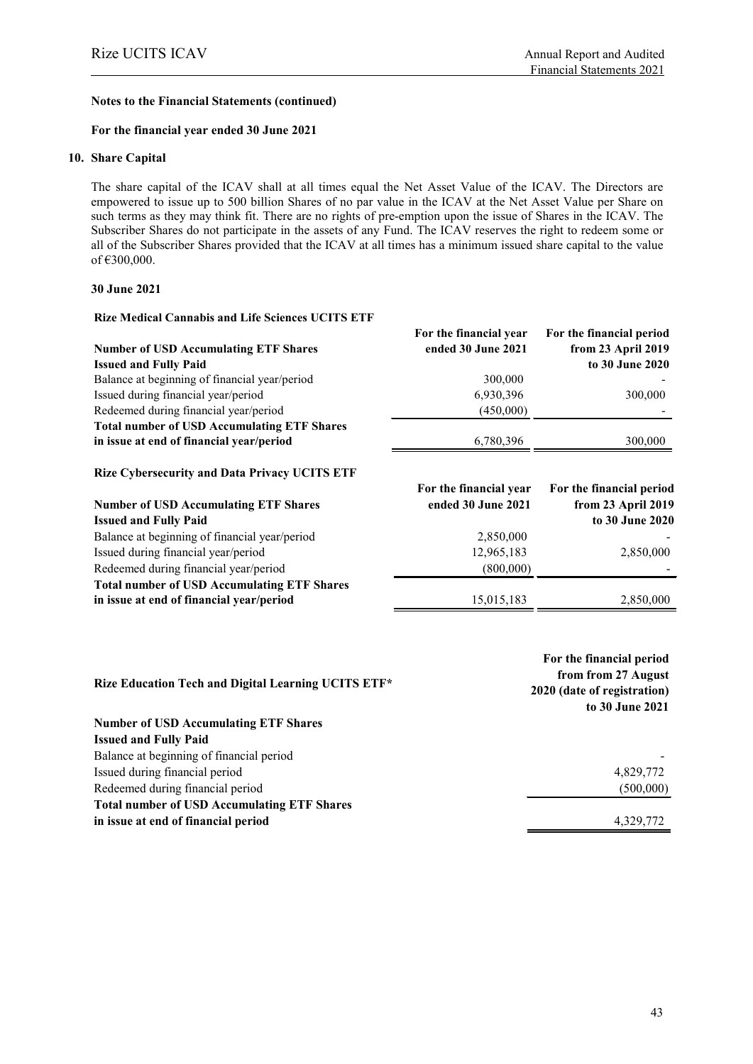#### **For the financial year ended 30 June 2021**

#### **10. Share Capital**

The share capital of the ICAV shall at all times equal the Net Asset Value of the ICAV. The Directors are empowered to issue up to 500 billion Shares of no par value in the ICAV at the Net Asset Value per Share on such terms as they may think fit. There are no rights of pre-emption upon the issue of Shares in the ICAV. The Subscriber Shares do not participate in the assets of any Fund. The ICAV reserves the right to redeem some or all of the Subscriber Shares provided that the ICAV at all times has a minimum issued share capital to the value of €300,000.

#### **30 June 2021**

#### **Rize Medical Cannabis and Life Sciences UCITS ETF**

|                                                      | For the financial year | For the financial period |
|------------------------------------------------------|------------------------|--------------------------|
| <b>Number of USD Accumulating ETF Shares</b>         | ended 30 June 2021     | from 23 April 2019       |
| <b>Issued and Fully Paid</b>                         |                        | to 30 June 2020          |
| Balance at beginning of financial year/period        | 300,000                |                          |
| Issued during financial year/period                  | 6,930,396              | 300,000                  |
| Redeemed during financial year/period                | (450,000)              |                          |
| <b>Total number of USD Accumulating ETF Shares</b>   |                        |                          |
| in issue at end of financial year/period             | 6,780,396              | 300,000                  |
| <b>Rize Cybersecurity and Data Privacy UCITS ETF</b> |                        |                          |
|                                                      | For the financial year | For the financial period |
| <b>Number of USD Accumulating ETF Shares</b>         | ended 30 June 2021     | from 23 April 2019       |
| <b>Issued and Fully Paid</b>                         |                        | to 30 June 2020          |
| Balance at beginning of financial year/period        | 2,850,000              |                          |
| Issued during financial year/period                  | 12,965,183             | 2,850,000                |
|                                                      |                        |                          |
| Redeemed during financial year/period                | (800,000)              |                          |
| <b>Total number of USD Accumulating ETF Shares</b>   |                        |                          |
| in issue at end of financial year/period             | 15,015,183             | 2,850,000                |

| Rize Education Tech and Digital Learning UCITS ETF* | For the financial period<br>from from 27 August<br>2020 (date of registration)<br>to 30 June 2021 |
|-----------------------------------------------------|---------------------------------------------------------------------------------------------------|
| <b>Number of USD Accumulating ETF Shares</b>        |                                                                                                   |
| <b>Issued and Fully Paid</b>                        |                                                                                                   |
| Balance at beginning of financial period            |                                                                                                   |
| Issued during financial period                      | 4,829,772                                                                                         |
| Redeemed during financial period                    | (500,000)                                                                                         |
| <b>Total number of USD Accumulating ETF Shares</b>  |                                                                                                   |
| in issue at end of financial period                 | 4.329.772                                                                                         |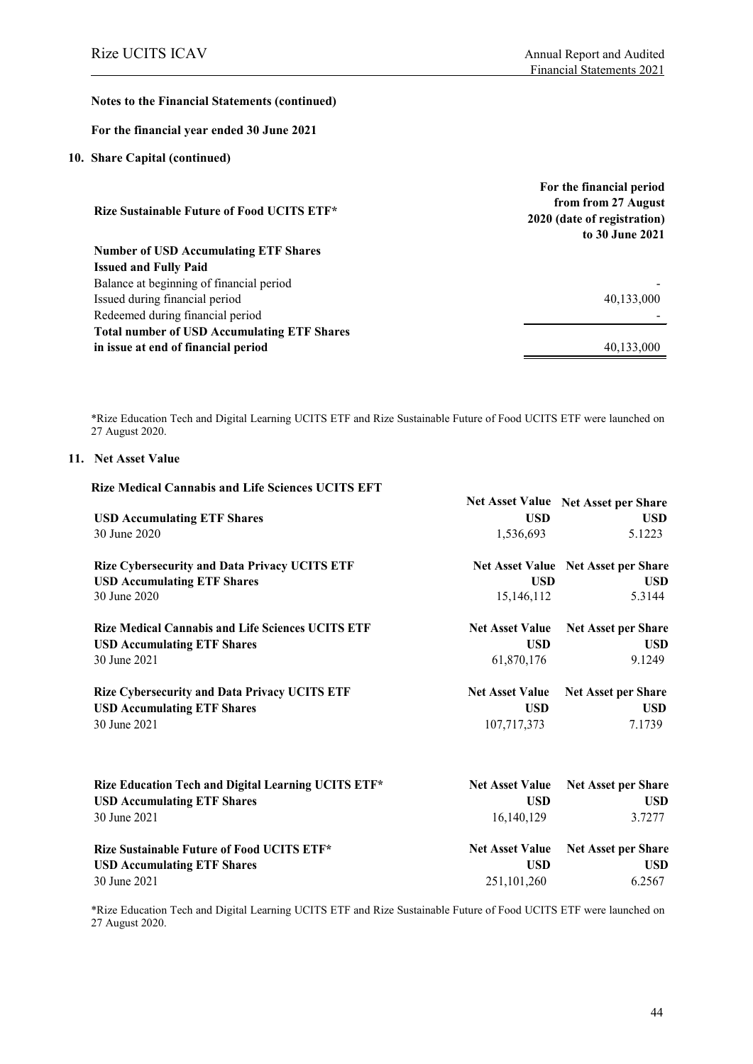#### **For the financial year ended 30 June 2021**

#### **10. Share Capital (continued)**

|                                                    | For the financial period    |
|----------------------------------------------------|-----------------------------|
|                                                    | from from 27 August         |
| <b>Rize Sustainable Future of Food UCITS ETF*</b>  | 2020 (date of registration) |
|                                                    | to 30 June 2021             |
| <b>Number of USD Accumulating ETF Shares</b>       |                             |
| <b>Issued and Fully Paid</b>                       |                             |
| Balance at beginning of financial period           |                             |
| Issued during financial period                     | 40,133,000                  |
| Redeemed during financial period                   |                             |
| <b>Total number of USD Accumulating ETF Shares</b> |                             |
| in issue at end of financial period                | 40.133,000                  |

\*Rize Education Tech and Digital Learning UCITS ETF and Rize Sustainable Future of Food UCITS ETF were launched on 27 August 2020.

#### **11. Net Asset Value**

| <b>Rize Medical Cannabis and Life Sciences UCITS EFT</b> |                        |                                            |
|----------------------------------------------------------|------------------------|--------------------------------------------|
|                                                          |                        | Net Asset Value Net Asset per Share        |
| <b>USD Accumulating ETF Shares</b>                       | <b>USD</b>             | <b>USD</b>                                 |
| 30 June 2020                                             | 1,536,693              | 5.1223                                     |
| <b>Rize Cybersecurity and Data Privacy UCITS ETF</b>     |                        | <b>Net Asset Value Net Asset per Share</b> |
| <b>USD Accumulating ETF Shares</b>                       | <b>USD</b>             | <b>USD</b>                                 |
| 30 June 2020                                             | 15,146,112             | 5.3144                                     |
| <b>Rize Medical Cannabis and Life Sciences UCITS ETF</b> | <b>Net Asset Value</b> | <b>Net Asset per Share</b>                 |
| <b>USD Accumulating ETF Shares</b>                       | <b>USD</b>             | <b>USD</b>                                 |
| 30 June 2021                                             | 61,870,176             | 9.1249                                     |
| <b>Rize Cybersecurity and Data Privacy UCITS ETF</b>     | <b>Net Asset Value</b> | Net Asset per Share                        |
| <b>USD Accumulating ETF Shares</b>                       | <b>USD</b>             | <b>USD</b>                                 |
| 30 June 2021                                             | 107,717,373            | 7.1739                                     |
| Rize Education Tech and Digital Learning UCITS ETF*      | <b>Net Asset Value</b> | <b>Net Asset per Share</b>                 |
|                                                          |                        |                                            |
| <b>USD Accumulating ETF Shares</b>                       | <b>USD</b>             | <b>USD</b>                                 |
| 30 June 2021                                             | 16,140,129             | 3.7277                                     |
| <b>Rize Sustainable Future of Food UCITS ETF*</b>        | <b>Net Asset Value</b> | <b>Net Asset per Share</b>                 |
| <b>USD Accumulating ETF Shares</b>                       | <b>USD</b>             | <b>USD</b>                                 |
| 30 June 2021                                             | 251, 101, 260          | 6.2567                                     |
|                                                          |                        |                                            |

\*Rize Education Tech and Digital Learning UCITS ETF and Rize Sustainable Future of Food UCITS ETF were launched on 27 August 2020.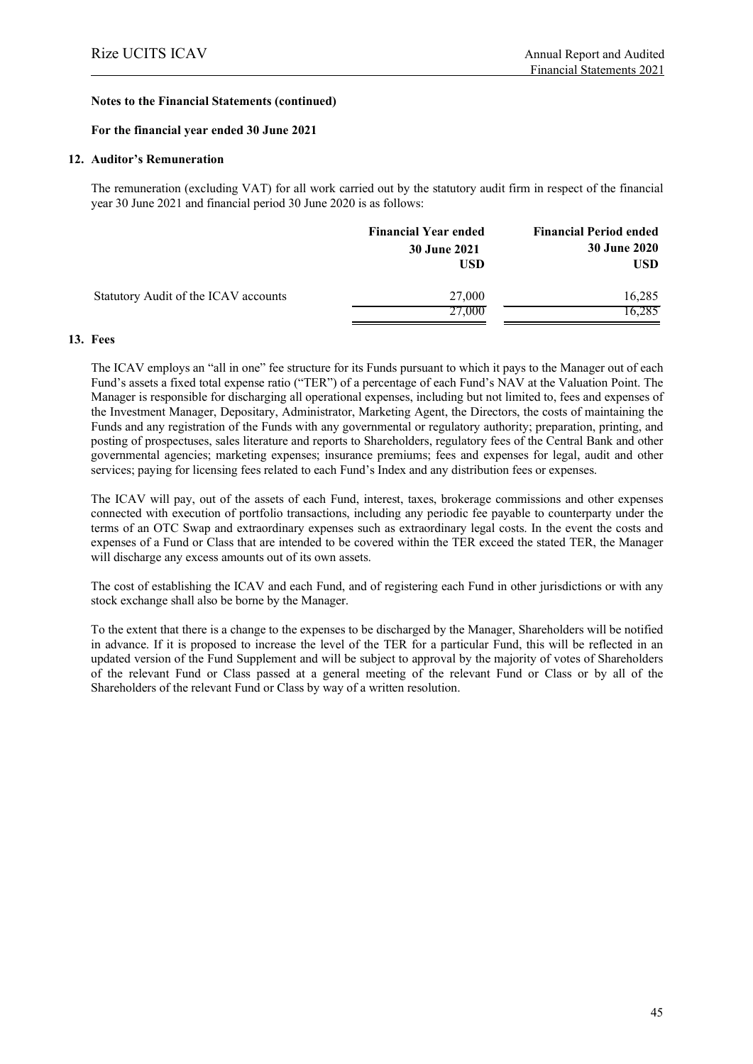#### **For the financial year ended 30 June 2021**

#### **12. Auditor's Remuneration**

The remuneration (excluding VAT) for all work carried out by the statutory audit firm in respect of the financial year 30 June 2021 and financial period 30 June 2020 is as follows:

|                                      | <b>Financial Year ended</b> | <b>Financial Period ended</b> |
|--------------------------------------|-----------------------------|-------------------------------|
|                                      | 30 June 2021                | <b>30 June 2020</b>           |
|                                      | USD                         | <b>USD</b>                    |
| Statutory Audit of the ICAV accounts | 27,000                      | 16,285                        |
|                                      | 27,000                      | 16,285                        |

#### **13. Fees**

The ICAV employs an "all in one" fee structure for its Funds pursuant to which it pays to the Manager out of each Fund's assets a fixed total expense ratio ("TER") of a percentage of each Fund's NAV at the Valuation Point. The Manager is responsible for discharging all operational expenses, including but not limited to, fees and expenses of the Investment Manager, Depositary, Administrator, Marketing Agent, the Directors, the costs of maintaining the Funds and any registration of the Funds with any governmental or regulatory authority; preparation, printing, and posting of prospectuses, sales literature and reports to Shareholders, regulatory fees of the Central Bank and other governmental agencies; marketing expenses; insurance premiums; fees and expenses for legal, audit and other services; paying for licensing fees related to each Fund's Index and any distribution fees or expenses.

The ICAV will pay, out of the assets of each Fund, interest, taxes, brokerage commissions and other expenses connected with execution of portfolio transactions, including any periodic fee payable to counterparty under the terms of an OTC Swap and extraordinary expenses such as extraordinary legal costs. In the event the costs and expenses of a Fund or Class that are intended to be covered within the TER exceed the stated TER, the Manager will discharge any excess amounts out of its own assets.

The cost of establishing the ICAV and each Fund, and of registering each Fund in other jurisdictions or with any stock exchange shall also be borne by the Manager.

To the extent that there is a change to the expenses to be discharged by the Manager, Shareholders will be notified in advance. If it is proposed to increase the level of the TER for a particular Fund, this will be reflected in an updated version of the Fund Supplement and will be subject to approval by the majority of votes of Shareholders of the relevant Fund or Class passed at a general meeting of the relevant Fund or Class or by all of the Shareholders of the relevant Fund or Class by way of a written resolution.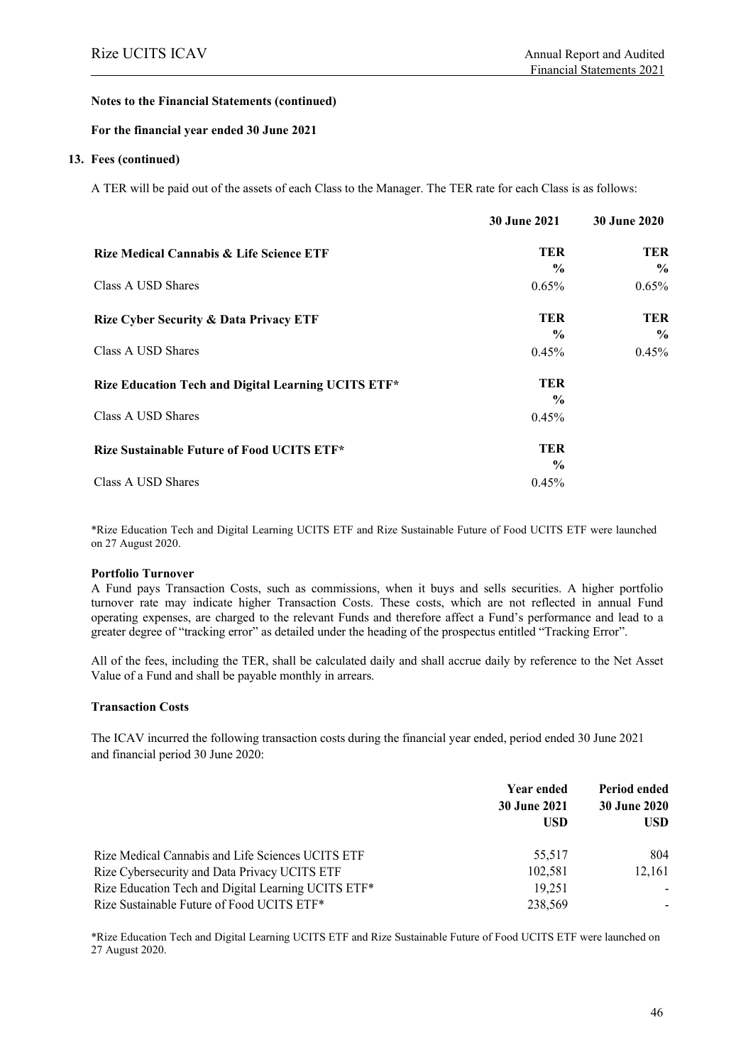#### **For the financial year ended 30 June 2021**

#### **13. Fees (continued)**

A TER will be paid out of the assets of each Class to the Manager. The TER rate for each Class is as follows:

|                                                     | <b>30 June 2021</b> | <b>30 June 2020</b> |
|-----------------------------------------------------|---------------------|---------------------|
| Rize Medical Cannabis & Life Science ETF            | <b>TER</b>          | <b>TER</b>          |
|                                                     | $\frac{0}{0}$       | $\frac{0}{0}$       |
| Class A USD Shares                                  | $0.65\%$            | 0.65%               |
| <b>Rize Cyber Security &amp; Data Privacy ETF</b>   | <b>TER</b>          | <b>TER</b>          |
|                                                     | $\frac{0}{0}$       | $\frac{0}{0}$       |
| Class A USD Shares                                  | 0.45%               | 0.45%               |
| Rize Education Tech and Digital Learning UCITS ETF* | TER                 |                     |
|                                                     | $\frac{6}{9}$       |                     |
| Class A USD Shares                                  | 0.45%               |                     |
| Rize Sustainable Future of Food UCITS ETF*          | TER                 |                     |
|                                                     | $\frac{6}{9}$       |                     |
| Class A USD Shares                                  | 0.45%               |                     |

\*Rize Education Tech and Digital Learning UCITS ETF and Rize Sustainable Future of Food UCITS ETF were launched on 27 August 2020.

#### **Portfolio Turnover**

A Fund pays Transaction Costs, such as commissions, when it buys and sells securities. A higher portfolio turnover rate may indicate higher Transaction Costs. These costs, which are not reflected in annual Fund operating expenses, are charged to the relevant Funds and therefore affect a Fund's performance and lead to a greater degree of "tracking error" as detailed under the heading of the prospectus entitled "Tracking Error".

All of the fees, including the TER, shall be calculated daily and shall accrue daily by reference to the Net Asset Value of a Fund and shall be payable monthly in arrears.

#### **Transaction Costs**

The ICAV incurred the following transaction costs during the financial year ended, period ended 30 June 2021 and financial period 30 June 2020:

|                                                     | Year ended<br><b>30 June 2021</b><br><b>USD</b> | <b>Period ended</b><br>30 June 2020<br><b>USD</b> |  |
|-----------------------------------------------------|-------------------------------------------------|---------------------------------------------------|--|
| Rize Medical Cannabis and Life Sciences UCITS ETF   | 55.517                                          | 804                                               |  |
| Rize Cybersecurity and Data Privacy UCITS ETF       | 102.581                                         | 12.161                                            |  |
| Rize Education Tech and Digital Learning UCITS ETF* | 19.251                                          |                                                   |  |
| Rize Sustainable Future of Food UCITS ETF*          | 238,569                                         |                                                   |  |

\*Rize Education Tech and Digital Learning UCITS ETF and Rize Sustainable Future of Food UCITS ETF were launched on 27 August 2020.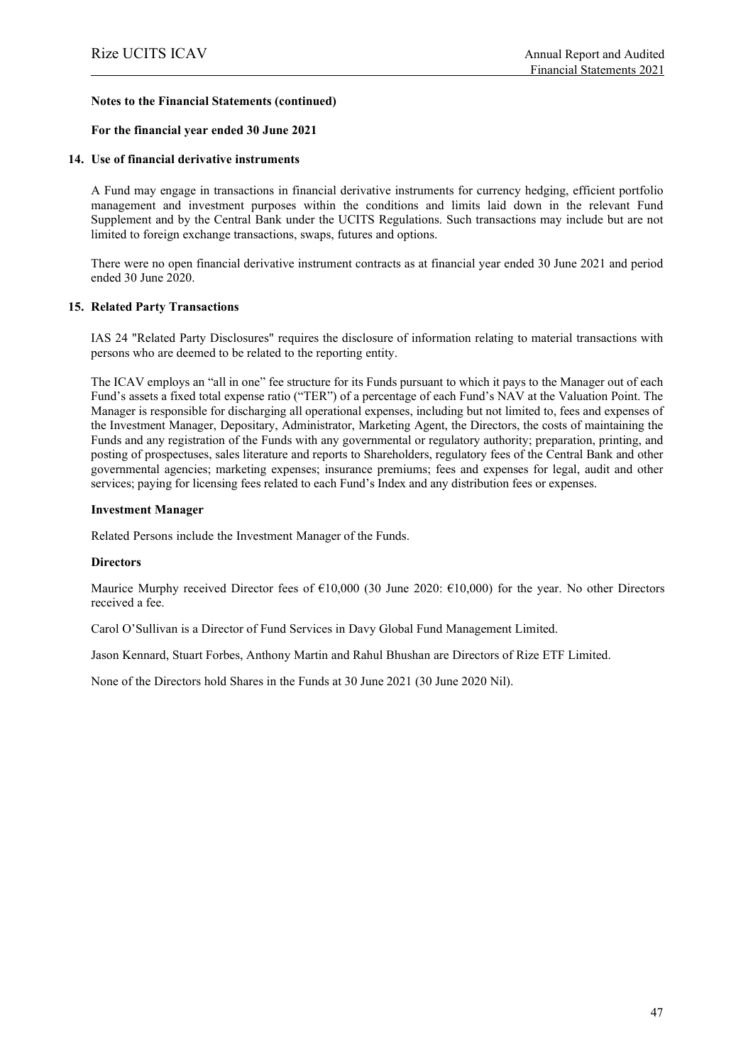#### **For the financial year ended 30 June 2021**

#### **14. Use of financial derivative instruments**

A Fund may engage in transactions in financial derivative instruments for currency hedging, efficient portfolio management and investment purposes within the conditions and limits laid down in the relevant Fund Supplement and by the Central Bank under the UCITS Regulations. Such transactions may include but are not limited to foreign exchange transactions, swaps, futures and options.

There were no open financial derivative instrument contracts as at financial year ended 30 June 2021 and period ended 30 June 2020.

#### **15. Related Party Transactions**

IAS 24 "Related Party Disclosures" requires the disclosure of information relating to material transactions with persons who are deemed to be related to the reporting entity.

The ICAV employs an "all in one" fee structure for its Funds pursuant to which it pays to the Manager out of each Fund's assets a fixed total expense ratio ("TER") of a percentage of each Fund's NAV at the Valuation Point. The Manager is responsible for discharging all operational expenses, including but not limited to, fees and expenses of the Investment Manager, Depositary, Administrator, Marketing Agent, the Directors, the costs of maintaining the Funds and any registration of the Funds with any governmental or regulatory authority; preparation, printing, and posting of prospectuses, sales literature and reports to Shareholders, regulatory fees of the Central Bank and other governmental agencies; marketing expenses; insurance premiums; fees and expenses for legal, audit and other services; paying for licensing fees related to each Fund's Index and any distribution fees or expenses.

#### **Investment Manager**

Related Persons include the Investment Manager of the Funds.

#### **Directors**

Maurice Murphy received Director fees of  $\epsilon$ 10,000 (30 June 2020:  $\epsilon$ 10,000) for the year. No other Directors received a fee.

Carol O'Sullivan is a Director of Fund Services in Davy Global Fund Management Limited.

Jason Kennard, Stuart Forbes, Anthony Martin and Rahul Bhushan are Directors of Rize ETF Limited.

None of the Directors hold Shares in the Funds at 30 June 2021 (30 June 2020 Nil).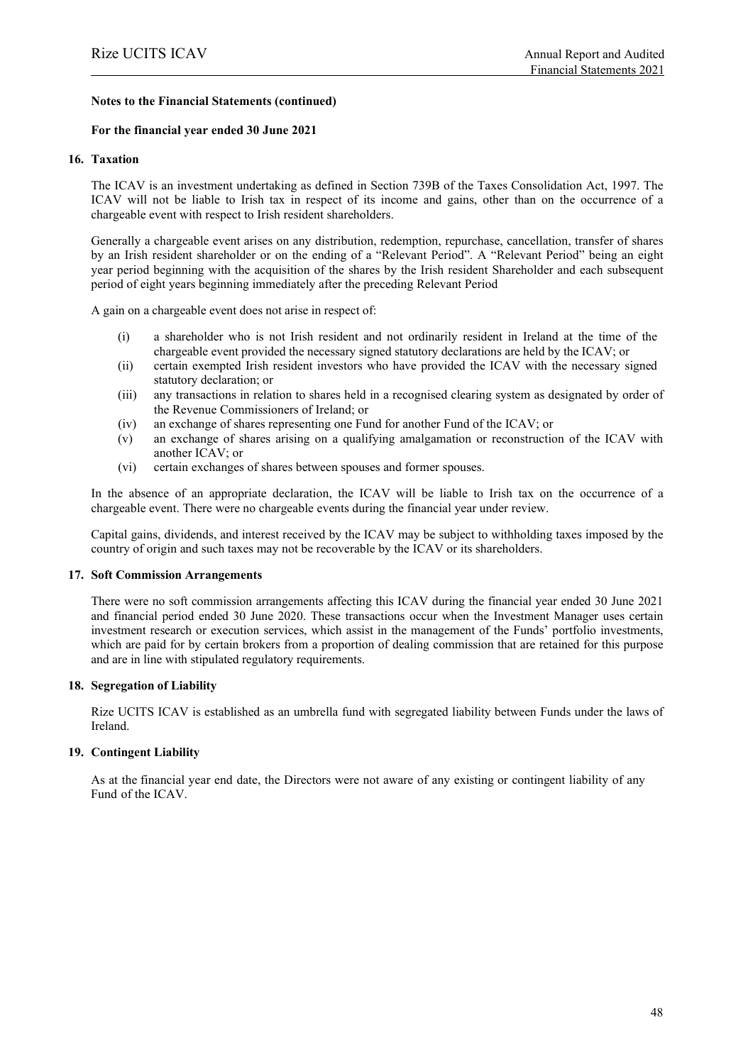#### **For the financial year ended 30 June 2021**

#### **16. Taxation**

The ICAV is an investment undertaking as defined in Section 739B of the Taxes Consolidation Act, 1997. The ICAV will not be liable to Irish tax in respect of its income and gains, other than on the occurrence of a chargeable event with respect to Irish resident shareholders.

Generally a chargeable event arises on any distribution, redemption, repurchase, cancellation, transfer of shares by an Irish resident shareholder or on the ending of a "Relevant Period". A "Relevant Period" being an eight year period beginning with the acquisition of the shares by the Irish resident Shareholder and each subsequent period of eight years beginning immediately after the preceding Relevant Period

A gain on a chargeable event does not arise in respect of:

- (i) a shareholder who is not Irish resident and not ordinarily resident in Ireland at the time of the chargeable event provided the necessary signed statutory declarations are held by the ICAV; or
- (ii) certain exempted Irish resident investors who have provided the ICAV with the necessary signed statutory declaration; or
- (iii) any transactions in relation to shares held in a recognised clearing system as designated by order of the Revenue Commissioners of Ireland; or
- (iv) an exchange of shares representing one Fund for another Fund of the ICAV; or
- (v) an exchange of shares arising on a qualifying amalgamation or reconstruction of the ICAV with another ICAV; or
- (vi) certain exchanges of shares between spouses and former spouses.

In the absence of an appropriate declaration, the ICAV will be liable to Irish tax on the occurrence of a chargeable event. There were no chargeable events during the financial year under review.

Capital gains, dividends, and interest received by the ICAV may be subject to withholding taxes imposed by the country of origin and such taxes may not be recoverable by the ICAV or its shareholders.

#### **17. Soft Commission Arrangements**

There were no soft commission arrangements affecting this ICAV during the financial year ended 30 June 2021 and financial period ended 30 June 2020. These transactions occur when the Investment Manager uses certain investment research or execution services, which assist in the management of the Funds' portfolio investments, which are paid for by certain brokers from a proportion of dealing commission that are retained for this purpose and are in line with stipulated regulatory requirements.

### **18. Segregation of Liability**

Rize UCITS ICAV is established as an umbrella fund with segregated liability between Funds under the laws of Ireland.

### **19. Contingent Liability**

As at the financial year end date, the Directors were not aware of any existing or contingent liability of any Fund of the ICAV.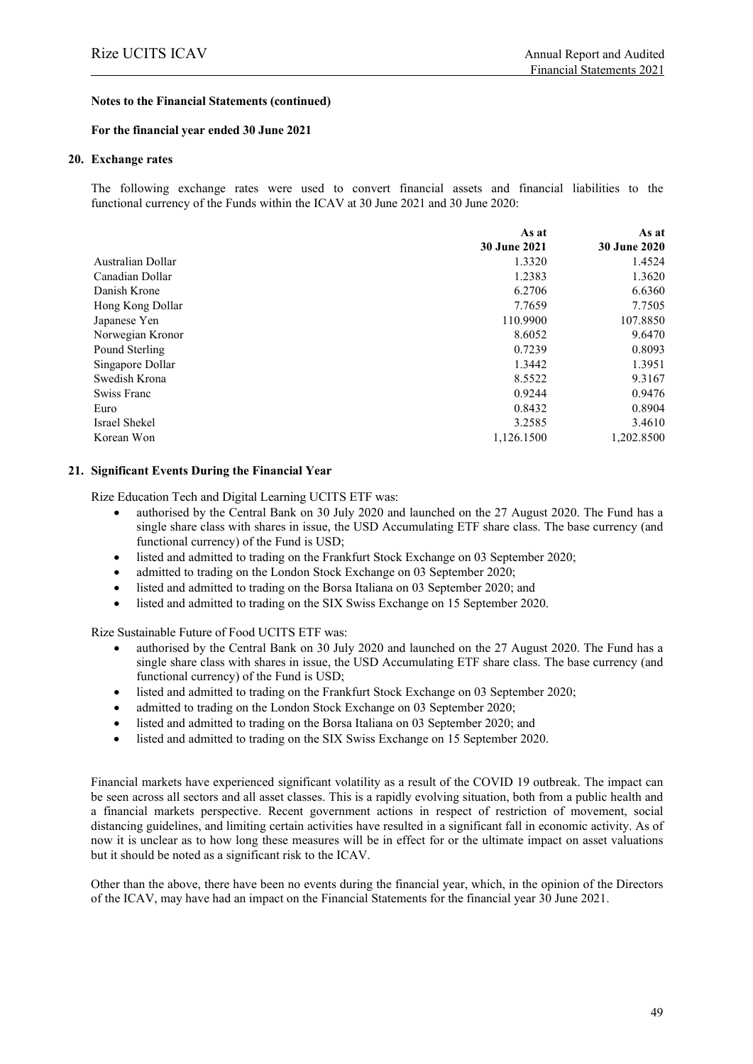#### **For the financial year ended 30 June 2021**

#### **20. Exchange rates**

The following exchange rates were used to convert financial assets and financial liabilities to the functional currency of the Funds within the ICAV at 30 June 2021 and 30 June 2020:

|                   | As at               | As at               |
|-------------------|---------------------|---------------------|
|                   | <b>30 June 2021</b> | <b>30 June 2020</b> |
| Australian Dollar | 1.3320              | 1.4524              |
| Canadian Dollar   | 1.2383              | 1.3620              |
| Danish Krone      | 6.2706              | 6.6360              |
| Hong Kong Dollar  | 7.7659              | 7.7505              |
| Japanese Yen      | 110.9900            | 107.8850            |
| Norwegian Kronor  | 8.6052              | 9.6470              |
| Pound Sterling    | 0.7239              | 0.8093              |
| Singapore Dollar  | 1.3442              | 1.3951              |
| Swedish Krona     | 8.5522              | 9.3167              |
| Swiss Franc       | 0.9244              | 0.9476              |
| Euro              | 0.8432              | 0.8904              |
| Israel Shekel     | 3.2585              | 3.4610              |
| Korean Won        | 1,126.1500          | 1.202.8500          |

#### **21. Significant Events During the Financial Year**

Rize Education Tech and Digital Learning UCITS ETF was:

- authorised by the Central Bank on 30 July 2020 and launched on the 27 August 2020. The Fund has a single share class with shares in issue, the USD Accumulating ETF share class. The base currency (and functional currency) of the Fund is USD;
- listed and admitted to trading on the Frankfurt Stock Exchange on 03 September 2020;
- admitted to trading on the London Stock Exchange on 03 September 2020;
- listed and admitted to trading on the Borsa Italiana on 03 September 2020; and
- listed and admitted to trading on the SIX Swiss Exchange on 15 September 2020.

Rize Sustainable Future of Food UCITS ETF was:

- authorised by the Central Bank on 30 July 2020 and launched on the 27 August 2020. The Fund has a single share class with shares in issue, the USD Accumulating ETF share class. The base currency (and functional currency) of the Fund is USD;
- listed and admitted to trading on the Frankfurt Stock Exchange on 03 September 2020;
- admitted to trading on the London Stock Exchange on 03 September 2020;
- listed and admitted to trading on the Borsa Italiana on 03 September 2020; and
- listed and admitted to trading on the SIX Swiss Exchange on 15 September 2020.

Financial markets have experienced significant volatility as a result of the COVID 19 outbreak. The impact can be seen across all sectors and all asset classes. This is a rapidly evolving situation, both from a public health and a financial markets perspective. Recent government actions in respect of restriction of movement, social distancing guidelines, and limiting certain activities have resulted in a significant fall in economic activity. As of now it is unclear as to how long these measures will be in effect for or the ultimate impact on asset valuations but it should be noted as a significant risk to the ICAV.

Other than the above, there have been no events during the financial year, which, in the opinion of the Directors of the ICAV, may have had an impact on the Financial Statements for the financial year 30 June 2021.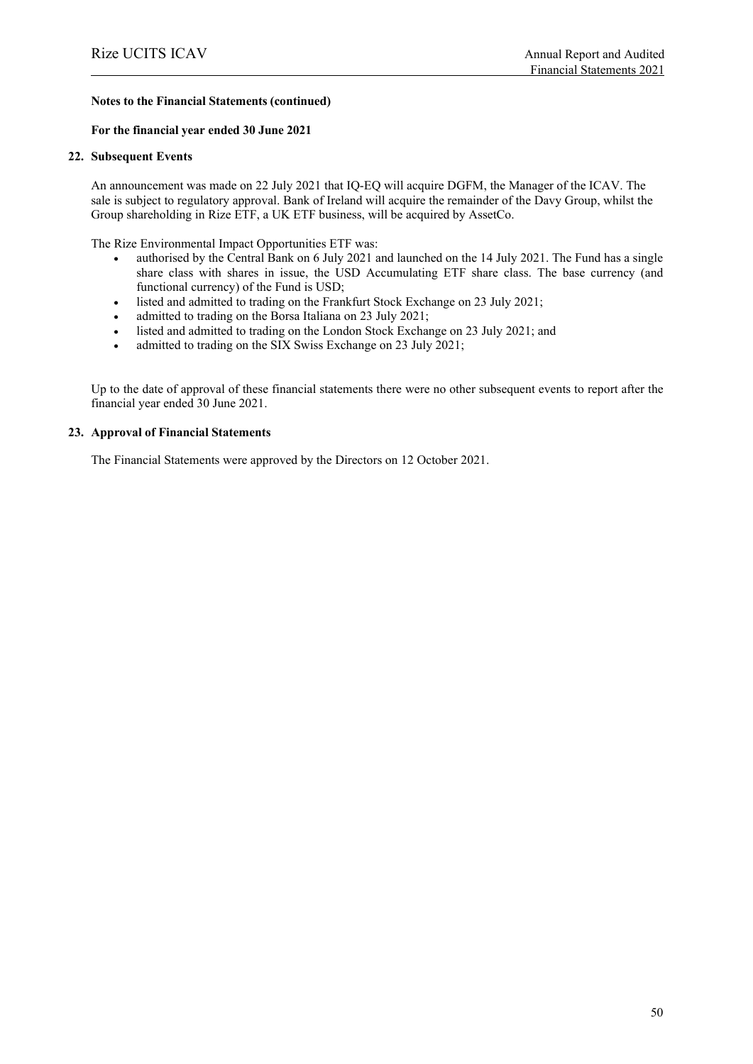#### **For the financial year ended 30 June 2021**

#### **22. Subsequent Events**

An announcement was made on 22 July 2021 that IQ-EQ will acquire DGFM, the Manager of the ICAV. The sale is subject to regulatory approval. Bank of Ireland will acquire the remainder of the Davy Group, whilst the Group shareholding in Rize ETF, a UK ETF business, will be acquired by AssetCo.

The Rize Environmental Impact Opportunities ETF was:

- authorised by the Central Bank on 6 July 2021 and launched on the 14 July 2021. The Fund has a single share class with shares in issue, the USD Accumulating ETF share class. The base currency (and functional currency) of the Fund is USD;
- listed and admitted to trading on the Frankfurt Stock Exchange on 23 July 2021;
- admitted to trading on the Borsa Italiana on 23 July 2021;
- listed and admitted to trading on the London Stock Exchange on 23 July 2021; and
- admitted to trading on the SIX Swiss Exchange on 23 July 2021;

Up to the date of approval of these financial statements there were no other subsequent events to report after the financial year ended 30 June 2021.

#### **23. Approval of Financial Statements**

The Financial Statements were approved by the Directors on 12 October 2021.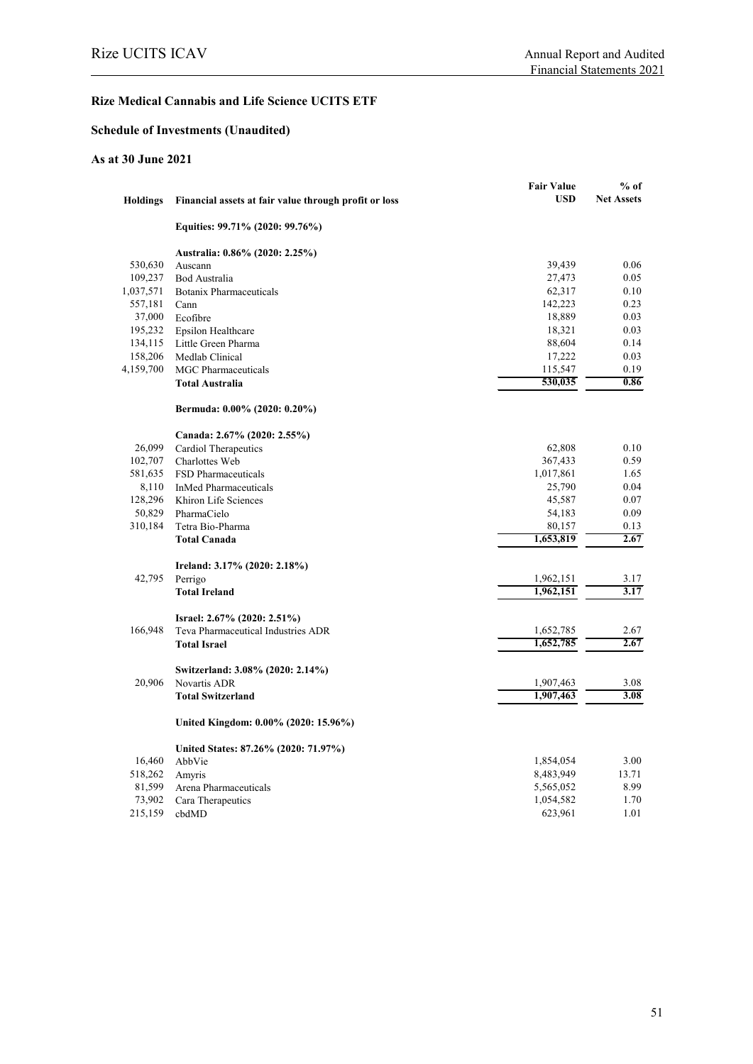# **Rize Medical Cannabis and Life Science UCITS ETF**

# **Schedule of Investments (Unaudited)**

## **As at 30 June 2021**

|                 |                                                       | <b>Fair Value</b> | $%$ of            |
|-----------------|-------------------------------------------------------|-------------------|-------------------|
| <b>Holdings</b> | Financial assets at fair value through profit or loss | <b>USD</b>        | <b>Net Assets</b> |
|                 | Equities: 99.71% (2020: 99.76%)                       |                   |                   |
|                 | Australia: 0.86% (2020: 2.25%)                        |                   |                   |
| 530,630         | Auscann                                               | 39,439            | 0.06              |
| 109,237         | <b>Bod Australia</b>                                  | 27,473            | 0.05              |
| 1,037,571       | <b>Botanix Pharmaceuticals</b>                        | 62,317            | 0.10              |
| 557,181         | Cann                                                  | 142,223           | 0.23              |
| 37,000          | Ecofibre                                              | 18,889            | 0.03              |
| 195,232         | Epsilon Healthcare                                    | 18,321            | 0.03              |
| 134,115         | Little Green Pharma                                   | 88,604            | 0.14              |
| 158,206         | Medlab Clinical                                       | 17,222            | 0.03              |
| 4,159,700       | <b>MGC</b> Pharmaceuticals                            | 115,547           | 0.19              |
|                 | <b>Total Australia</b>                                | 530,035           | 0.86              |
|                 | Bermuda: 0.00% (2020: 0.20%)                          |                   |                   |
|                 | Canada: 2.67% (2020: 2.55%)                           |                   |                   |
| 26,099          | Cardiol Therapeutics                                  | 62,808            | 0.10              |
| 102,707         | Charlottes Web                                        | 367,433           | 0.59              |
| 581,635         | FSD Pharmaceuticals                                   | 1,017,861         | 1.65              |
| 8,110           | <b>InMed Pharmaceuticals</b>                          | 25,790            | 0.04              |
| 128,296         | Khiron Life Sciences                                  | 45,587            | 0.07              |
| 50,829          | PharmaCielo                                           | 54,183            | 0.09              |
| 310,184         | Tetra Bio-Pharma                                      | 80,157            | 0.13              |
|                 | <b>Total Canada</b>                                   | 1,653,819         | 2.67              |
|                 | Ireland: 3.17% (2020: 2.18%)                          |                   |                   |
| 42,795          | Perrigo                                               | 1,962,151         | 3.17              |
|                 | <b>Total Ireland</b>                                  | 1,962,151         | 3.17              |
|                 | Israel: 2.67% (2020: 2.51%)                           |                   |                   |
| 166,948         | Teva Pharmaceutical Industries ADR                    | 1,652,785         | 2.67              |
|                 | <b>Total Israel</b>                                   | 1,652,785         | 2.67              |
|                 | Switzerland: 3.08% (2020: 2.14%)                      |                   |                   |
| 20,906          | Novartis ADR                                          | 1,907,463         | 3.08              |
|                 | <b>Total Switzerland</b>                              | 1,907,463         | 3.08              |
|                 | United Kingdom: 0.00% (2020: 15.96%)                  |                   |                   |
|                 | United States: 87.26% (2020: 71.97%)                  |                   |                   |
| 16,460          | AbbVie                                                | 1,854,054         | 3.00              |
| 518,262         | Amyris                                                | 8,483,949         | 13.71             |
| 81,599          | Arena Pharmaceuticals                                 | 5,565,052         | 8.99              |
| 73,902          | Cara Therapeutics                                     | 1,054,582         | 1.70              |
| 215,159         | cbdMD                                                 | 623,961           | 1.01              |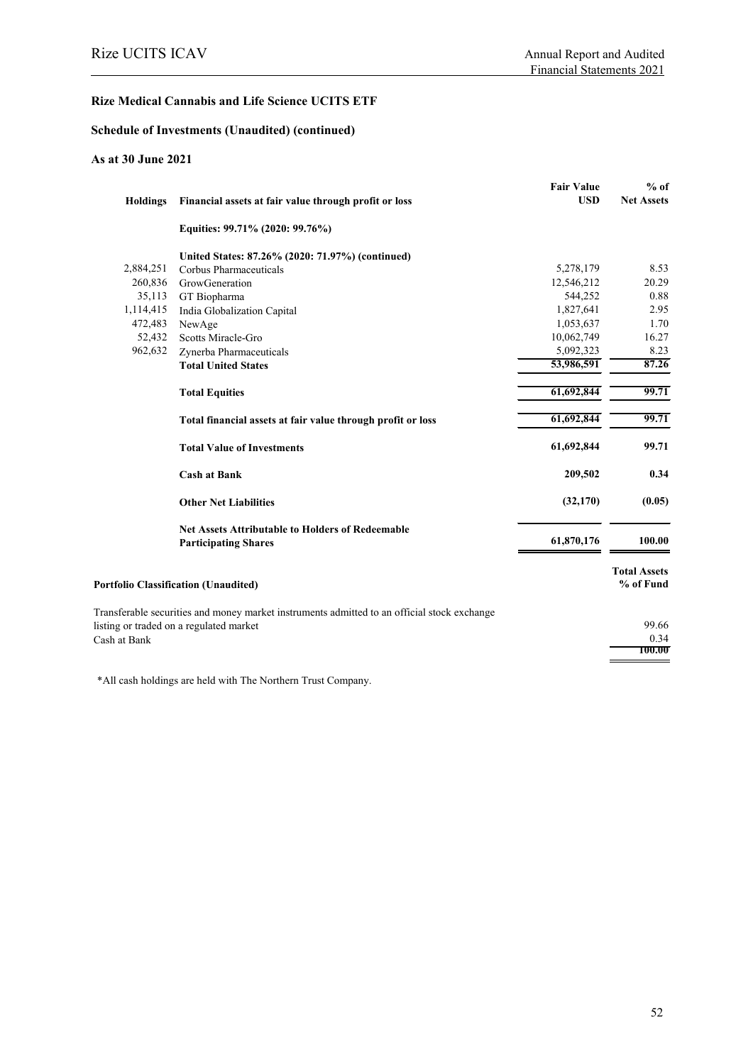#### **Rize Medical Cannabis and Life Science UCITS ETF**

#### **Schedule of Investments (Unaudited) (continued)**

### **As at 30 June 2021**

|                                                                                             | <b>Fair Value</b> | $%$ of                           |
|---------------------------------------------------------------------------------------------|-------------------|----------------------------------|
| Financial assets at fair value through profit or loss                                       | <b>USD</b>        | <b>Net Assets</b>                |
| Equities: 99.71% (2020: 99.76%)                                                             |                   |                                  |
| United States: 87.26% (2020: 71.97%) (continued)                                            |                   |                                  |
| Corbus Pharmaceuticals                                                                      | 5,278,179         | 8.53                             |
| GrowGeneration                                                                              | 12,546,212        | 20.29                            |
| GT Biopharma                                                                                | 544,252           | 0.88                             |
| India Globalization Capital                                                                 | 1,827,641         | 2.95                             |
| NewAge                                                                                      | 1,053,637         | 1.70                             |
| Scotts Miracle-Gro                                                                          | 10,062,749        | 16.27                            |
| Zynerba Pharmaceuticals                                                                     | 5,092,323         | 8.23                             |
| <b>Total United States</b>                                                                  | 53,986,591        | 87.26                            |
| <b>Total Equities</b>                                                                       | 61,692,844        | 99.71                            |
| Total financial assets at fair value through profit or loss                                 | 61,692,844        | 99.71                            |
| <b>Total Value of Investments</b>                                                           | 61,692,844        | 99.71                            |
| <b>Cash at Bank</b>                                                                         | 209,502           | 0.34                             |
| <b>Other Net Liabilities</b>                                                                | (32, 170)         | (0.05)                           |
| <b>Net Assets Attributable to Holders of Redeemable</b><br><b>Participating Shares</b>      | 61,870,176        | 100.00                           |
| <b>Portfolio Classification (Unaudited)</b>                                                 |                   | <b>Total Assets</b><br>% of Fund |
| Transferable securities and money market instruments admitted to an official stock exchange |                   |                                  |
| listing or traded on a regulated market                                                     |                   | 99.66                            |
|                                                                                             |                   | 0.34                             |
|                                                                                             |                   | 100.00                           |
|                                                                                             |                   |                                  |

\*All cash holdings are held with The Northern Trust Company.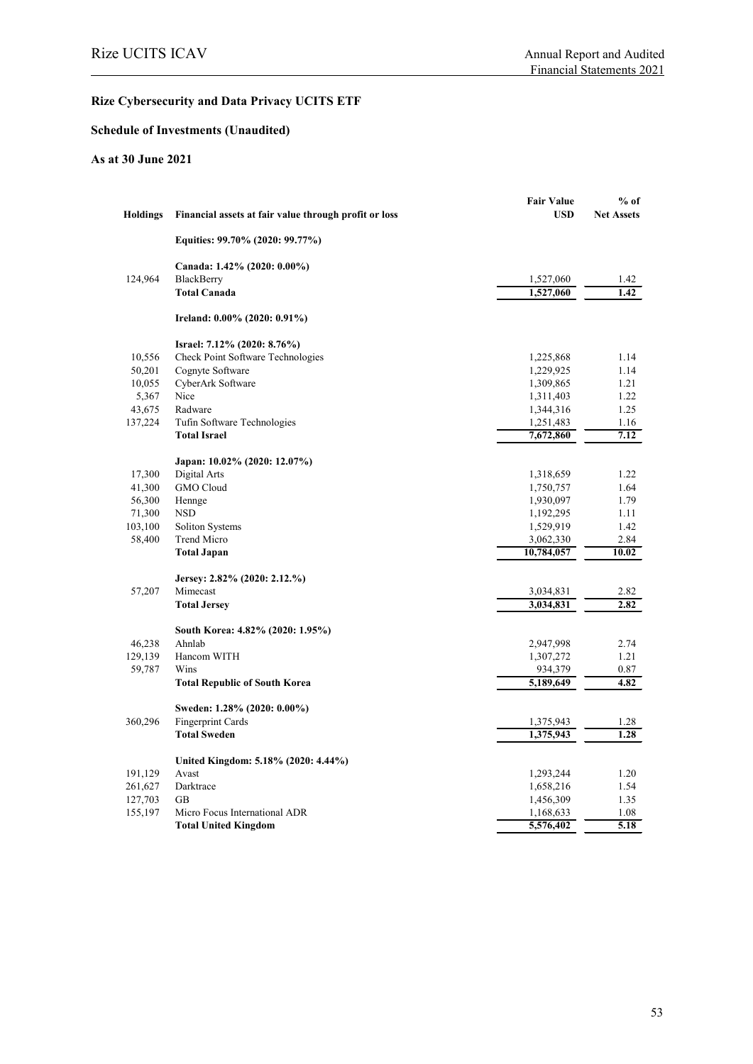# **Schedule of Investments (Unaudited)**

### **As at 30 June 2021**

| <b>Holdings</b> | Financial assets at fair value through profit or loss | <b>Fair Value</b><br><b>USD</b> | $%$ of<br><b>Net Assets</b> |
|-----------------|-------------------------------------------------------|---------------------------------|-----------------------------|
|                 | Equities: 99.70% (2020: 99.77%)                       |                                 |                             |
|                 | Canada: 1.42% (2020: 0.00%)                           |                                 |                             |
| 124,964         | <b>BlackBerry</b>                                     | 1,527,060                       | 1.42                        |
|                 | <b>Total Canada</b>                                   | 1,527,060                       | 1.42                        |
|                 | Ireland: 0.00% (2020: 0.91%)                          |                                 |                             |
|                 | Israel: 7.12% (2020: 8.76%)                           |                                 |                             |
| 10,556          | Check Point Software Technologies                     | 1,225,868                       | 1.14                        |
| 50,201          | Cognyte Software                                      | 1,229,925                       | 1.14                        |
| 10,055          | CyberArk Software                                     | 1,309,865                       | 1.21                        |
| 5,367           | Nice                                                  | 1,311,403                       | 1.22                        |
| 43,675          | Radware                                               | 1,344,316                       | 1.25                        |
| 137,224         | Tufin Software Technologies                           | 1,251,483                       | 1.16                        |
|                 | <b>Total Israel</b>                                   | 7,672,860                       | 7.12                        |
|                 | Japan: 10.02% (2020: 12.07%)                          |                                 |                             |
| 17,300          | Digital Arts                                          | 1,318,659                       | 1.22                        |
| 41,300          | <b>GMO</b> Cloud                                      | 1,750,757                       | 1.64                        |
| 56,300          | Hennge                                                | 1,930,097                       | 1.79                        |
| 71,300          | <b>NSD</b>                                            | 1,192,295                       | 1.11                        |
| 103,100         | Soliton Systems                                       | 1,529,919                       | 1.42                        |
| 58,400          | Trend Micro                                           | 3,062,330                       | 2.84                        |
|                 | <b>Total Japan</b>                                    | 10,784,057                      | 10.02                       |
|                 | Jersey: 2.82% (2020: 2.12.%)                          |                                 |                             |
| 57,207          | Mimecast                                              | 3,034,831                       | 2.82                        |
|                 | <b>Total Jersey</b>                                   | 3,034,831                       | 2.82                        |
|                 | South Korea: 4.82% (2020: 1.95%)                      |                                 |                             |
| 46,238          | Ahnlab                                                | 2,947,998                       | 2.74                        |
| 129,139         | Hancom WITH                                           | 1,307,272                       | 1.21                        |
| 59,787          | Wins                                                  | 934,379                         | 0.87                        |
|                 | <b>Total Republic of South Korea</b>                  | 5,189,649                       | 4.82                        |
|                 | Sweden: 1.28% (2020: 0.00%)                           |                                 |                             |
| 360,296         | Fingerprint Cards                                     | 1,375,943                       | 1.28                        |
|                 | <b>Total Sweden</b>                                   | 1,375,943                       | 1.28                        |
|                 | United Kingdom: 5.18% (2020: 4.44%)                   |                                 |                             |
| 191,129         | Avast                                                 | 1,293,244                       | 1.20                        |
|                 |                                                       |                                 |                             |
| 261,627         | Darktrace                                             | 1,658,216                       | 1.54                        |
| 127,703         | <b>GB</b>                                             | 1,456,309                       | 1.35                        |
| 155,197         | Micro Focus International ADR                         | 1,168,633                       | 1.08                        |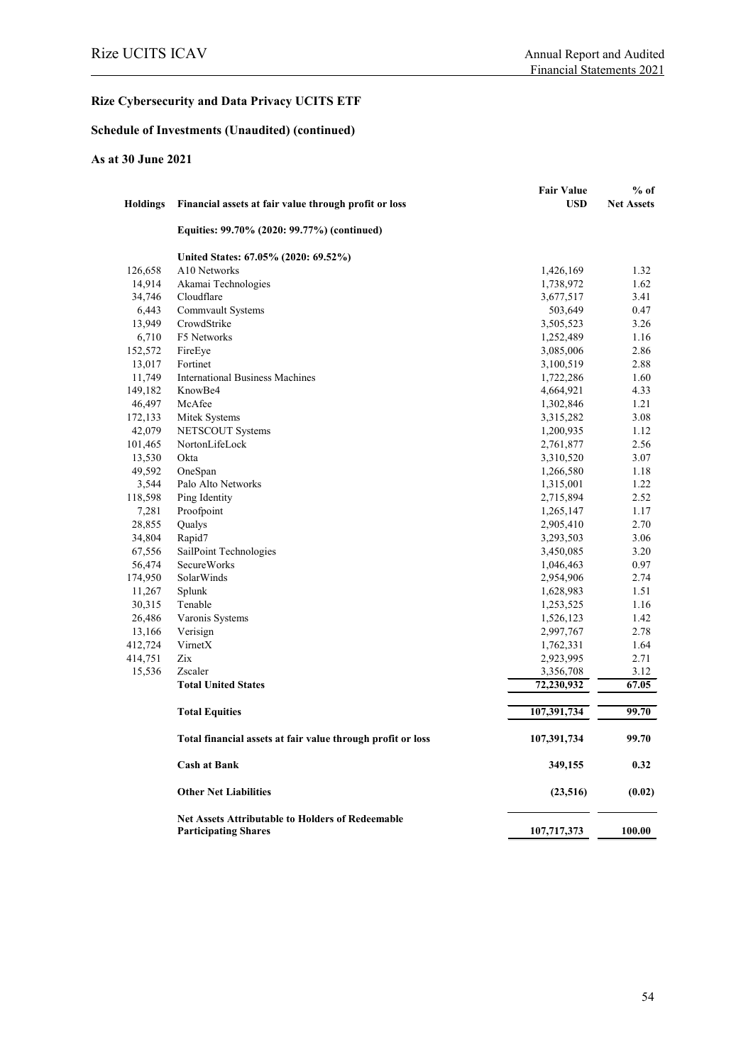# **Schedule of Investments (Unaudited) (continued)**

## **As at 30 June 2021**

| <b>Holdings</b> | Financial assets at fair value through profit or loss       | <b>Fair Value</b><br><b>USD</b> | $%$ of<br><b>Net Assets</b> |
|-----------------|-------------------------------------------------------------|---------------------------------|-----------------------------|
|                 | Equities: 99.70% (2020: 99.77%) (continued)                 |                                 |                             |
|                 | United States: 67.05% (2020: 69.52%)                        |                                 |                             |
| 126,658         | A10 Networks                                                | 1,426,169                       | 1.32                        |
| 14,914          | Akamai Technologies                                         | 1,738,972                       | 1.62                        |
| 34,746          | Cloudflare                                                  | 3,677,517                       | 3.41                        |
| 6,443           | Commvault Systems                                           | 503,649                         | 0.47                        |
| 13,949          | CrowdStrike                                                 | 3,505,523                       | 3.26                        |
| 6,710           | F5 Networks                                                 | 1,252,489                       | 1.16                        |
| 152,572         | FireEye                                                     | 3,085,006                       | 2.86                        |
| 13,017          | Fortinet                                                    | 3,100,519                       | 2.88                        |
| 11,749          | <b>International Business Machines</b>                      | 1,722,286                       | 1.60                        |
| 149,182         | KnowBe4                                                     | 4,664,921                       | 4.33                        |
| 46,497          | McAfee                                                      | 1,302,846                       | 1.21                        |
| 172,133         | Mitek Systems                                               | 3,315,282                       | 3.08                        |
| 42,079          | NETSCOUT Systems                                            | 1,200,935                       | 1.12                        |
| 101,465         | NortonLifeLock                                              | 2,761,877                       | 2.56                        |
| 13,530          | Okta                                                        | 3,310,520                       | 3.07                        |
| 49,592          | OneSpan                                                     | 1,266,580                       | 1.18                        |
| 3,544           | Palo Alto Networks                                          | 1,315,001                       | 1.22                        |
| 118,598         | Ping Identity                                               | 2,715,894                       | 2.52                        |
| 7,281           | Proofpoint                                                  | 1,265,147                       | 1.17                        |
| 28,855          | Qualys                                                      | 2,905,410                       | 2.70                        |
| 34,804          | Rapid7                                                      | 3,293,503                       | 3.06                        |
| 67,556          | SailPoint Technologies                                      | 3,450,085                       | 3.20                        |
| 56,474          | <b>SecureWorks</b>                                          | 1,046,463                       | 0.97                        |
| 174,950         | SolarWinds                                                  | 2,954,906                       | 2.74                        |
| 11,267          | Splunk                                                      | 1,628,983                       | 1.51                        |
|                 | Tenable                                                     |                                 | 1.16                        |
| 30,315          |                                                             | 1,253,525                       |                             |
| 26,486          | Varonis Systems                                             | 1,526,123                       | 1.42                        |
| 13,166          | Verisign                                                    | 2,997,767                       | 2.78                        |
| 412,724         | VirnetX                                                     | 1,762,331                       | 1.64                        |
| 414,751         | Zix                                                         | 2,923,995                       | 2.71                        |
| 15,536          | Zscaler                                                     | 3,356,708                       | 3.12                        |
|                 | <b>Total United States</b>                                  | 72,230,932                      | 67.05                       |
|                 | <b>Total Equities</b>                                       | 107,391,734                     | 99.70                       |
|                 | Total financial assets at fair value through profit or loss | 107,391,734                     | 99.70                       |
|                 | <b>Cash at Bank</b>                                         | 349,155                         | 0.32                        |
|                 | <b>Other Net Liabilities</b>                                | (23,516)                        | (0.02)                      |
|                 | <b>Net Assets Attributable to Holders of Redeemable</b>     |                                 |                             |
|                 | <b>Participating Shares</b>                                 | 107,717,373                     | 100.00                      |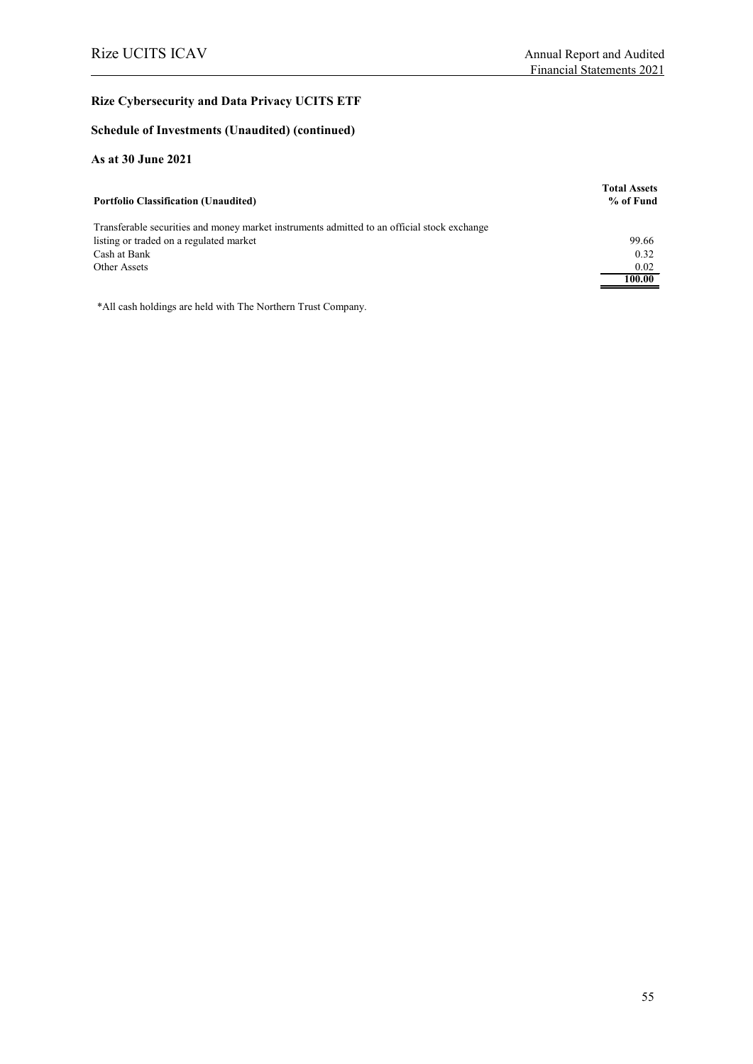#### **Schedule of Investments (Unaudited) (continued)**

### **As at 30 June 2021**

| <b>Portfolio Classification (Unaudited)</b>                                                 | <b>Total Assets</b><br>% of Fund |
|---------------------------------------------------------------------------------------------|----------------------------------|
| Transferable securities and money market instruments admitted to an official stock exchange |                                  |
| listing or traded on a regulated market                                                     | 99.66                            |
| Cash at Bank                                                                                | 0.32                             |
| Other Assets                                                                                | 0.02                             |
|                                                                                             | 100.00                           |

\*All cash holdings are held with The Northern Trust Company.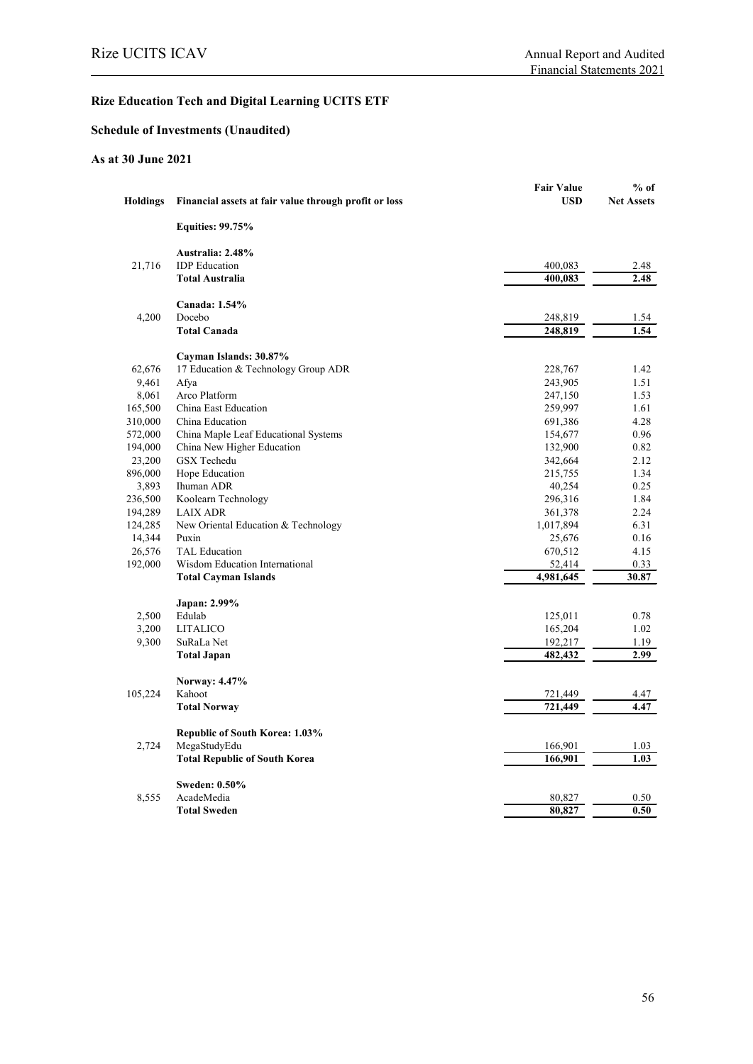# **Rize Education Tech and Digital Learning UCITS ETF**

# **Schedule of Investments (Unaudited)**

## **As at 30 June 2021**

|                 |                                                       | <b>Fair Value</b> | $%$ of            |
|-----------------|-------------------------------------------------------|-------------------|-------------------|
| <b>Holdings</b> | Financial assets at fair value through profit or loss | <b>USD</b>        | <b>Net Assets</b> |
|                 | <b>Equities: 99.75%</b>                               |                   |                   |
|                 | Australia: 2.48%                                      |                   |                   |
| 21,716          | <b>IDP</b> Education                                  | 400,083           | 2.48              |
|                 | <b>Total Australia</b>                                | 400,083           | 2.48              |
|                 | Canada: 1.54%                                         |                   |                   |
| 4,200           | Docebo                                                | 248,819           | 1.54              |
|                 | <b>Total Canada</b>                                   | 248,819           | 1.54              |
|                 | Cayman Islands: 30.87%                                |                   |                   |
| 62,676          | 17 Education & Technology Group ADR                   | 228,767           | 1.42              |
| 9,461           | Afya                                                  | 243,905           | 1.51              |
| 8,061           | Arco Platform                                         | 247,150           | 1.53              |
| 165,500         | China East Education                                  | 259,997           | 1.61              |
| 310,000         | China Education                                       | 691,386           | 4.28              |
| 572,000         | China Maple Leaf Educational Systems                  | 154,677           | 0.96              |
| 194,000         | China New Higher Education                            | 132,900           | 0.82              |
| 23,200          | <b>GSX</b> Techedu                                    | 342,664           | 2.12              |
| 896,000         | Hope Education                                        | 215,755           | 1.34              |
| 3,893           | Ihuman ADR                                            | 40,254            | 0.25              |
| 236,500         | Koolearn Technology                                   | 296,316           | 1.84              |
| 194,289         | <b>LAIX ADR</b>                                       | 361,378           | 2.24              |
| 124,285         | New Oriental Education & Technology                   | 1,017,894         | 6.31              |
| 14,344          | Puxin                                                 | 25,676            | 0.16              |
| 26,576          | <b>TAL Education</b>                                  | 670,512           | 4.15              |
| 192,000         | Wisdom Education International                        | 52,414            | 0.33              |
|                 | <b>Total Cayman Islands</b>                           | 4,981,645         | 30.87             |
|                 | Japan: 2.99%                                          |                   |                   |
| 2,500           | Edulab                                                | 125,011           | 0.78              |
| 3,200           | <b>LITALICO</b>                                       | 165,204           | 1.02              |
| 9,300           | SuRaLa Net                                            | 192,217           | 1.19              |
|                 | <b>Total Japan</b>                                    | 482,432           | 2.99              |
|                 | Norway: 4.47%                                         |                   |                   |
| 105,224         | Kahoot                                                | 721,449           | 4.47              |
|                 | <b>Total Norway</b>                                   | 721,449           | 4.47              |
|                 | <b>Republic of South Korea: 1.03%</b>                 |                   |                   |
| 2,724           | MegaStudyEdu                                          | 166,901           | 1.03              |
|                 | <b>Total Republic of South Korea</b>                  | 166,901           | 1.03              |
|                 | <b>Sweden: 0.50%</b>                                  |                   |                   |
| 8,555           | AcadeMedia                                            | 80,827            | 0.50              |
|                 | <b>Total Sweden</b>                                   | 80,827            | 0.50              |
|                 |                                                       |                   |                   |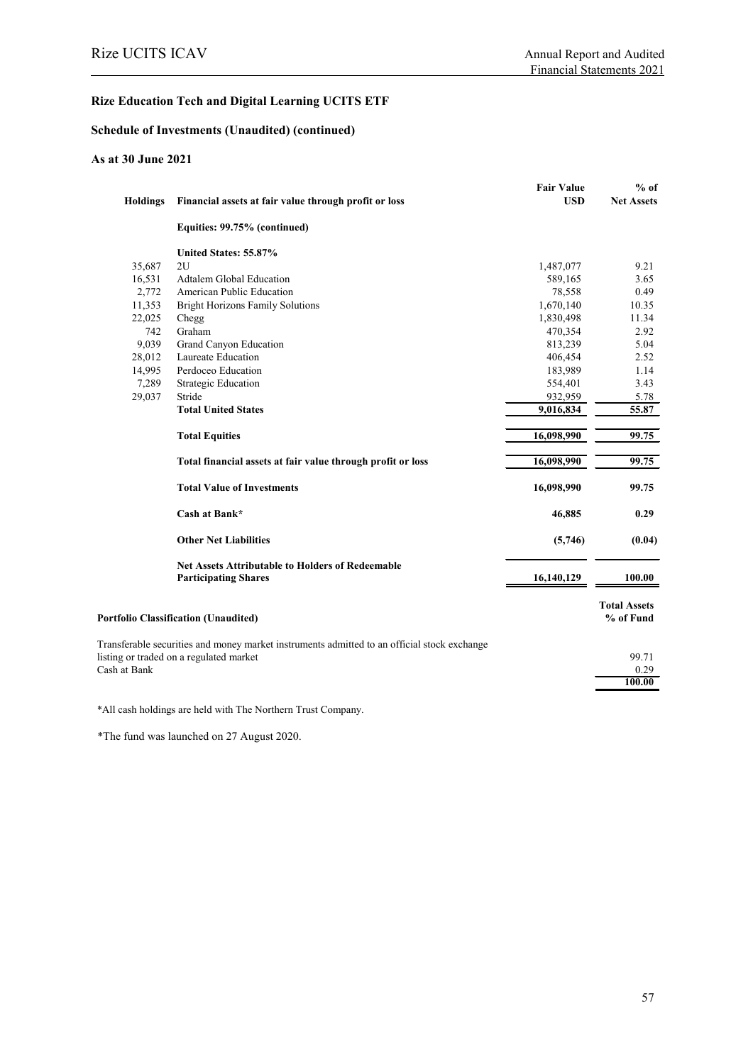# **Rize Education Tech and Digital Learning UCITS ETF**

#### **Schedule of Investments (Unaudited) (continued)**

#### **As at 30 June 2021**

|                                         |                                                                                             | <b>Fair Value</b> | $%$ of              |
|-----------------------------------------|---------------------------------------------------------------------------------------------|-------------------|---------------------|
| <b>Holdings</b>                         | Financial assets at fair value through profit or loss                                       | <b>USD</b>        | <b>Net Assets</b>   |
|                                         | Equities: 99.75% (continued)                                                                |                   |                     |
|                                         | United States: 55.87%                                                                       |                   |                     |
| 35,687                                  | 2U                                                                                          | 1,487,077         | 9.21                |
| 16,531                                  | Adtalem Global Education                                                                    | 589,165           | 3.65                |
| 2,772                                   | American Public Education                                                                   | 78,558            | 0.49                |
| 11,353                                  | <b>Bright Horizons Family Solutions</b>                                                     | 1,670,140         | 10.35               |
| 22,025                                  | Chegg                                                                                       | 1,830,498         | 11.34               |
| 742                                     | Graham                                                                                      | 470,354           | 2.92                |
| 9,039                                   | Grand Canyon Education                                                                      | 813,239           | 5.04                |
| 28,012                                  | Laureate Education                                                                          | 406,454           | 2.52                |
| 14,995                                  | Perdoceo Education                                                                          | 183,989           | 1.14                |
| 7,289                                   | <b>Strategic Education</b>                                                                  | 554,401           | 3.43                |
| 29,037                                  | Stride                                                                                      | 932,959           | 5.78                |
|                                         | <b>Total United States</b>                                                                  | 9,016,834         | 55.87               |
|                                         | <b>Total Equities</b>                                                                       | 16,098,990        | 99.75               |
|                                         | Total financial assets at fair value through profit or loss                                 | 16,098,990        | 99.75               |
|                                         | <b>Total Value of Investments</b>                                                           | 16,098,990        | 99.75               |
|                                         | Cash at Bank*                                                                               | 46,885            | 0.29                |
|                                         | <b>Other Net Liabilities</b>                                                                | (5,746)           | (0.04)              |
|                                         | <b>Net Assets Attributable to Holders of Redeemable</b>                                     |                   |                     |
|                                         | <b>Participating Shares</b>                                                                 | 16,140,129        | 100.00              |
|                                         |                                                                                             |                   | <b>Total Assets</b> |
|                                         | <b>Portfolio Classification (Unaudited)</b>                                                 |                   | % of Fund           |
|                                         | Transferable securities and money market instruments admitted to an official stock exchange |                   |                     |
| listing or traded on a regulated market |                                                                                             |                   | 99.71               |
| Cash at Bank                            |                                                                                             |                   | 0.29                |
|                                         |                                                                                             |                   | 100.00              |
|                                         |                                                                                             |                   |                     |

\*All cash holdings are held with The Northern Trust Company.

\*The fund was launched on 27 August 2020.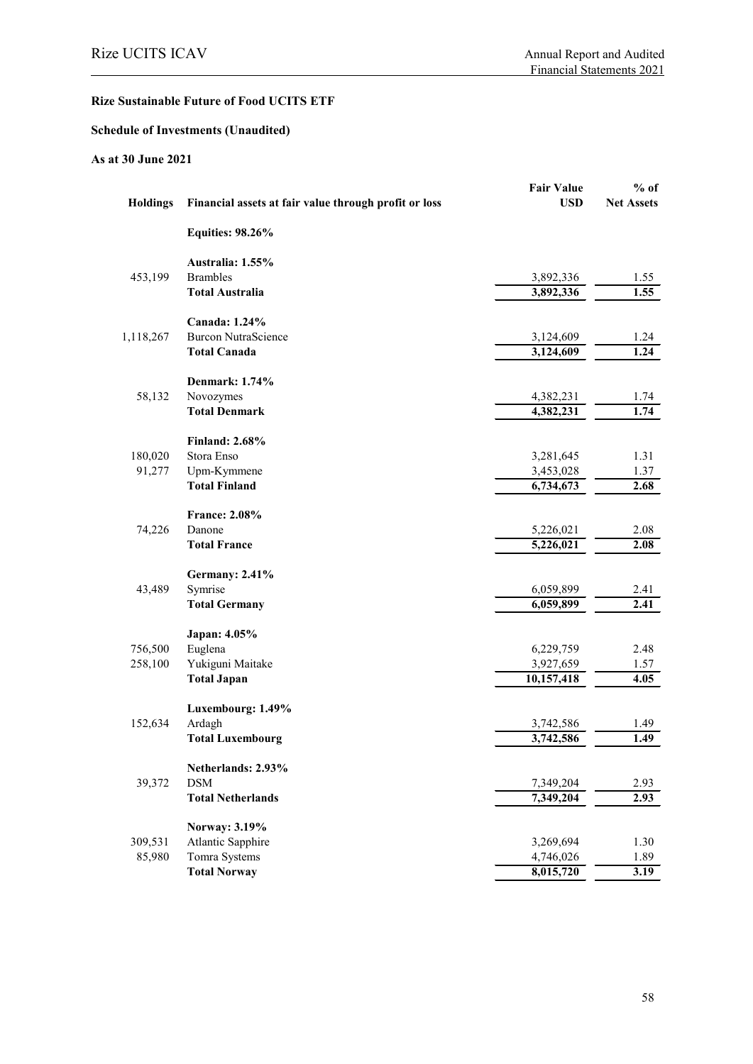# **Schedule of Investments (Unaudited)**

## **As at 30 June 2021**

| <b>Holdings</b> | Financial assets at fair value through profit or loss | <b>Fair Value</b><br><b>USD</b> | $%$ of<br><b>Net Assets</b> |
|-----------------|-------------------------------------------------------|---------------------------------|-----------------------------|
|                 | <b>Equities: 98.26%</b>                               |                                 |                             |
|                 | Australia: 1.55%                                      |                                 |                             |
| 453,199         | <b>Brambles</b>                                       | 3,892,336                       | 1.55                        |
|                 | <b>Total Australia</b>                                | 3,892,336                       | 1.55                        |
|                 | Canada: 1.24%                                         |                                 |                             |
| 1,118,267       | <b>Burcon NutraScience</b>                            | 3,124,609                       | 1.24                        |
|                 | <b>Total Canada</b>                                   | 3,124,609                       | 1.24                        |
|                 | <b>Denmark: 1.74%</b>                                 |                                 |                             |
| 58,132          | Novozymes                                             | 4,382,231                       | 1.74                        |
|                 | <b>Total Denmark</b>                                  | 4,382,231                       | 1.74                        |
|                 | <b>Finland: 2.68%</b>                                 |                                 |                             |
| 180,020         | Stora Enso                                            | 3,281,645                       | 1.31                        |
| 91,277          | Upm-Kymmene                                           | 3,453,028                       | 1.37                        |
|                 | <b>Total Finland</b>                                  | 6,734,673                       | 2.68                        |
|                 | <b>France: 2.08%</b>                                  |                                 |                             |
| 74,226          | Danone                                                | 5,226,021                       | 2.08                        |
|                 | <b>Total France</b>                                   | 5,226,021                       | 2.08                        |
|                 | <b>Germany: 2.41%</b>                                 |                                 |                             |
| 43,489          | Symrise                                               | 6,059,899                       | 2.41                        |
|                 | <b>Total Germany</b>                                  | 6,059,899                       | 2.41                        |
|                 | Japan: 4.05%                                          |                                 |                             |
| 756,500         | Euglena                                               | 6,229,759                       | 2.48                        |
| 258,100         | Yukiguni Maitake                                      | 3,927,659                       | 1.57                        |
|                 | <b>Total Japan</b>                                    | 10,157,418                      | 4.05                        |
|                 | Luxembourg: 1.49%                                     |                                 |                             |
| 152,634         | Ardagh                                                | 3,742,586                       | 1.49                        |
|                 | <b>Total Luxembourg</b>                               | 3,742,586                       | 1.49                        |
|                 | Netherlands: 2.93%                                    |                                 |                             |
| 39,372          | <b>DSM</b>                                            | 7,349,204                       | 2.93                        |
|                 | <b>Total Netherlands</b>                              | 7,349,204                       | 2.93                        |
|                 | Norway: 3.19%                                         |                                 |                             |
| 309,531         | Atlantic Sapphire                                     | 3,269,694                       | 1.30                        |
| 85,980          | Tomra Systems                                         | 4,746,026                       | 1.89                        |
|                 | <b>Total Norway</b>                                   | 8,015,720                       | 3.19                        |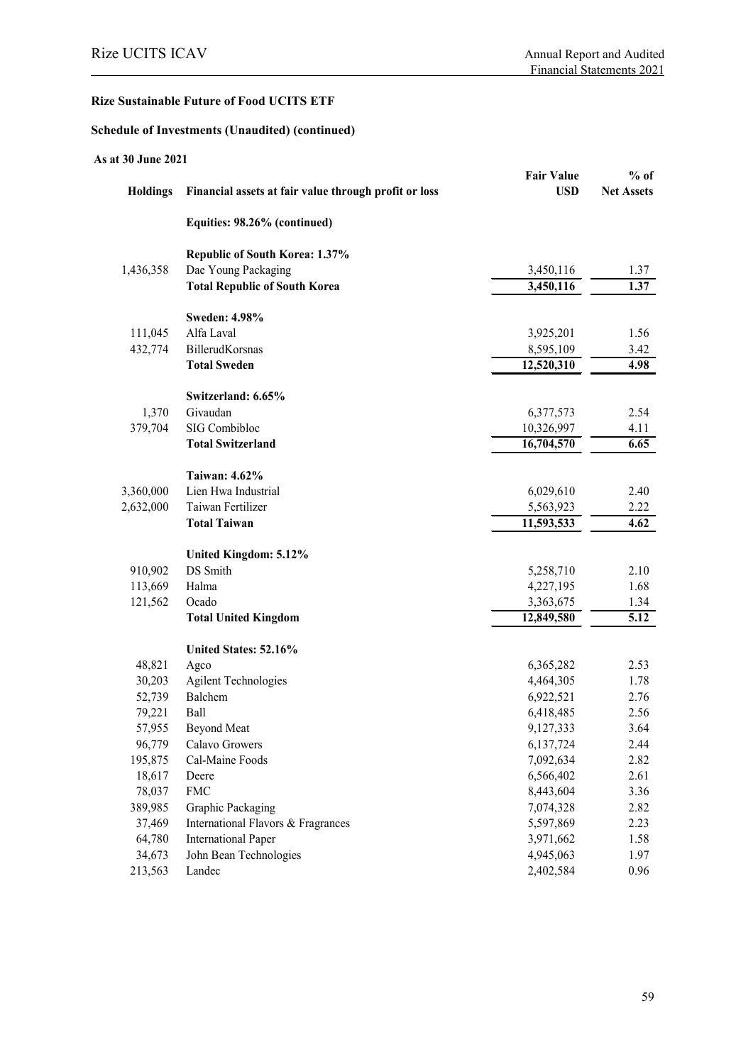#### **Schedule of Investments (Unaudited) (continued)**

| As at 30 June 2021 |                                                       |                   |                   |
|--------------------|-------------------------------------------------------|-------------------|-------------------|
|                    |                                                       | <b>Fair Value</b> | $%$ of            |
| <b>Holdings</b>    | Financial assets at fair value through profit or loss | <b>USD</b>        | <b>Net Assets</b> |
|                    | Equities: 98.26% (continued)                          |                   |                   |
|                    | Republic of South Korea: 1.37%                        |                   |                   |
| 1,436,358          | Dae Young Packaging                                   | 3,450,116         | 1.37              |
|                    | <b>Total Republic of South Korea</b>                  | 3,450,116         | 1.37              |
|                    | <b>Sweden: 4.98%</b>                                  |                   |                   |
| 111,045            | Alfa Laval                                            | 3,925,201         | 1.56              |
| 432,774            | BillerudKorsnas                                       | 8,595,109         | 3.42              |
|                    | <b>Total Sweden</b>                                   | 12,520,310        | 4.98              |
|                    | Switzerland: 6.65%                                    |                   |                   |
| 1,370              | Givaudan                                              | 6,377,573         | 2.54              |
| 379,704            | SIG Combibloc                                         | 10,326,997        | 4.11              |
|                    | <b>Total Switzerland</b>                              | 16,704,570        | 6.65              |
|                    | <b>Taiwan: 4.62%</b>                                  |                   |                   |
| 3,360,000          | Lien Hwa Industrial                                   | 6,029,610         | 2.40              |
| 2,632,000          | Taiwan Fertilizer                                     | 5,563,923         | 2.22              |
|                    | <b>Total Taiwan</b>                                   | 11,593,533        | 4.62              |
|                    | United Kingdom: 5.12%                                 |                   |                   |
| 910,902            | DS Smith                                              | 5,258,710         | 2.10              |
| 113,669            | Halma                                                 | 4,227,195         | 1.68              |
| 121,562            | Ocado                                                 | 3,363,675         | 1.34              |
|                    | <b>Total United Kingdom</b>                           | 12,849,580        | $\overline{5.12}$ |
|                    | United States: 52.16%                                 |                   |                   |
| 48,821             | Agco                                                  | 6,365,282         | 2.53              |
| 30,203             | <b>Agilent Technologies</b>                           | 4,464,305         | 1.78              |
| 52,739             | Balchem                                               | 6,922,521         | 2.76              |
| 79,221             | Ball                                                  | 6,418,485         | 2.56              |
| 57,955             | <b>Beyond Meat</b>                                    | 9,127,333         | 3.64              |
| 96,779             | Calavo Growers                                        | 6,137,724         | 2.44              |
| 195,875            | Cal-Maine Foods                                       | 7,092,634         | 2.82              |
| 18,617             | Deere                                                 | 6,566,402         | 2.61              |
| 78,037             | <b>FMC</b>                                            | 8,443,604         | 3.36              |
| 389,985            | Graphic Packaging                                     | 7,074,328         | 2.82              |
| 37,469             | International Flavors & Fragrances                    | 5,597,869         | 2.23              |
| 64,780             | <b>International Paper</b>                            | 3,971,662         | 1.58              |
| 34,673             | John Bean Technologies                                | 4,945,063         | 1.97              |
| 213,563            | Landec                                                | 2,402,584         | 0.96              |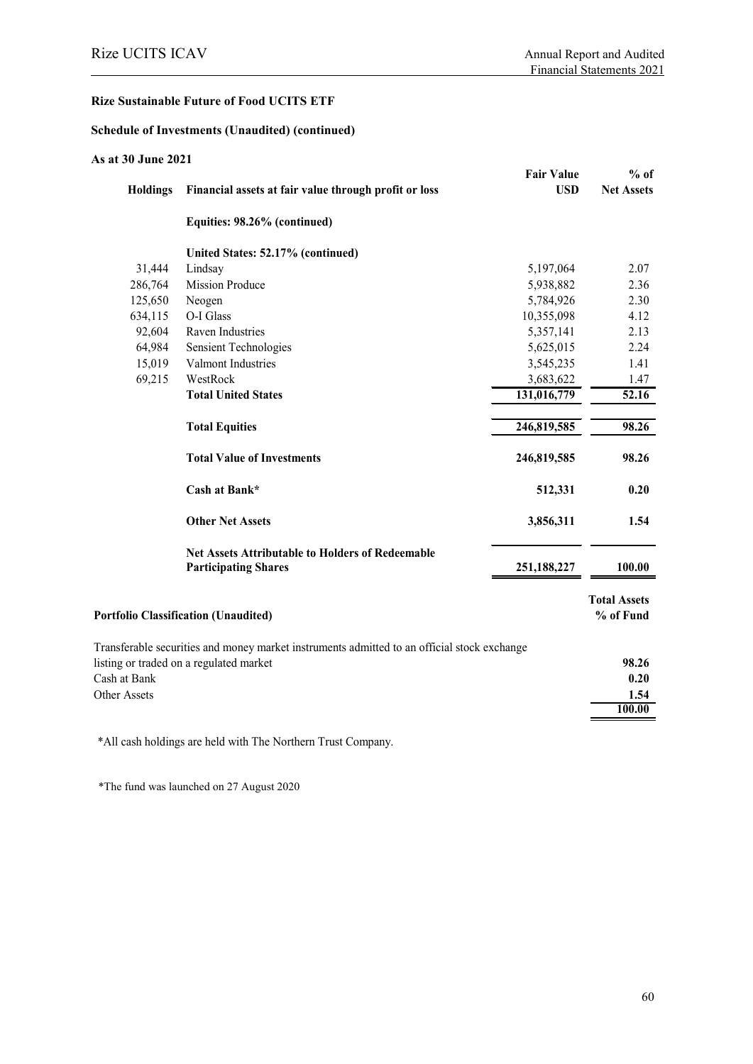#### **Schedule of Investments (Unaudited) (continued)**

| As at 30 June 2021 |                                                                                             |                   |                                  |
|--------------------|---------------------------------------------------------------------------------------------|-------------------|----------------------------------|
|                    |                                                                                             | <b>Fair Value</b> | $%$ of                           |
| <b>Holdings</b>    | Financial assets at fair value through profit or loss                                       | <b>USD</b>        | <b>Net Assets</b>                |
|                    | Equities: 98.26% (continued)                                                                |                   |                                  |
|                    | United States: 52.17% (continued)                                                           |                   |                                  |
| 31,444             | Lindsay                                                                                     | 5,197,064         | 2.07                             |
| 286,764            | <b>Mission Produce</b>                                                                      | 5,938,882         | 2.36                             |
| 125,650            | Neogen                                                                                      | 5,784,926         | 2.30                             |
| 634,115            | O-I Glass                                                                                   | 10,355,098        | 4.12                             |
| 92,604             | Raven Industries                                                                            | 5,357,141         | 2.13                             |
| 64,984             | <b>Sensient Technologies</b>                                                                | 5,625,015         | 2.24                             |
| 15,019             | Valmont Industries                                                                          | 3,545,235         | 1.41                             |
| 69,215             | WestRock                                                                                    | 3,683,622         | 1.47                             |
|                    | <b>Total United States</b>                                                                  | 131,016,779       | 52.16                            |
|                    | <b>Total Equities</b>                                                                       | 246,819,585       | 98.26                            |
|                    | <b>Total Value of Investments</b>                                                           | 246,819,585       | 98.26                            |
|                    | Cash at Bank*                                                                               | 512,331           | 0.20                             |
|                    | <b>Other Net Assets</b>                                                                     | 3,856,311         | 1.54                             |
|                    | <b>Net Assets Attributable to Holders of Redeemable</b>                                     |                   |                                  |
|                    | <b>Participating Shares</b>                                                                 | 251,188,227       | 100.00                           |
|                    | <b>Portfolio Classification (Unaudited)</b>                                                 |                   | <b>Total Assets</b><br>% of Fund |
|                    | Transferable securities and money market instruments admitted to an official stock exchange |                   |                                  |
|                    | listing or traded on a regulated market                                                     |                   | 98.26                            |
| Cash at Bank       |                                                                                             |                   | 0.20                             |
| Other Assets       |                                                                                             |                   | 1.54                             |
|                    |                                                                                             |                   | 100.00                           |
|                    |                                                                                             |                   |                                  |

\*All cash holdings are held with The Northern Trust Company.

\*The fund was launched on 27 August 2020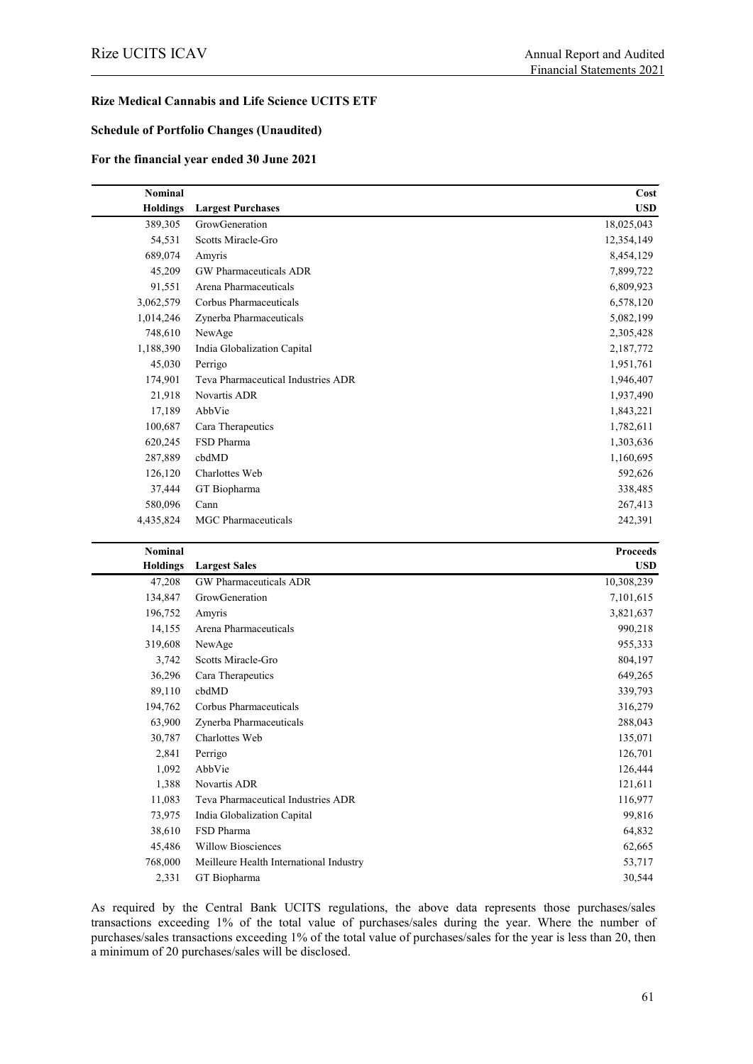#### **Rize Medical Cannabis and Life Science UCITS ETF**

#### **Schedule of Portfolio Changes (Unaudited)**

#### **For the financial year ended 30 June 2021**

| <b>Nominal</b>  |                                    | Cost       |
|-----------------|------------------------------------|------------|
| <b>Holdings</b> | <b>Largest Purchases</b>           | <b>USD</b> |
| 389,305         | GrowGeneration                     | 18,025,043 |
| 54,531          | Scotts Miracle-Gro                 | 12,354,149 |
| 689,074         | Amyris                             | 8,454,129  |
| 45,209          | GW Pharmaceuticals ADR             | 7,899,722  |
| 91,551          | Arena Pharmaceuticals              | 6,809,923  |
| 3,062,579       | Corbus Pharmaceuticals             | 6,578,120  |
| 1,014,246       | Zynerba Pharmaceuticals            | 5,082,199  |
| 748,610         | NewAge                             | 2,305,428  |
| 1,188,390       | India Globalization Capital        | 2,187,772  |
| 45,030          | Perrigo                            | 1,951,761  |
| 174,901         | Teva Pharmaceutical Industries ADR | 1,946,407  |
| 21,918          | Novartis ADR                       | 1,937,490  |
| 17,189          | AbbVie                             | 1,843,221  |
| 100,687         | Cara Therapeutics                  | 1,782,611  |
| 620,245         | FSD Pharma                         | 1,303,636  |
| 287,889         | cbdMD                              | 1,160,695  |
| 126,120         | Charlottes Web                     | 592,626    |
| 37,444          | GT Biopharma                       | 338,485    |
| 580,096         | Cann                               | 267,413    |
| 4,435,824       | <b>MGC</b> Pharmaceuticals         | 242,391    |

| Nominal         |                                         | <b>Proceeds</b> |
|-----------------|-----------------------------------------|-----------------|
| <b>Holdings</b> | <b>Largest Sales</b>                    | <b>USD</b>      |
| 47,208          | <b>GW</b> Pharmaceuticals ADR           | 10,308,239      |
| 134,847         | GrowGeneration                          | 7,101,615       |
| 196,752         | Amyris                                  | 3,821,637       |
| 14,155          | Arena Pharmaceuticals                   | 990,218         |
| 319,608         | NewAge                                  | 955,333         |
| 3,742           | Scotts Miracle-Gro                      | 804,197         |
| 36,296          | Cara Therapeutics                       | 649,265         |
| 89,110          | cbdMD                                   | 339,793         |
| 194,762         | Corbus Pharmaceuticals                  | 316,279         |
| 63,900          | Zynerba Pharmaceuticals                 | 288,043         |
| 30,787          | Charlottes Web                          | 135,071         |
| 2,841           | Perrigo                                 | 126,701         |
| 1,092           | AbbVie                                  | 126,444         |
| 1,388           | Novartis ADR                            | 121,611         |
| 11,083          | Teva Pharmaceutical Industries ADR      | 116,977         |
| 73,975          | India Globalization Capital             | 99,816          |
| 38,610          | FSD Pharma                              | 64,832          |
| 45,486          | <b>Willow Biosciences</b>               | 62,665          |
| 768,000         | Meilleure Health International Industry | 53,717          |
| 2,331           | GT Biopharma                            | 30,544          |

As required by the Central Bank UCITS regulations, the above data represents those purchases/sales transactions exceeding 1% of the total value of purchases/sales during the year. Where the number of purchases/sales transactions exceeding 1% of the total value of purchases/sales for the year is less than 20, then a minimum of 20 purchases/sales will be disclosed.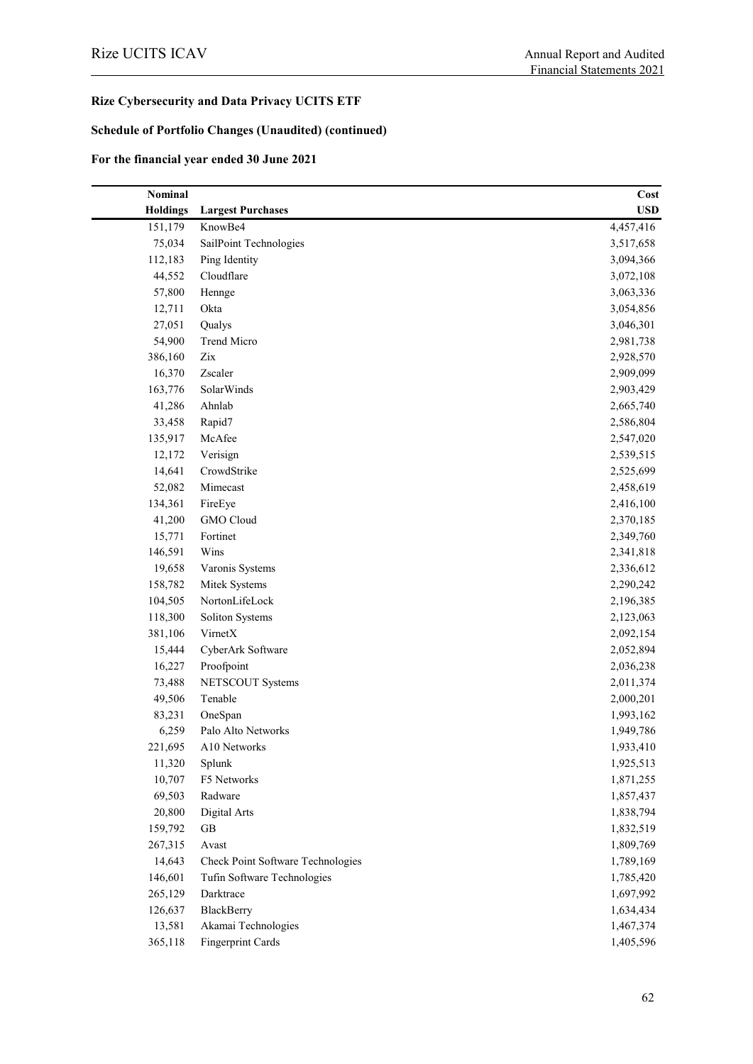### **Schedule of Portfolio Changes (Unaudited) (continued)**

# **For the financial year ended 30 June 2021**

| Nominal         |                                   | Cost       |
|-----------------|-----------------------------------|------------|
| <b>Holdings</b> | <b>Largest Purchases</b>          | <b>USD</b> |
| 151,179         | KnowBe4                           | 4,457,416  |
| 75,034          | SailPoint Technologies            | 3,517,658  |
| 112,183         | Ping Identity                     | 3,094,366  |
| 44,552          | Cloudflare                        | 3,072,108  |
| 57,800          | Hennge                            | 3,063,336  |
| 12,711          | Okta                              | 3,054,856  |
| 27,051          | Qualys                            | 3,046,301  |
| 54,900          | Trend Micro                       | 2,981,738  |
| 386,160         | Zix                               | 2,928,570  |
| 16,370          | Zscaler                           | 2,909,099  |
| 163,776         | SolarWinds                        | 2,903,429  |
| 41,286          | Ahnlab                            | 2,665,740  |
| 33,458          | Rapid7                            | 2,586,804  |
| 135,917         | McAfee                            | 2,547,020  |
| 12,172          | Verisign                          | 2,539,515  |
| 14,641          | CrowdStrike                       | 2,525,699  |
| 52,082          | Mimecast                          | 2,458,619  |
| 134,361         | FireEye                           | 2,416,100  |
| 41,200          | GMO Cloud                         | 2,370,185  |
| 15,771          | Fortinet                          | 2,349,760  |
| 146,591         | Wins                              | 2,341,818  |
| 19,658          | Varonis Systems                   | 2,336,612  |
| 158,782         | Mitek Systems                     | 2,290,242  |
| 104,505         | NortonLifeLock                    | 2,196,385  |
| 118,300         | Soliton Systems                   | 2,123,063  |
| 381,106         | VirnetX                           | 2,092,154  |
| 15,444          | CyberArk Software                 | 2,052,894  |
| 16,227          | Proofpoint                        | 2,036,238  |
| 73,488          | <b>NETSCOUT Systems</b>           | 2,011,374  |
| 49,506          | Tenable                           | 2,000,201  |
| 83,231          | OneSpan                           | 1,993,162  |
| 6,259           | Palo Alto Networks                | 1,949,786  |
| 221,695         | A10 Networks                      | 1,933,410  |
| 11,320          | Splunk                            | 1,925,513  |
| 10,707          | F5 Networks                       | 1,871,255  |
| 69,503          | Radware                           | 1,857,437  |
| 20,800          | Digital Arts                      | 1,838,794  |
| 159,792         | GB                                | 1,832,519  |
| 267,315         | Avast                             | 1,809,769  |
| 14,643          | Check Point Software Technologies | 1,789,169  |
| 146,601         | Tufin Software Technologies       | 1,785,420  |
| 265,129         | Darktrace                         | 1,697,992  |
| 126,637         | BlackBerry                        | 1,634,434  |
| 13,581          | Akamai Technologies               | 1,467,374  |
| 365,118         | Fingerprint Cards                 | 1,405,596  |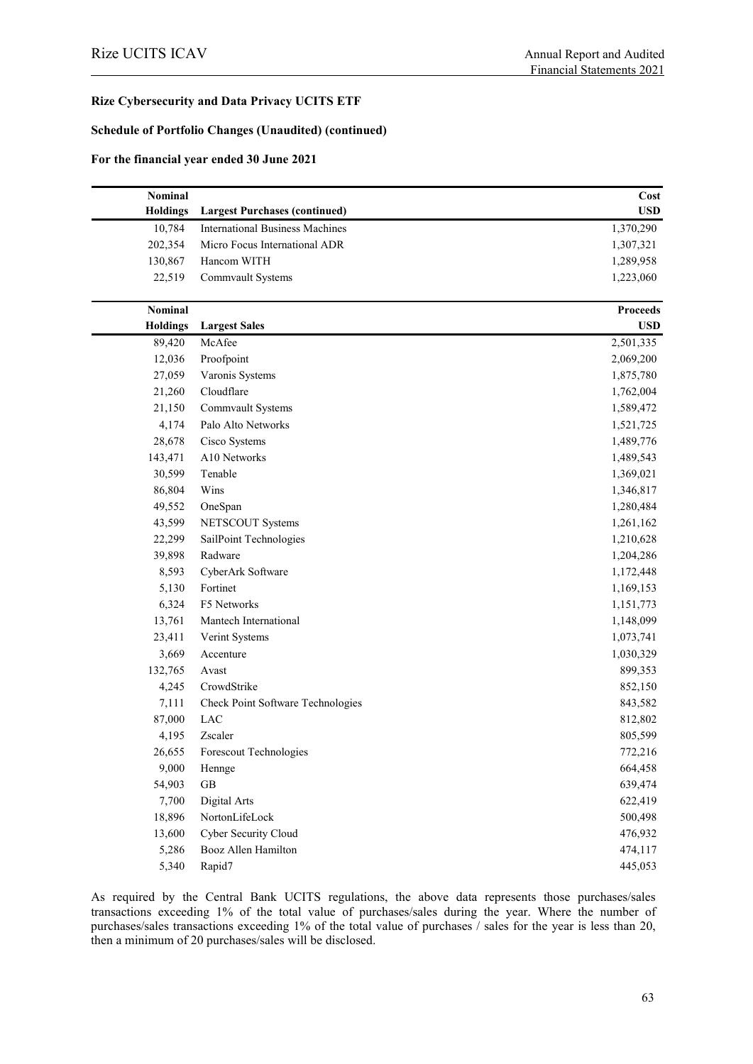#### **Schedule of Portfolio Changes (Unaudited) (continued)**

#### **For the financial year ended 30 June 2021**

| <b>Nominal</b>  |                                        | Cost            |
|-----------------|----------------------------------------|-----------------|
| <b>Holdings</b> | <b>Largest Purchases (continued)</b>   | <b>USD</b>      |
| 10,784          | <b>International Business Machines</b> | 1,370,290       |
| 202,354         | Micro Focus International ADR          | 1,307,321       |
| 130,867         | Hancom WITH                            | 1,289,958       |
| 22,519          | Commvault Systems                      | 1,223,060       |
| <b>Nominal</b>  |                                        | <b>Proceeds</b> |
| <b>Holdings</b> | <b>Largest Sales</b>                   | <b>USD</b>      |
| 89,420          | McAfee                                 | 2,501,335       |
| 12,036          | Proofpoint                             | 2,069,200       |
| 27,059          | Varonis Systems                        | 1,875,780       |
| 21,260          | Cloudflare                             | 1,762,004       |
| 21,150          | Commvault Systems                      | 1,589,472       |
| 4,174           | Palo Alto Networks                     | 1,521,725       |
| 28,678          | Cisco Systems                          | 1,489,776       |
| 143,471         | A10 Networks                           | 1,489,543       |
| 30,599          | Tenable                                | 1,369,021       |
| 86,804          | Wins                                   | 1,346,817       |
| 49,552          | OneSpan                                | 1,280,484       |
| 43,599          | NETSCOUT Systems                       | 1,261,162       |
| 22,299          | SailPoint Technologies                 | 1,210,628       |
| 39,898          | Radware                                | 1,204,286       |
| 8,593           | CyberArk Software                      | 1,172,448       |
| 5,130           | Fortinet                               | 1,169,153       |
| 6,324           | F5 Networks                            | 1,151,773       |
| 13,761          | Mantech International                  | 1,148,099       |
| 23,411          | Verint Systems                         | 1,073,741       |
| 3,669           | Accenture                              | 1,030,329       |
| 132,765         | Avast                                  | 899,353         |
| 4,245           | CrowdStrike                            | 852,150         |
| 7,111           | Check Point Software Technologies      | 843,582         |
| 87,000          | <b>LAC</b>                             | 812,802         |
| 4,195           | Zscaler                                | 805,599         |
| 26,655          | Forescout Technologies                 | 772,216         |
| 9,000           | Hennge                                 | 664,458         |
| 54,903          | $\operatorname{GB}$                    | 639,474         |
| 7,700           | Digital Arts                           | 622,419         |
| 18,896          | NortonLifeLock                         | 500,498         |
| 13,600          | Cyber Security Cloud                   | 476,932         |
| 5,286           | Booz Allen Hamilton                    | 474,117         |
| 5,340           | Rapid7                                 | 445,053         |

As required by the Central Bank UCITS regulations, the above data represents those purchases/sales transactions exceeding 1% of the total value of purchases/sales during the year. Where the number of purchases/sales transactions exceeding 1% of the total value of purchases / sales for the year is less than 20, then a minimum of 20 purchases/sales will be disclosed.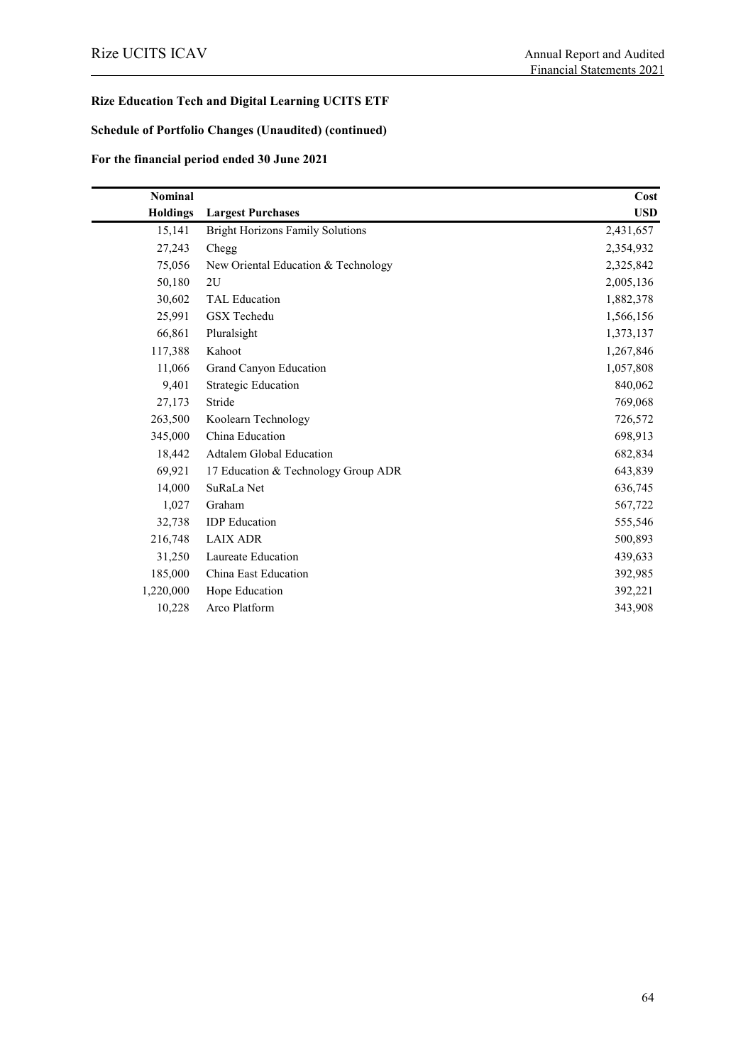# **Rize Education Tech and Digital Learning UCITS ETF**

### **Schedule of Portfolio Changes (Unaudited) (continued)**

# **For the financial period ended 30 June 2021**

| <b>Nominal</b>  |                                         | Cost       |
|-----------------|-----------------------------------------|------------|
| <b>Holdings</b> | <b>Largest Purchases</b>                | <b>USD</b> |
| 15,141          | <b>Bright Horizons Family Solutions</b> | 2,431,657  |
| 27,243          | Chegg                                   | 2,354,932  |
| 75,056          | New Oriental Education & Technology     | 2,325,842  |
| 50,180          | 2U                                      | 2,005,136  |
| 30,602          | <b>TAL Education</b>                    | 1,882,378  |
| 25,991          | <b>GSX</b> Techedu                      | 1,566,156  |
| 66,861          | Pluralsight                             | 1,373,137  |
| 117,388         | Kahoot                                  | 1,267,846  |
| 11,066          | Grand Canyon Education                  | 1,057,808  |
| 9,401           | <b>Strategic Education</b>              | 840,062    |
| 27,173          | Stride                                  | 769,068    |
| 263,500         | Koolearn Technology                     | 726,572    |
| 345,000         | China Education                         | 698,913    |
| 18,442          | Adtalem Global Education                | 682,834    |
| 69,921          | 17 Education & Technology Group ADR     | 643,839    |
| 14,000          | SuRaLa Net                              | 636,745    |
| 1,027           | Graham                                  | 567,722    |
| 32,738          | <b>IDP</b> Education                    | 555,546    |
| 216,748         | <b>LAIX ADR</b>                         | 500,893    |
| 31,250          | Laureate Education                      | 439,633    |
| 185,000         | China East Education                    | 392,985    |
| 1,220,000       | Hope Education                          | 392,221    |
| 10,228          | Arco Platform                           | 343,908    |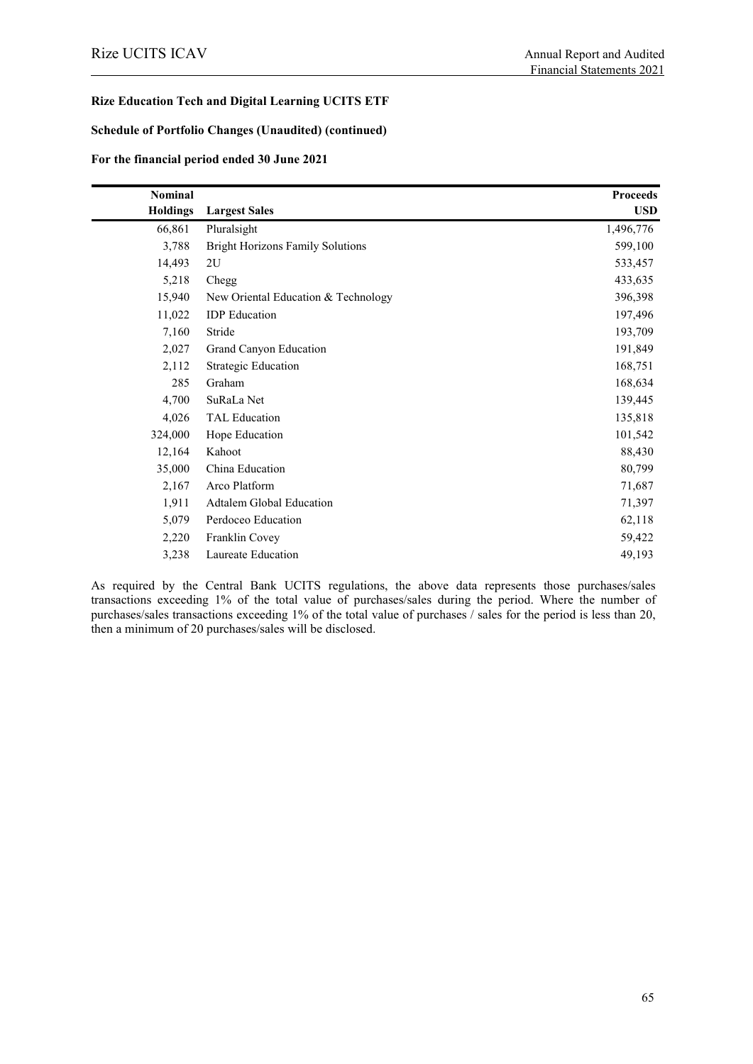#### **Rize Education Tech and Digital Learning UCITS ETF**

#### **Schedule of Portfolio Changes (Unaudited) (continued)**

#### **For the financial period ended 30 June 2021**

| <b>Nominal</b>  |                                         | <b>Proceeds</b> |
|-----------------|-----------------------------------------|-----------------|
| <b>Holdings</b> | <b>Largest Sales</b>                    | <b>USD</b>      |
| 66,861          | Pluralsight                             | 1,496,776       |
| 3,788           | <b>Bright Horizons Family Solutions</b> | 599,100         |
| 14,493          | 2U                                      | 533,457         |
| 5,218           | Chegg                                   | 433,635         |
| 15,940          | New Oriental Education & Technology     | 396,398         |
| 11,022          | <b>IDP</b> Education                    | 197,496         |
| 7,160           | Stride                                  | 193,709         |
| 2,027           | Grand Canyon Education                  | 191,849         |
| 2,112           | <b>Strategic Education</b>              | 168,751         |
| 285             | Graham                                  | 168,634         |
| 4,700           | SuRaLa Net                              | 139,445         |
| 4,026           | <b>TAL Education</b>                    | 135,818         |
| 324,000         | Hope Education                          | 101,542         |
| 12,164          | Kahoot                                  | 88,430          |
| 35,000          | China Education                         | 80,799          |
| 2,167           | Arco Platform                           | 71,687          |
| 1,911           | <b>Adtalem Global Education</b>         | 71,397          |
| 5,079           | Perdoceo Education                      | 62,118          |
| 2,220           | Franklin Covey                          | 59,422          |
| 3,238           | Laureate Education                      | 49,193          |

As required by the Central Bank UCITS regulations, the above data represents those purchases/sales transactions exceeding 1% of the total value of purchases/sales during the period. Where the number of purchases/sales transactions exceeding 1% of the total value of purchases / sales for the period is less than 20, then a minimum of 20 purchases/sales will be disclosed.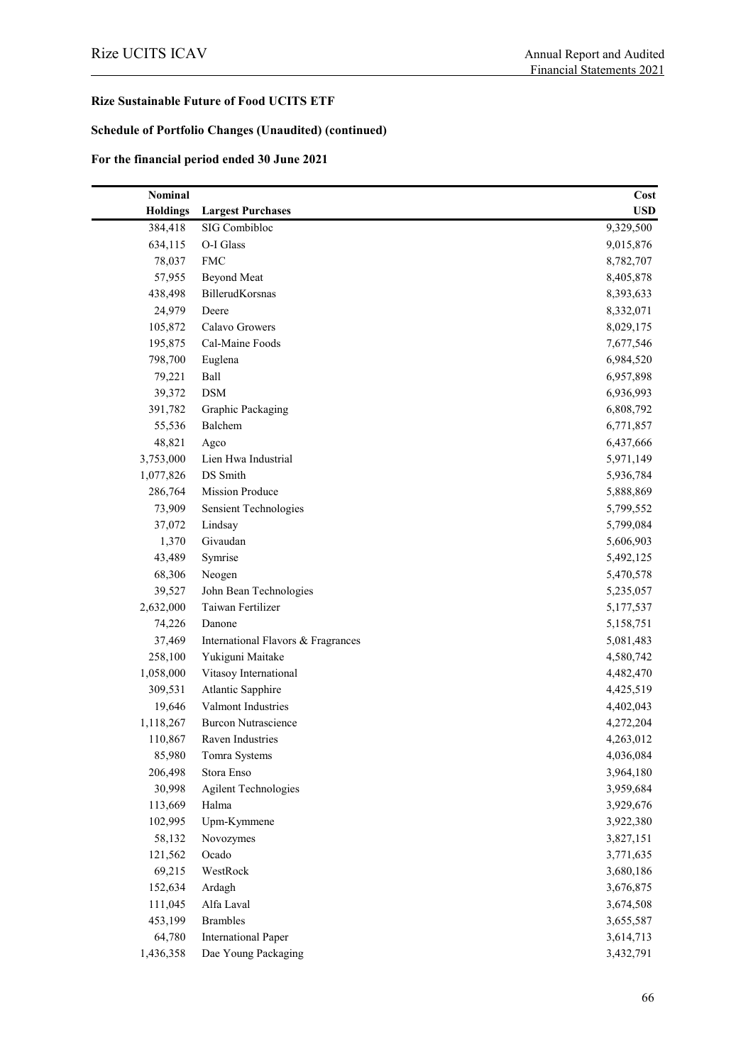### **Schedule of Portfolio Changes (Unaudited) (continued)**

#### **For the financial period ended 30 June 2021**

| Nominal         |                                    | Cost       |
|-----------------|------------------------------------|------------|
| <b>Holdings</b> | <b>Largest Purchases</b>           | <b>USD</b> |
| 384,418         | SIG Combibloc                      | 9,329,500  |
| 634,115         | O-I Glass                          | 9,015,876  |
| 78,037          | <b>FMC</b>                         | 8,782,707  |
| 57,955          | <b>Beyond Meat</b>                 | 8,405,878  |
| 438,498         | BillerudKorsnas                    | 8,393,633  |
| 24,979          | Deere                              | 8,332,071  |
| 105,872         | Calavo Growers                     | 8,029,175  |
| 195,875         | Cal-Maine Foods                    | 7,677,546  |
| 798,700         | Euglena                            | 6,984,520  |
| 79,221          | Ball                               | 6,957,898  |
| 39,372          | <b>DSM</b>                         | 6,936,993  |
| 391,782         | Graphic Packaging                  | 6,808,792  |
| 55,536          | Balchem                            | 6,771,857  |
| 48,821          | Agco                               | 6,437,666  |
| 3,753,000       | Lien Hwa Industrial                | 5,971,149  |
| 1,077,826       | DS Smith                           | 5,936,784  |
| 286,764         | <b>Mission Produce</b>             | 5,888,869  |
| 73,909          | <b>Sensient Technologies</b>       | 5,799,552  |
| 37,072          | Lindsay                            | 5,799,084  |
| 1,370           | Givaudan                           | 5,606,903  |
| 43,489          | Symrise                            | 5,492,125  |
| 68,306          | Neogen                             | 5,470,578  |
| 39,527          | John Bean Technologies             | 5,235,057  |
| 2,632,000       | Taiwan Fertilizer                  | 5,177,537  |
| 74,226          | Danone                             | 5,158,751  |
| 37,469          | International Flavors & Fragrances | 5,081,483  |
| 258,100         | Yukiguni Maitake                   | 4,580,742  |
| 1,058,000       | Vitasoy International              | 4,482,470  |
| 309,531         | <b>Atlantic Sapphire</b>           | 4,425,519  |
| 19,646          | Valmont Industries                 | 4,402,043  |
| 1,118,267       | <b>Burcon Nutrascience</b>         | 4,272,204  |
| 110,867         | Raven Industries                   | 4,263,012  |
| 85,980          | Tomra Systems                      | 4,036,084  |
| 206,498         | Stora Enso                         | 3,964,180  |
| 30,998          | <b>Agilent Technologies</b>        | 3,959,684  |
| 113,669         | Halma                              | 3,929,676  |
| 102,995         | Upm-Kymmene                        | 3,922,380  |
| 58,132          | Novozymes                          | 3,827,151  |
| 121,562         | Ocado                              | 3,771,635  |
| 69,215          | WestRock                           | 3,680,186  |
| 152,634         | Ardagh                             | 3,676,875  |
| 111,045         | Alfa Laval                         | 3,674,508  |
| 453,199         | <b>Brambles</b>                    | 3,655,587  |
| 64,780          | <b>International Paper</b>         | 3,614,713  |
| 1,436,358       | Dae Young Packaging                | 3,432,791  |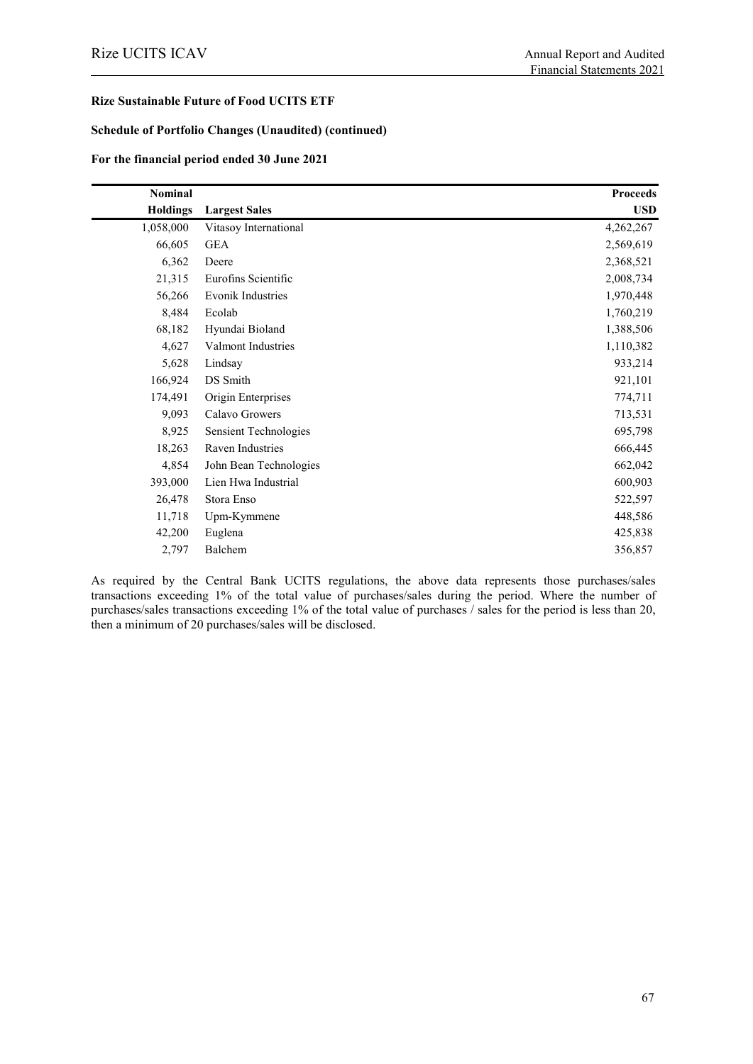#### **Schedule of Portfolio Changes (Unaudited) (continued)**

#### **For the financial period ended 30 June 2021**

| Nominal         |                          | <b>Proceeds</b> |
|-----------------|--------------------------|-----------------|
| <b>Holdings</b> | <b>Largest Sales</b>     | <b>USD</b>      |
| 1,058,000       | Vitasoy International    | 4,262,267       |
| 66,605          | <b>GEA</b>               | 2,569,619       |
| 6,362           | Deere                    | 2,368,521       |
| 21,315          | Eurofins Scientific      | 2,008,734       |
| 56,266          | <b>Evonik Industries</b> | 1,970,448       |
| 8,484           | Ecolab                   | 1,760,219       |
| 68,182          | Hyundai Bioland          | 1,388,506       |
| 4,627           | Valmont Industries       | 1,110,382       |
| 5,628           | Lindsay                  | 933,214         |
| 166,924         | DS Smith                 | 921,101         |
| 174,491         | Origin Enterprises       | 774,711         |
| 9,093           | Calavo Growers           | 713,531         |
| 8,925           | Sensient Technologies    | 695,798         |
| 18,263          | Raven Industries         | 666,445         |
| 4,854           | John Bean Technologies   | 662,042         |
| 393,000         | Lien Hwa Industrial      | 600,903         |
| 26,478          | Stora Enso               | 522,597         |
| 11,718          | Upm-Kymmene              | 448,586         |
| 42,200          | Euglena                  | 425,838         |
| 2,797           | Balchem                  | 356,857         |

As required by the Central Bank UCITS regulations, the above data represents those purchases/sales transactions exceeding 1% of the total value of purchases/sales during the period. Where the number of purchases/sales transactions exceeding 1% of the total value of purchases / sales for the period is less than 20, then a minimum of 20 purchases/sales will be disclosed.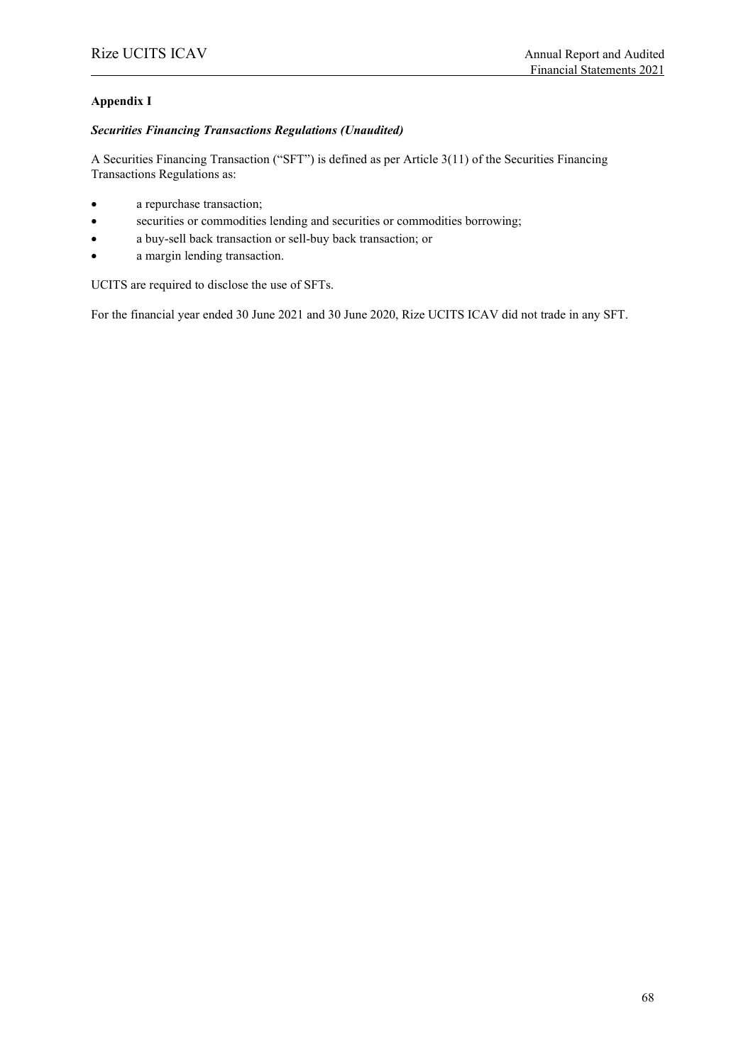# **Appendix I**

#### *Securities Financing Transactions Regulations (Unaudited)*

A Securities Financing Transaction ("SFT") is defined as per Article 3(11) of the Securities Financing Transactions Regulations as:

- a repurchase transaction;
- securities or commodities lending and securities or commodities borrowing;
- a buy-sell back transaction or sell-buy back transaction; or
- a margin lending transaction.

UCITS are required to disclose the use of SFTs.

For the financial year ended 30 June 2021 and 30 June 2020, Rize UCITS ICAV did not trade in any SFT.